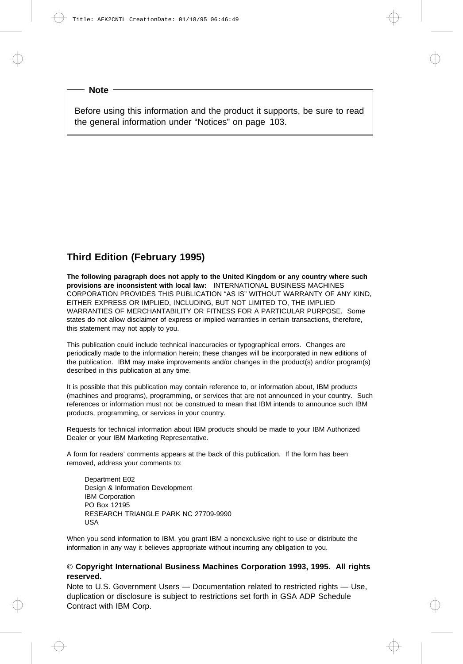#### **Note**

Before using this information and the product it supports, be sure to read the general information under "Notices" on page 103.

#### **Third Edition (February 1995)**

**The following paragraph does not apply to the United Kingdom or any country where such provisions are inconsistent with local law:** INTERNATIONAL BUSINESS MACHINES CORPORATION PROVIDES THIS PUBLICATION "AS IS" WITHOUT WARRANTY OF ANY KIND, EITHER EXPRESS OR IMPLIED, INCLUDING, BUT NOT LIMITED TO, THE IMPLIED WARRANTIES OF MERCHANTABILITY OR FITNESS FOR A PARTICULAR PURPOSE. Some states do not allow disclaimer of express or implied warranties in certain transactions, therefore, this statement may not apply to you.

This publication could include technical inaccuracies or typographical errors. Changes are periodically made to the information herein; these changes will be incorporated in new editions of the publication. IBM may make improvements and/or changes in the product(s) and/or program(s) described in this publication at any time.

It is possible that this publication may contain reference to, or information about, IBM products (machines and programs), programming, or services that are not announced in your country. Such references or information must not be construed to mean that IBM intends to announce such IBM products, programming, or services in your country.

Requests for technical information about IBM products should be made to your IBM Authorized Dealer or your IBM Marketing Representative.

A form for readers' comments appears at the back of this publication. If the form has been removed, address your comments to:

Department E02 Design & Information Development IBM Corporation PO Box 12195 RESEARCH TRIANGLE PARK NC 27709-9990 USA

When you send information to IBM, you grant IBM a nonexclusive right to use or distribute the information in any way it believes appropriate without incurring any obligation to you.

#### **Copyright International Business Machines Corporation 1993, 1995. All rights reserved.**

Note to U.S. Government Users — Documentation related to restricted rights — Use, duplication or disclosure is subject to restrictions set forth in GSA ADP Schedule Contract with IBM Corp.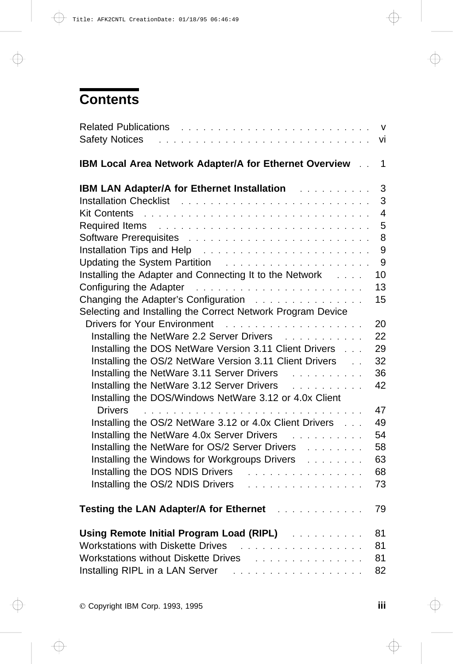$\overline{\bigoplus}$  Title: AFK2CNTL CreationDate: 01/18/95 06:46:49

# **Contents**

| <b>Related Publications</b><br><b>Safety Notices</b>                                                                                                  |  | v<br>vi                  |
|-------------------------------------------------------------------------------------------------------------------------------------------------------|--|--------------------------|
| IBM Local Area Network Adapter/A for Ethernet Overview                                                                                                |  | 1                        |
| IBM LAN Adapter/A for Ethernet Installation [1]                                                                                                       |  | 3                        |
|                                                                                                                                                       |  | 3                        |
|                                                                                                                                                       |  | $\overline{\mathcal{L}}$ |
| Required Items Accountable and the contract of the contract of the Required Items                                                                     |  | 5                        |
|                                                                                                                                                       |  | 8<br>9                   |
|                                                                                                                                                       |  | 9                        |
|                                                                                                                                                       |  | 10                       |
| Installing the Adapter and Connecting It to the Network Fig. 2. 1.                                                                                    |  | 13                       |
| Configuring the Adapter (Fig. 1, Fig. 1, Fig. 1, Fig. 1, Fig. 1, Fig. 1, Fig. 1, Fig. 1, Fig. 1, Fig. 1, Fig.<br>Changing the Adapter's Configuration |  | 15                       |
| Selecting and Installing the Correct Network Program Device                                                                                           |  |                          |
|                                                                                                                                                       |  | 20                       |
| Installing the NetWare 2.2 Server Drivers                                                                                                             |  | 22                       |
| Installing the DOS NetWare Version 3.11 Client Drivers                                                                                                |  | 29                       |
| Installing the OS/2 NetWare Version 3.11 Client Drivers                                                                                               |  | 32                       |
| Installing the NetWare 3.11 Server Drivers Fig.                                                                                                       |  | 36                       |
| Installing the NetWare 3.12 Server Drivers<br>$\sim$                                                                                                  |  | 42                       |
| Installing the DOS/Windows NetWare 3.12 or 4.0x Client                                                                                                |  |                          |
| <b>Drivers</b>                                                                                                                                        |  | 47                       |
| Installing the OS/2 NetWare 3.12 or 4.0x Client Drivers                                                                                               |  | 49                       |
| Installing the NetWare 4.0x Server Drivers Fig.                                                                                                       |  | 54                       |
| Installing the NetWare for OS/2 Server Drivers                                                                                                        |  | 58                       |
| Installing the Windows for Workgroups Drivers Fig. 2014. The Unit                                                                                     |  | 63                       |
| Installing the DOS NDIS Drivers Fig.                                                                                                                  |  | 68                       |
| Installing the OS/2 NDIS Drivers <b>Constant Contact Construct Constant</b>                                                                           |  | 73                       |
| Testing the LAN Adapter/A for Ethernet Alberta Alberta Alberta Alberta Alberta Alberta Alberta Alberta Alberta                                        |  | 79                       |
| Using Remote Initial Program Load (RIPL) Allendance Remote                                                                                            |  | 81                       |
| Workstations with Diskette Drives                                                                                                                     |  | 81                       |
|                                                                                                                                                       |  | 81                       |
| Installing RIPL in a LAN Server<br>.                                                                                                                  |  | 82                       |
|                                                                                                                                                       |  |                          |

 $\oplus$ 

 $\bigoplus$ 

 $\Rightarrow$ 

 $\begin{matrix} \uparrow \\ \downarrow \\ \downarrow \end{matrix}$ 

 $\begin{array}{ccc} \hline \end{array}$ 

 $\bigoplus$ 

 $\begin{array}{c|c} \hline \phantom{\Big|} & \phantom{\Big|} \\\hline \phantom{\Big|} & \phantom{\Big|} \\\hline \phantom{\Big|} & \phantom{\Big|} \\\hline \phantom{\Big|} & \phantom{\Big|} \\\hline \phantom{\Big|} & \phantom{\Big|} \\\hline \phantom{\Big|} & \phantom{\Big|} \\\hline \phantom{\Big|} & \phantom{\Big|} \\\hline \phantom{\Big|} & \phantom{\Big|} \\\hline \phantom{\Big|} & \phantom{\Big|} \\\hline \phantom{\Big|} & \phantom{\Big|} \\\hline \phantom{\Big|} & \phantom{\Big|} \\\h$ 

 $\phi$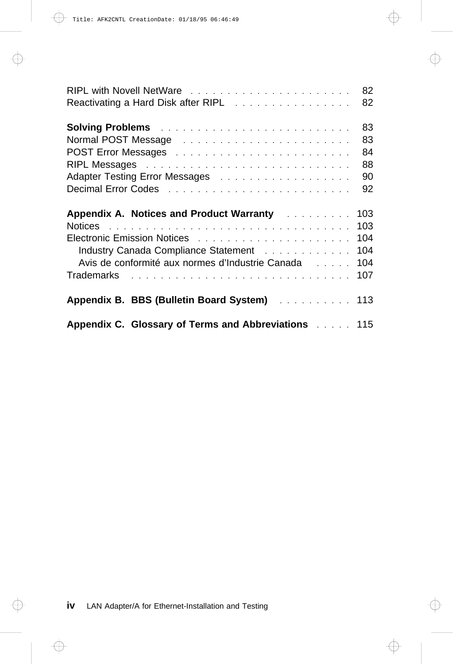$\overline{\oplus}$ 

 $\overline{\oplus}$ 

 $\bigoplus$ 

|                                                                                                                                                                                                                                      | 82  |
|--------------------------------------------------------------------------------------------------------------------------------------------------------------------------------------------------------------------------------------|-----|
| Reactivating a Hard Disk after RIPL Fig.                                                                                                                                                                                             | 82  |
| Solving Problems <b>Contract Contract Contract Contract Contract Contract Contract Contract Contract Contract Contract Contract Contract Contract Contract Contract Contract Contract Contract Contract Contract Contract Contra</b> | 83  |
| Normal POST Message Administration of the Second POST Message                                                                                                                                                                        | 83  |
| POST Error Messages Terms and the contract of the state of the state of the state of the state of the state of                                                                                                                       | 84  |
| RIPL Messages (Alberta Alberta Alberta Alberta Alberta Alberta Alberta Alberta Alberta Alberta Alberta Alberta                                                                                                                       | 88  |
|                                                                                                                                                                                                                                      | 90  |
| Decimal Error Codes (Alberta Alberta Alberta Alberta Alberta Alberta Alberta Alberta Alberta Alberta Alberta A                                                                                                                       | 92  |
| Appendix A. Notices and Product Warranty Alberts Alberts                                                                                                                                                                             | 103 |
|                                                                                                                                                                                                                                      | 103 |
|                                                                                                                                                                                                                                      | 104 |
| Industry Canada Compliance Statement                                                                                                                                                                                                 | 104 |
| Avis de conformité aux normes d'Industrie Canada [11, 11, 11]                                                                                                                                                                        | 104 |
| Trademarks Additional Additional Additional Additional Additional Additional Additional Additional Additional A                                                                                                                      | 107 |
| Appendix B. BBS (Bulletin Board System) Alberta, Alberta 113                                                                                                                                                                         |     |
| Appendix C. Glossary of Terms and Abbreviations 115                                                                                                                                                                                  |     |

 $\begin{array}{c|c} \n\phi & \fline \fline \phi \end{array}$ 

 $\begin{array}{c}\n\oplus \\
\hline\n\vdots \\
\oplus\n\end{array}$ 

 $\qquad \qquad \oplus$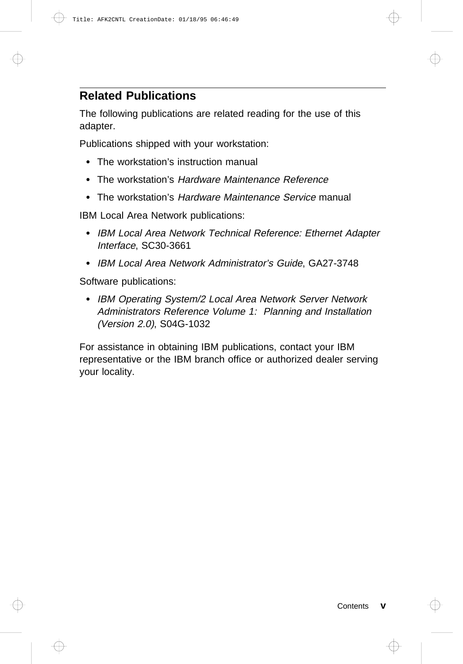# **Related Publications**

The following publications are related reading for the use of this adapter.

Publications shipped with your workstation:

- The workstation's instruction manual
- The workstation's Hardware Maintenance Reference
- The workstation's Hardware Maintenance Service manual

IBM Local Area Network publications:

- IBM Local Area Network Technical Reference: Ethernet Adapter Interface, SC30-3661
- IBM Local Area Network Administrator's Guide, GA27-3748

Software publications:

• IBM Operating System/2 Local Area Network Server Network Administrators Reference Volume 1: Planning and Installation (Version 2.0), S04G-1032

For assistance in obtaining IBM publications, contact your IBM representative or the IBM branch office or authorized dealer serving your locality.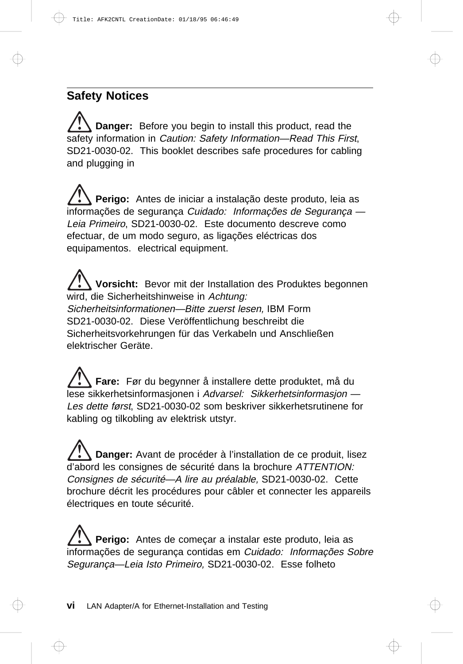# **Safety Notices**

 **Danger:** Before you begin to install this product, read the safety information in Caution: Safety Information-Read This First, SD21-0030-02. This booklet describes safe procedures for cabling and plugging in

 **Perigo:** Antes de iniciar a instalação deste produto, leia as informações de segurança Cuidado: Informações de Segurança — Leia Primeiro, SD21-0030-02. Este documento descreve como efectuar, de um modo seguro, as ligações eléctricas dos equipamentos. electrical equipment.

 **Vorsicht:** Bevor mit der Installation des Produktes begonnen wird, die Sicherheitshinweise in Achtung: Sicherheitsinformationen—Bitte zuerst lesen, IBM Form SD21-0030-02. Diese Veröffentlichung beschreibt die Sicherheitsvorkehrungen für das Verkabeln und Anschließen elektrischer Geräte.

 **Fare:** Før du begynner å installere dette produktet, må du lese sikkerhetsinformasjonen i Advarsel: Sikkerhetsinformasjon — Les dette først, SD21-0030-02 som beskriver sikkerhetsrutinene for kabling og tilkobling av elektrisk utstyr.

 **Danger:** Avant de procéder à l'installation de ce produit, lisez d'abord les consignes de sécurité dans la brochure ATTENTION: Consignes de sécurité—A lire au préalable, SD21-0030-02. Cette brochure décrit les procédures pour câbler et connecter les appareils électriques en toute sécurité.

 **Perigo:** Antes de começar a instalar este produto, leia as informações de segurança contidas em Cuidado: Informações Sobre Segurança—Leia Isto Primeiro, SD21-0030-02. Esse folheto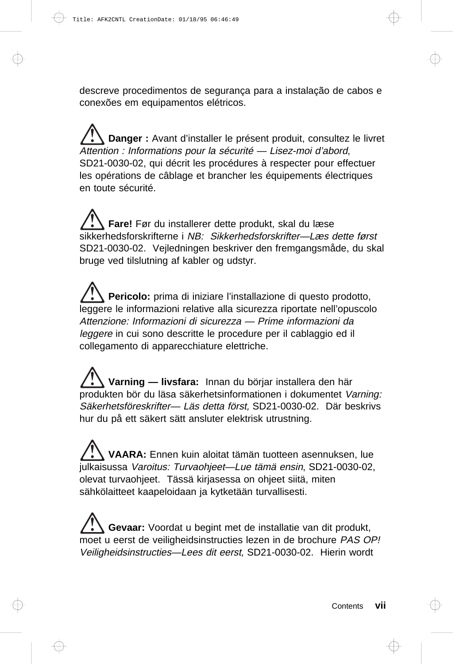descreve procedimentos de segurança para a instalação de cabos e conexões em equipamentos elétricos.

 **Danger :** Avant d'installer le présent produit, consultez le livret Attention : Informations pour la sécurité — Lisez-moi d'abord, SD21-0030-02, qui décrit les procédures à respecter pour effectuer les opérations de câblage et brancher les équipements électriques en toute sécurité.

 **Fare!** Før du installerer dette produkt, skal du læse sikkerhedsforskrifterne i NB: Sikkerhedsforskrifter-Læs dette først SD21-0030-02. Vejledningen beskriver den fremgangsmåde, du skal bruge ved tilslutning af kabler og udstyr.

 **Pericolo:** prima di iniziare l'installazione di questo prodotto, leggere le informazioni relative alla sicurezza riportate nell'opuscolo Attenzione: Informazioni di sicurezza — Prime informazioni da leggere in cui sono descritte le procedure per il cablaggio ed il collegamento di apparecchiature elettriche.

 **Varning — livsfara:** Innan du börjar installera den här produkten bör du läsa säkerhetsinformationen i dokumentet Varning: Säkerhetsföreskrifter— Läs detta först, SD21-0030-02. Där beskrivs hur du på ett säkert sätt ansluter elektrisk utrustning.

 **VAARA:** Ennen kuin aloitat tämän tuotteen asennuksen, lue julkaisussa Varoitus: Turvaohjeet-Lue tämä ensin, SD21-0030-02, olevat turvaohjeet. Tässä kirjasessa on ohjeet siitä, miten sähkölaitteet kaapeloidaan ja kytketään turvallisesti.

 **Gevaar:** Voordat u begint met de installatie van dit produkt, moet u eerst de veiligheidsinstructies lezen in de brochure PAS OP! Veiligheidsinstructies—Lees dit eerst, SD21-0030-02. Hierin wordt

Contents **vii**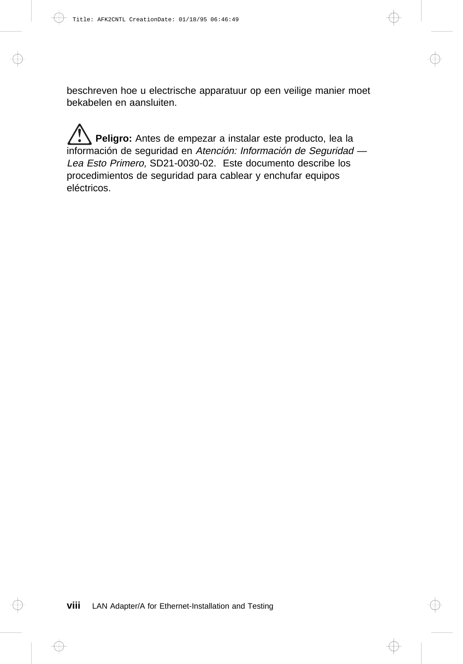beschreven hoe u electrische apparatuur op een veilige manier moet bekabelen en aansluiten.

 **Peligro:** Antes de empezar a instalar este producto, lea la información de seguridad en Atención: Información de Seguridad — Lea Esto Primero, SD21-0030-02. Este documento describe los procedimientos de seguridad para cablear y enchufar equipos eléctricos.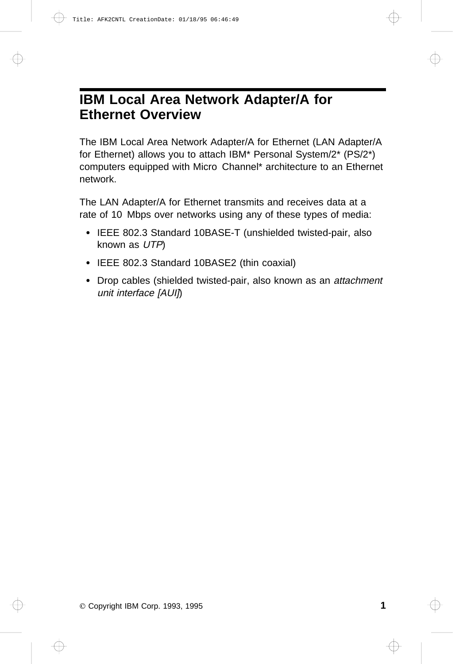# **IBM Local Area Network Adapter/A for Ethernet Overview**

The IBM Local Area Network Adapter/A for Ethernet (LAN Adapter/A for Ethernet) allows you to attach IBM\* Personal System/2\* (PS/2\*) computers equipped with Micro Channel\* architecture to an Ethernet network.

The LAN Adapter/A for Ethernet transmits and receives data at a rate of 10 Mbps over networks using any of these types of media:

- IEEE 802.3 Standard 10BASE-T (unshielded twisted-pair, also known as UTP)
- IEEE 802.3 Standard 10BASE2 (thin coaxial)
- Drop cables (shielded twisted-pair, also known as an attachment unit interface [AUI])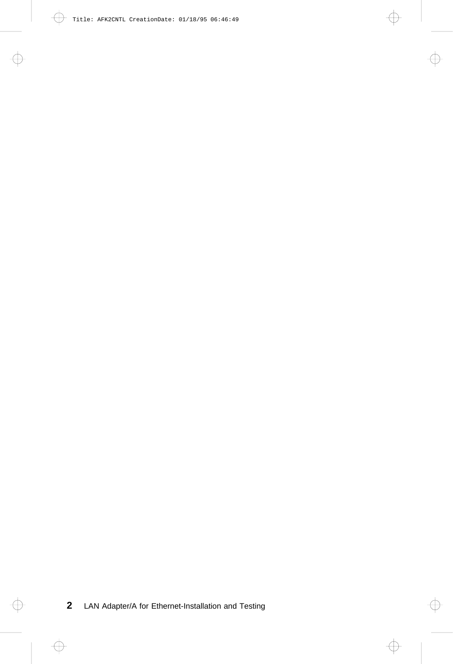$\overline{\oplus}$ 

 $\overline{\oplus}$ 

 $\bigoplus$ 

 $\begin{array}{c|c} \n\phi & \n\end{array}$ 

 $\begin{picture}(180,170) \put(0,0){\line(1,0){150}} \put(15,0){\line(1,0){150}} \put(15,0){\line(1,0){150}} \put(15,0){\line(1,0){150}} \put(15,0){\line(1,0){150}} \put(15,0){\line(1,0){150}} \put(15,0){\line(1,0){150}} \put(15,0){\line(1,0){150}} \put(15,0){\line(1,0){150}} \put(15,0){\line(1,0){150}} \put(15,0){\line(1,0){150$ 

 $\qquad \qquad \oplus$ 

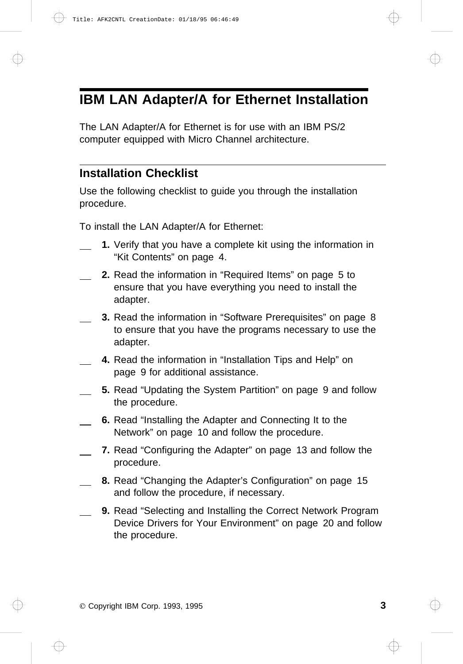# **IBM LAN Adapter/A for Ethernet Installation**

The LAN Adapter/A for Ethernet is for use with an IBM PS/2 computer equipped with Micro Channel architecture.

### **Installation Checklist**

Use the following checklist to guide you through the installation procedure.

To install the LAN Adapter/A for Ethernet:

- **1.** Verify that you have a complete kit using the information in "Kit Contents" on page 4.
- **2.** Read the information in "Required Items" on page 5 to ensure that you have everything you need to install the adapter.
- **3.** Read the information in "Software Prerequisites" on page 8 to ensure that you have the programs necessary to use the adapter.
- **4.** Read the information in "Installation Tips and Help" on page 9 for additional assistance.
- **5.** Read "Updating the System Partition" on page 9 and follow the procedure.
- **6.** Read "Installing the Adapter and Connecting It to the Network" on page 10 and follow the procedure.
- **7.** Read "Configuring the Adapter" on page 13 and follow the procedure.
- **8.** Read "Changing the Adapter's Configuration" on page 15 and follow the procedure, if necessary.
- **9.** Read "Selecting and Installing the Correct Network Program Device Drivers for Your Environment" on page 20 and follow the procedure.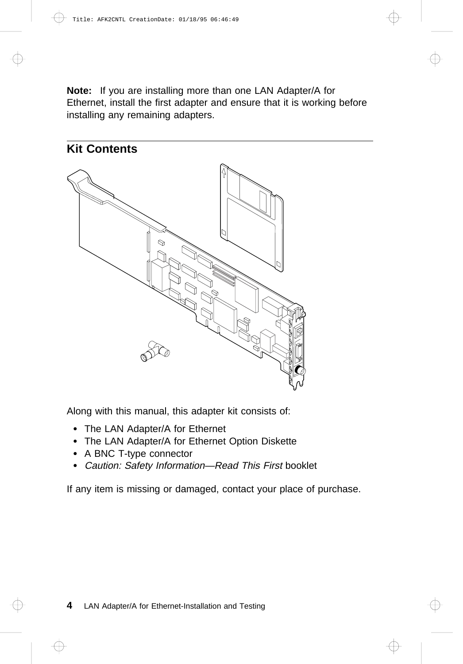**Note:** If you are installing more than one LAN Adapter/A for Ethernet, install the first adapter and ensure that it is working before installing any remaining adapters.

### **Kit Contents**



Along with this manual, this adapter kit consists of:

- The LAN Adapter/A for Ethernet
- The LAN Adapter/A for Ethernet Option Diskette
- A BNC T-type connector
- Caution: Safety Information—Read This First booklet

If any item is missing or damaged, contact your place of purchase.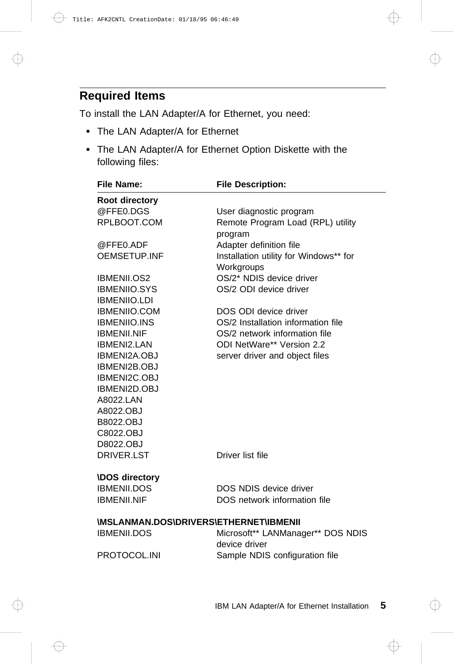# **Required Items**

 $\oplus$ 

To install the LAN Adapter/A for Ethernet, you need:

- The LAN Adapter/A for Ethernet
- The LAN Adapter/A for Ethernet Option Diskette with the following files:

| <b>File Name:</b>                      | <b>File Description:</b>                        |  |  |
|----------------------------------------|-------------------------------------------------|--|--|
| Root directory                         |                                                 |  |  |
| @FFE0.DGS                              | User diagnostic program                         |  |  |
| RPLBOOT.COM                            | Remote Program Load (RPL) utility               |  |  |
|                                        | program                                         |  |  |
| @FFE0.ADF                              | Adapter definition file                         |  |  |
| <b>OEMSETUP.INF</b>                    | Installation utility for Windows** for          |  |  |
|                                        | Workgroups                                      |  |  |
| <b>IBMENII.OS2</b>                     | OS/2* NDIS device driver                        |  |  |
| <b>IBMENIIO.SYS</b>                    | OS/2 ODI device driver                          |  |  |
| <b>IBMENIIO.LDI</b>                    |                                                 |  |  |
| <b>IBMENIIO.COM</b>                    | DOS ODI device driver                           |  |  |
| <b>IBMENIIO.INS</b>                    | OS/2 Installation information file              |  |  |
| <b>IBMENII.NIF</b>                     | OS/2 network information file                   |  |  |
| <b>IBMENI2.LAN</b>                     | ODI NetWare** Version 2.2                       |  |  |
| IBMENI2A.OBJ                           | server driver and object files                  |  |  |
| IBMENI2B.OBJ                           |                                                 |  |  |
| IBMENI2C.OBJ                           |                                                 |  |  |
| IBMENI2D.OBJ                           |                                                 |  |  |
| A8022.LAN                              |                                                 |  |  |
| A8022.OBJ                              |                                                 |  |  |
| <b>B8022.OBJ</b>                       |                                                 |  |  |
| C8022.OBJ                              |                                                 |  |  |
| D8022.OBJ                              |                                                 |  |  |
| DRIVER.LST                             | Driver list file                                |  |  |
| <b>\DOS</b> directory                  |                                                 |  |  |
| <b>IBMENII.DOS</b>                     | DOS NDIS device driver                          |  |  |
| <b>IBMENII.NIF</b>                     | DOS network information file                    |  |  |
|                                        |                                                 |  |  |
| \MSLANMAN.DOS\DRIVERS\ETHERNET\IBMENII |                                                 |  |  |
| <b>IBMENII.DOS</b>                     | Microsoft** LANManager** DOS NDIS               |  |  |
| PROTOCOL.INI                           | device driver<br>Sample NDIS configuration file |  |  |
|                                        |                                                 |  |  |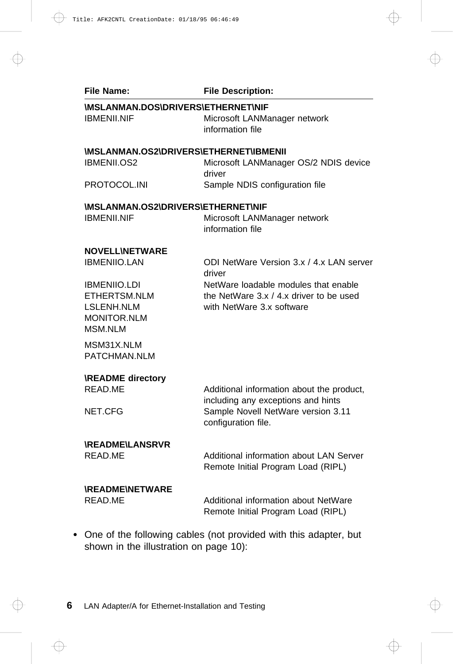| File Name:                                                                                | <b>File Description:</b>                                                                                                                     |
|-------------------------------------------------------------------------------------------|----------------------------------------------------------------------------------------------------------------------------------------------|
| <b><i>IMSLANMAN.DOSIDRIVERSIETHERNETINIF</i></b><br><b>IBMENII.NIF</b>                    | Microsoft LANManager network<br>information file                                                                                             |
| IBMENII.OS2                                                                               | <b>\MSLANMAN.OS2\DRIVERS\ETHERNET\IBMENII</b><br>Microsoft LANManager OS/2 NDIS device<br>driver                                             |
| PROTOCOL.INI                                                                              | Sample NDIS configuration file                                                                                                               |
| <b><i>IMSLANMAN.OS2\DRIVERS\ETHERNET\NIF</i></b><br><b>IBMENII.NIF</b>                    | Microsoft LANManager network<br>information file                                                                                             |
| <b>NOVELLINETWARE</b><br><b>IBMENIIO.LAN</b>                                              | ODI NetWare Version 3.x / 4.x LAN server<br>driver                                                                                           |
| <b>IBMENIIO.LDI</b><br>ETHERTSM.NLM<br>LSLENH.NLM<br><b>MONITOR.NLM</b><br><b>MSM.NLM</b> | NetWare loadable modules that enable<br>the NetWare $3.x / 4.x$ driver to be used<br>with NetWare 3.x software                               |
| MSM31X.NLM<br>PATCHMAN.NLM                                                                |                                                                                                                                              |
| <b>\README</b> directory<br>READ.ME<br>NET.CFG                                            | Additional information about the product,<br>including any exceptions and hints<br>Sample Novell NetWare version 3.11<br>configuration file. |
| <b>\README\LANSRVR</b><br>READ.ME                                                         | Additional information about LAN Server<br>Remote Initial Program Load (RIPL)                                                                |
| <b><i>\README\NETWARE</i></b><br>READ.ME                                                  | Additional information about NetWare<br>Remote Initial Program Load (RIPL)                                                                   |
|                                                                                           | • One of the following cables (not provided with this adapter, but                                                                           |

shown in the illustration on page 10):

**6** LAN Adapter/A for Ethernet-Installation and Testing

 $\bigoplus$ 

 $\begin{matrix} \Phi \\ \hline \end{matrix}$  $\bigoplus$ 

 $\begin{array}{c|c} \uparrow & \downarrow \\ \downarrow & \downarrow \\ \oplus & \end{array}$ 

 $\oplus$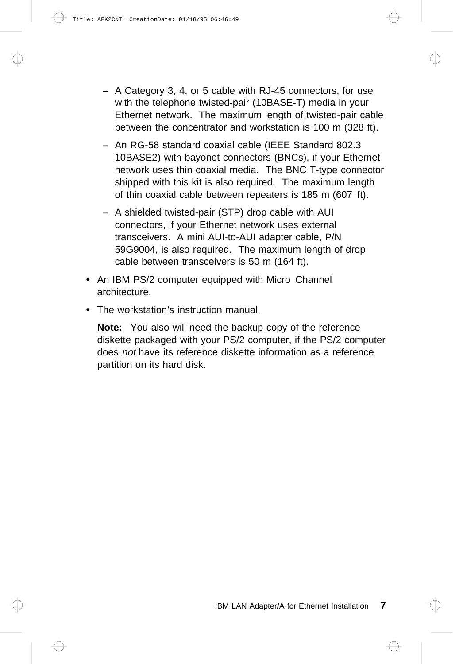- A Category 3, 4, or 5 cable with RJ-45 connectors, for use with the telephone twisted-pair (10BASE-T) media in your Ethernet network. The maximum length of twisted-pair cable between the concentrator and workstation is 100 m (328 ft).
- An RG-58 standard coaxial cable (IEEE Standard 802.3 10BASE2) with bayonet connectors (BNCs), if your Ethernet network uses thin coaxial media. The BNC T-type connector shipped with this kit is also required. The maximum length of thin coaxial cable between repeaters is 185 m (607 ft).
- A shielded twisted-pair (STP) drop cable with AUI connectors, if your Ethernet network uses external transceivers. A mini AUI-to-AUI adapter cable, P/N 59G9004, is also required. The maximum length of drop cable between transceivers is 50 m (164 ft).
- An IBM PS/2 computer equipped with Micro Channel architecture.
- The workstation's instruction manual.

**Note:** You also will need the backup copy of the reference diskette packaged with your PS/2 computer, if the PS/2 computer does not have its reference diskette information as a reference partition on its hard disk.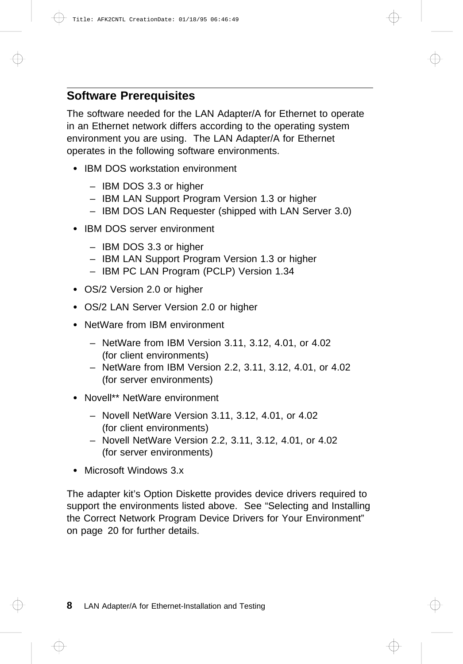## **Software Prerequisites**

The software needed for the LAN Adapter/A for Ethernet to operate in an Ethernet network differs according to the operating system environment you are using. The LAN Adapter/A for Ethernet operates in the following software environments.

- IBM DOS workstation environment
	- IBM DOS 3.3 or higher
	- IBM LAN Support Program Version 1.3 or higher
	- IBM DOS LAN Requester (shipped with LAN Server 3.0)
- IBM DOS server environment
	- IBM DOS 3.3 or higher
	- IBM LAN Support Program Version 1.3 or higher
	- IBM PC LAN Program (PCLP) Version 1.34
- OS/2 Version 2.0 or higher
- OS/2 LAN Server Version 2.0 or higher
- NetWare from IBM environment
	- NetWare from IBM Version 3.11, 3.12, 4.01, or 4.02 (for client environments)
	- NetWare from IBM Version 2.2, 3.11, 3.12, 4.01, or 4.02 (for server environments)
- Novell\*\* NetWare environment
	- Novell NetWare Version 3.11, 3.12, 4.01, or 4.02 (for client environments)
	- Novell NetWare Version 2.2, 3.11, 3.12, 4.01, or 4.02 (for server environments)
- Microsoft Windows 3.x

The adapter kit's Option Diskette provides device drivers required to support the environments listed above. See "Selecting and Installing the Correct Network Program Device Drivers for Your Environment" on page 20 for further details.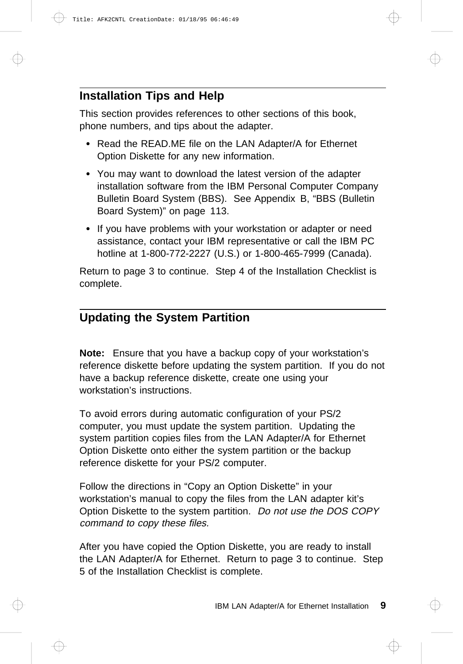# **Installation Tips and Help**

This section provides references to other sections of this book, phone numbers, and tips about the adapter.

- Read the READ.ME file on the LAN Adapter/A for Ethernet Option Diskette for any new information.
- You may want to download the latest version of the adapter installation software from the IBM Personal Computer Company Bulletin Board System (BBS). See Appendix B, "BBS (Bulletin Board System)" on page 113.
- If you have problems with your workstation or adapter or need assistance, contact your IBM representative or call the IBM PC hotline at 1-800-772-2227 (U.S.) or 1-800-465-7999 (Canada).

Return to page 3 to continue. Step 4 of the Installation Checklist is complete.

# **Updating the System Partition**

**Note:** Ensure that you have a backup copy of your workstation's reference diskette before updating the system partition. If you do not have a backup reference diskette, create one using your workstation's instructions.

To avoid errors during automatic configuration of your PS/2 computer, you must update the system partition. Updating the system partition copies files from the LAN Adapter/A for Ethernet Option Diskette onto either the system partition or the backup reference diskette for your PS/2 computer.

Follow the directions in "Copy an Option Diskette" in your workstation's manual to copy the files from the LAN adapter kit's Option Diskette to the system partition. Do not use the DOS COPY command to copy these files.

After you have copied the Option Diskette, you are ready to install the LAN Adapter/A for Ethernet. Return to page 3 to continue. Step 5 of the Installation Checklist is complete.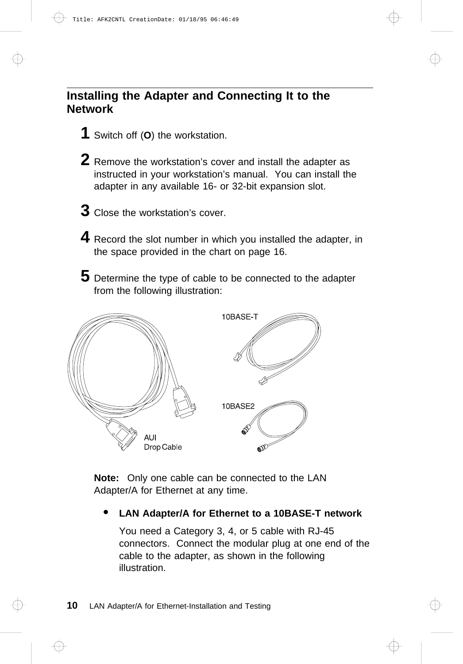# **Installing the Adapter and Connecting It to the Network**

- **1** Switch off (**O**) the workstation.
- **2** Remove the workstation's cover and install the adapter as instructed in your workstation's manual. You can install the adapter in any available 16- or 32-bit expansion slot.
- **3** Close the workstation's cover.
- **4** Record the slot number in which you installed the adapter, in the space provided in the chart on page 16.
- **5** Determine the type of cable to be connected to the adapter from the following illustration:



**Note:** Only one cable can be connected to the LAN Adapter/A for Ethernet at any time.

### **LAN Adapter/A for Ethernet to a 10BASE-T network**

You need a Category 3, 4, or 5 cable with RJ-45 connectors. Connect the modular plug at one end of the cable to the adapter, as shown in the following illustration.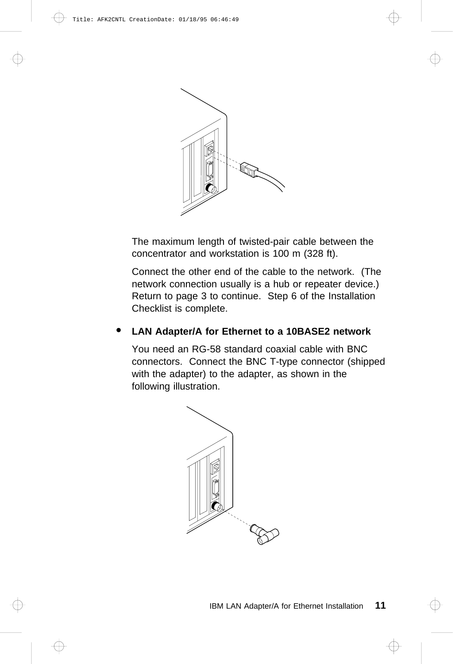

The maximum length of twisted-pair cable between the concentrator and workstation is 100 m (328 ft).

Connect the other end of the cable to the network. (The network connection usually is a hub or repeater device.) Return to page 3 to continue. Step 6 of the Installation Checklist is complete.

#### **LAN Adapter/A for Ethernet to a 10BASE2 network**

You need an RG-58 standard coaxial cable with BNC connectors. Connect the BNC T-type connector (shipped with the adapter) to the adapter, as shown in the following illustration.

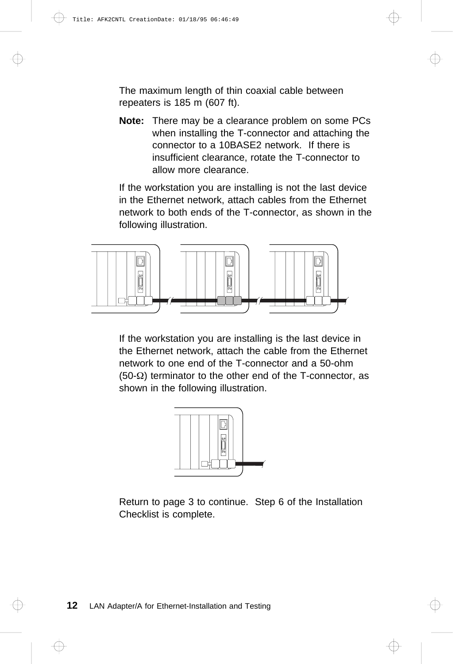The maximum length of thin coaxial cable between repeaters is 185 m (607 ft).

**Note:** There may be a clearance problem on some PCs when installing the T-connector and attaching the connector to a 10BASE2 network. If there is insufficient clearance, rotate the T-connector to allow more clearance.

If the workstation you are installing is not the last device in the Ethernet network, attach cables from the Ethernet network to both ends of the T-connector, as shown in the following illustration.



If the workstation you are installing is the last device in the Ethernet network, attach the cable from the Ethernet network to one end of the T-connector and a 50-ohm (50-Ω) terminator to the other end of the T-connector, as shown in the following illustration.



Return to page 3 to continue. Step 6 of the Installation Checklist is complete.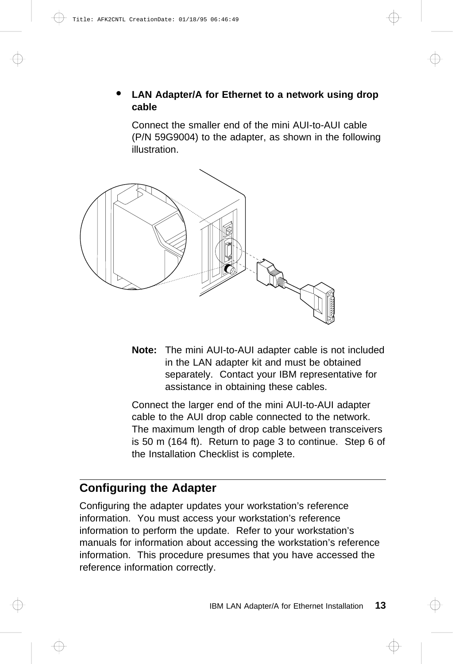### **LAN Adapter/A for Ethernet to a network using drop cable**

Connect the smaller end of the mini AUI-to-AUI cable (P/N 59G9004) to the adapter, as shown in the following illustration.



**Note:** The mini AUI-to-AUI adapter cable is not included in the LAN adapter kit and must be obtained separately. Contact your IBM representative for assistance in obtaining these cables.

Connect the larger end of the mini AUI-to-AUI adapter cable to the AUI drop cable connected to the network. The maximum length of drop cable between transceivers is 50 m (164 ft). Return to page 3 to continue. Step 6 of the Installation Checklist is complete.

# **Configuring the Adapter**

Configuring the adapter updates your workstation's reference information. You must access your workstation's reference information to perform the update. Refer to your workstation's manuals for information about accessing the workstation's reference information. This procedure presumes that you have accessed the reference information correctly.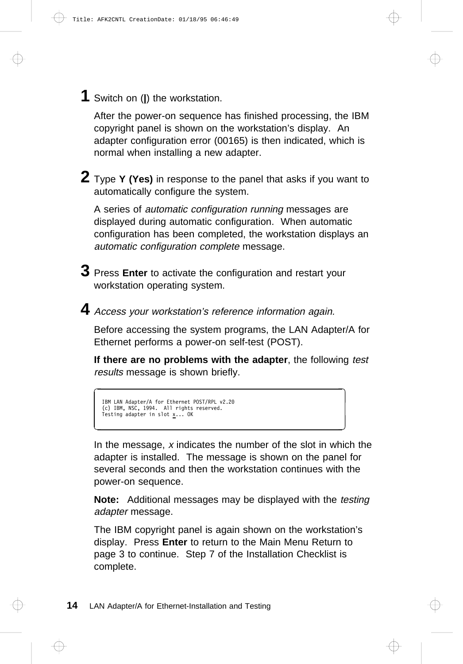**1** Switch on (**|**) the workstation.

After the power-on sequence has finished processing, the IBM copyright panel is shown on the workstation's display. An adapter configuration error (00165) is then indicated, which is normal when installing a new adapter.

**2** Type **Y (Yes)** in response to the panel that asks if you want to automatically configure the system.

A series of *automatic configuration running* messages are displayed during automatic configuration. When automatic configuration has been completed, the workstation displays an automatic configuration complete message.

- **3** Press **Enter** to activate the configuration and restart your workstation operating system.
- **4** Access your workstation's reference information again.

Before accessing the system programs, the LAN Adapter/A for Ethernet performs a power-on self-test (POST).

**If there are no problems with the adapter**, the following test results message is shown briefly.

```
IBM LAN Adapter/A for Ethernet POST/RPL v2.20<br>(c) IBM, NSC, 1994. All rights reserved.<br>Testing adapter in slot <u>x</u>... OK
```
In the message,  $x$  indicates the number of the slot in which the adapter is installed. The message is shown on the panel for several seconds and then the workstation continues with the power-on sequence.

**Note:** Additional messages may be displayed with the *testing* adapter message.

The IBM copyright panel is again shown on the workstation's display. Press **Enter** to return to the Main Menu Return to page 3 to continue. Step 7 of the Installation Checklist is complete.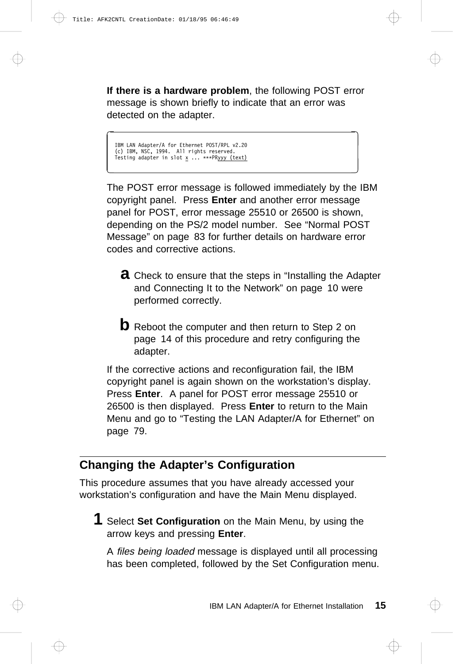**If there is a hardware problem**, the following POST error message is shown briefly to indicate that an error was detected on the adapter.

IBM LAN Adapter/A for Ethernet POST/RPL v2.20<br>(c) IBM, NSC, 1994. All rights reserved.<br>Testing adapter in slot <u>x</u> ... \*\*\*PR<u>yyy (text)</u>

The POST error message is followed immediately by the IBM copyright panel. Press **Enter** and another error message panel for POST, error message 25510 or 26500 is shown, depending on the PS/2 model number. See "Normal POST Message" on page 83 for further details on hardware error codes and corrective actions.

- **a** Check to ensure that the steps in "Installing the Adapter and Connecting It to the Network" on page 10 were performed correctly.
- **b** Reboot the computer and then return to Step 2 on page 14 of this procedure and retry configuring the adapter.

If the corrective actions and reconfiguration fail, the IBM copyright panel is again shown on the workstation's display. Press **Enter**. A panel for POST error message 25510 or 26500 is then displayed. Press **Enter** to return to the Main Menu and go to "Testing the LAN Adapter/A for Ethernet" on page 79.

## **Changing the Adapter's Configuration**

This procedure assumes that you have already accessed your workstation's configuration and have the Main Menu displayed.

**1** Select **Set Configuration** on the Main Menu, by using the arrow keys and pressing **Enter**.

A files being loaded message is displayed until all processing has been completed, followed by the Set Configuration menu.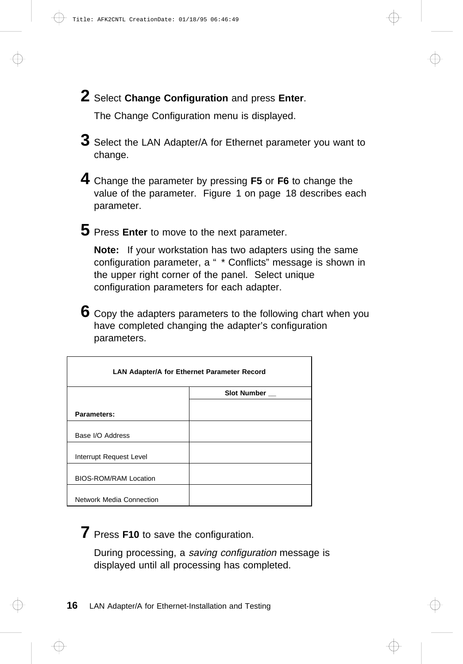**2** Select **Change Configuration** and press **Enter**.

The Change Configuration menu is displayed.

- **3** Select the LAN Adapter/A for Ethernet parameter you want to change.
- **4** Change the parameter by pressing **F5** or **F6** to change the value of the parameter. Figure 1 on page 18 describes each parameter.
- **5** Press **Enter** to move to the next parameter.

**Note:** If your workstation has two adapters using the same configuration parameter, a " \* Conflicts" message is shown in the upper right corner of the panel. Select unique configuration parameters for each adapter.

**6** Copy the adapters parameters to the following chart when you have completed changing the adapter's configuration parameters.

| LAN Adapter/A for Ethernet Parameter Record |                    |  |
|---------------------------------------------|--------------------|--|
|                                             | <b>Slot Number</b> |  |
| Parameters:                                 |                    |  |
| Base I/O Address                            |                    |  |
| Interrupt Request Level                     |                    |  |
| <b>BIOS-ROM/RAM Location</b>                |                    |  |
| Network Media Connection                    |                    |  |

**7** Press **F10** to save the configuration.

During processing, a saving configuration message is displayed until all processing has completed.

**16** LAN Adapter/A for Ethernet-Installation and Testing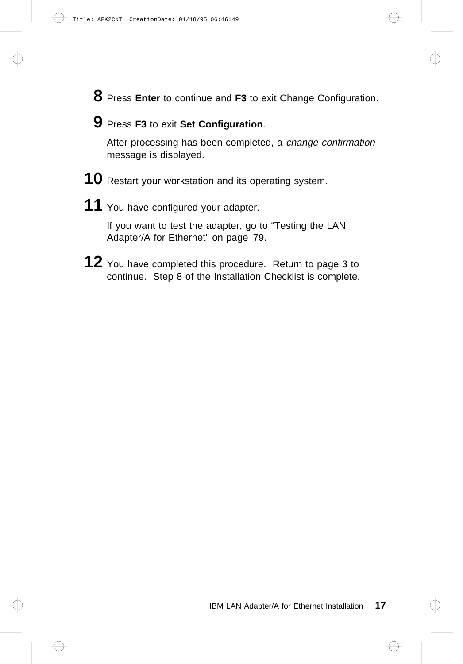**8** Press **Enter** to continue and **F3** to exit Change Configuration.

# **9** Press **F3** to exit **Set Configuration**.

After processing has been completed, a change confirmation message is displayed.

- **10** Restart your workstation and its operating system.
- 11 You have configured your adapter.

If you want to test the adapter, go to "Testing the LAN Adapter/A for Ethernet" on page 79.

**12** You have completed this procedure. Return to page 3 to continue. Step 8 of the Installation Checklist is complete.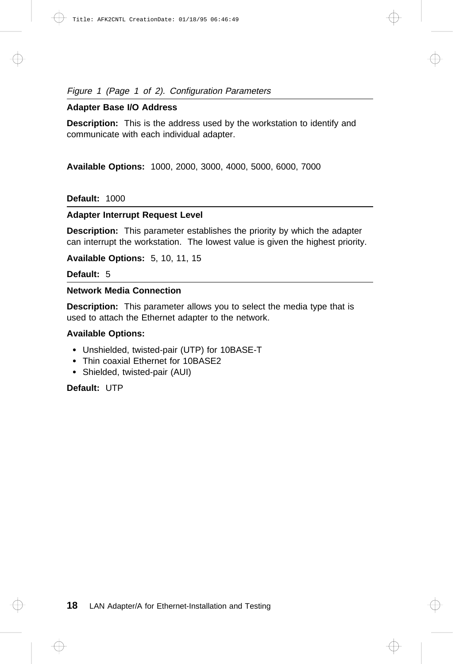#### Figure 1 (Page 1 of 2). Configuration Parameters

#### **Adapter Base I/O Address**

**Description:** This is the address used by the workstation to identify and communicate with each individual adapter.

**Available Options:** 1000, 2000, 3000, 4000, 5000, 6000, 7000

#### **Default:** 1000

#### **Adapter Interrupt Request Level**

**Description:** This parameter establishes the priority by which the adapter can interrupt the workstation. The lowest value is given the highest priority.

**Available Options:** 5, 10, 11, 15

**Default:** 5

#### **Network Media Connection**

**Description:** This parameter allows you to select the media type that is used to attach the Ethernet adapter to the network.

#### **Available Options:**

- Unshielded, twisted-pair (UTP) for 10BASE-T
- Thin coaxial Ethernet for 10BASE2
- Shielded, twisted-pair (AUI)

**Default:** UTP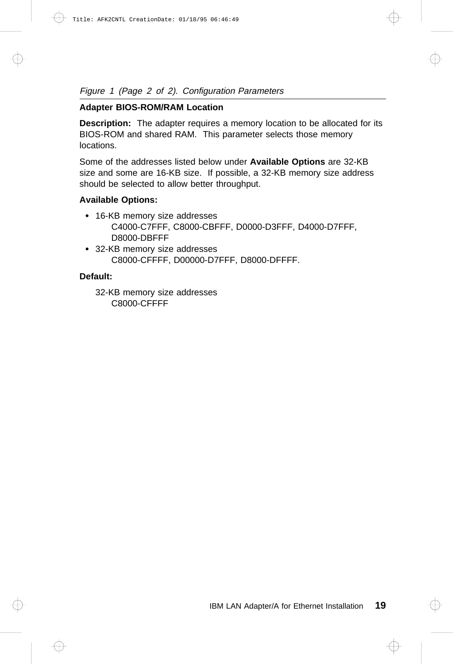#### Figure 1 (Page 2 of 2). Configuration Parameters

#### **Adapter BIOS-ROM/RAM Location**

**Description:** The adapter requires a memory location to be allocated for its BIOS-ROM and shared RAM. This parameter selects those memory locations.

Some of the addresses listed below under **Available Options** are 32-KB size and some are 16-KB size. If possible, a 32-KB memory size address should be selected to allow better throughput.

#### **Available Options:**

- 16-KB memory size addresses C4000-C7FFF, C8000-CBFFF, D0000-D3FFF, D4000-D7FFF, D8000-DBFFF
- 32-KB memory size addresses C8000-CFFFF, D00000-D7FFF, D8000-DFFFF.

#### **Default:**

32-KB memory size addresses C8000-CFFFF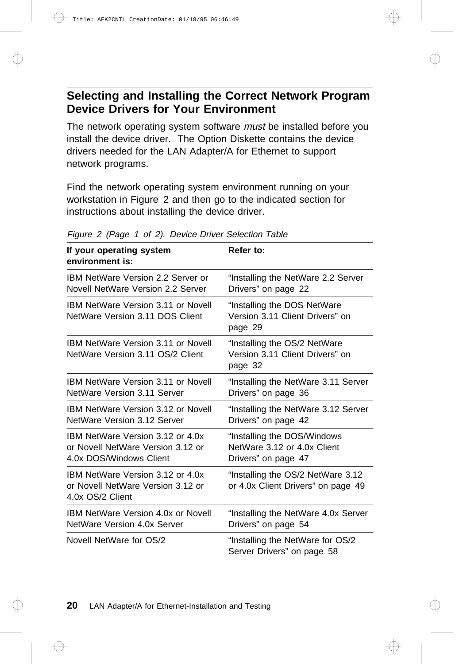# **Selecting and Installing the Correct Network Program Device Drivers for Your Environment**

The network operating system software *must* be installed before you install the device driver. The Option Diskette contains the device drivers needed for the LAN Adapter/A for Ethernet to support network programs.

Find the network operating system environment running on your workstation in Figure 2 and then go to the indicated section for instructions about installing the device driver.

| If your operating system<br>environment is:                                               | Refer to:                                                                  |
|-------------------------------------------------------------------------------------------|----------------------------------------------------------------------------|
| IBM NetWare Version 2.2 Server or                                                         | "Installing the NetWare 2.2 Server                                         |
| Novell NetWare Version 2.2 Server                                                         | Drivers" on page 22                                                        |
| <b>IBM NetWare Version 3.11 or Novell</b><br>NetWare Version 3.11 DOS Client              | "Installing the DOS NetWare<br>Version 3.11 Client Drivers" on<br>page 29  |
| <b>IBM NetWare Version 3.11 or Novell</b><br>NetWare Version 3.11 OS/2 Client             | "Installing the OS/2 NetWare<br>Version 3.11 Client Drivers" on<br>page 32 |
| <b>IBM NetWare Version 3.11 or Novell</b>                                                 | "Installing the NetWare 3.11 Server                                        |
| NetWare Version 3.11 Server                                                               | Drivers" on page 36                                                        |
| <b>IBM NetWare Version 3.12 or Novell</b>                                                 | "Installing the NetWare 3.12 Server                                        |
| NetWare Version 3.12 Server                                                               | Drivers" on page 42                                                        |
| IBM NetWare Version 3.12 or 4.0x                                                          | "Installing the DOS/Windows                                                |
| or Novell NetWare Version 3.12 or                                                         | NetWare 3.12 or 4.0x Client                                                |
| 4.0x DOS/Windows Client                                                                   | Drivers" on page 47                                                        |
| IBM NetWare Version 3.12 or 4.0x<br>or Novell NetWare Version 3.12 or<br>4.0x OS/2 Client | "Installing the OS/2 NetWare 3.12<br>or 4.0x Client Drivers" on page 49    |
| <b>IBM NetWare Version 4.0x or Novell</b>                                                 | "Installing the NetWare 4.0x Server                                        |
| NetWare Version 4.0x Server                                                               | Drivers" on page 54                                                        |
| Novell NetWare for OS/2                                                                   | "Installing the NetWare for OS/2<br>Server Drivers" on page 58             |

Figure 2 (Page 1 of 2). Device Driver Selection Table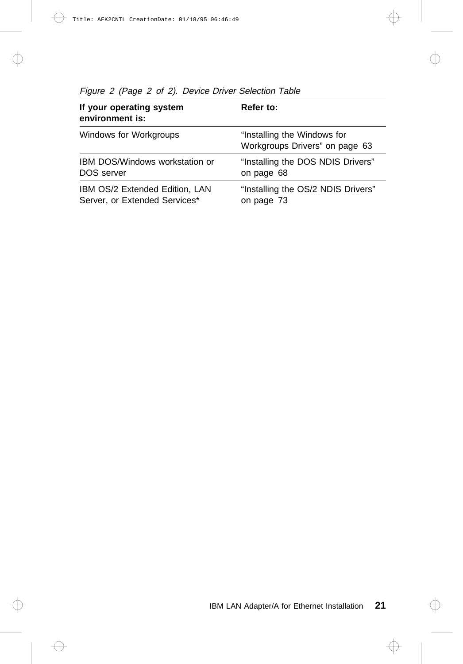$\bigoplus$ 

 $\overline{\phantom{a}}$ 

 $\bigoplus$ 

| If your operating system<br>environment is: | Refer to:                                                     |
|---------------------------------------------|---------------------------------------------------------------|
| Windows for Workgroups                      | "Installing the Windows for<br>Workgroups Drivers" on page 63 |
| <b>IBM DOS/Windows workstation or</b>       | "Installing the DOS NDIS Drivers"                             |
| DOS server                                  | on page 68                                                    |
| IBM OS/2 Extended Edition, LAN              | "Installing the OS/2 NDIS Drivers"                            |
| Server, or Extended Services*               | on page 73                                                    |

Figure 2 (Page 2 of 2). Device Driver Selection Table

 $\bigoplus$ 

 $\Leftrightarrow$ 

 $\begin{array}{c|c} \hline \end{array}$ 

 $\phi$ 

 $\oplus$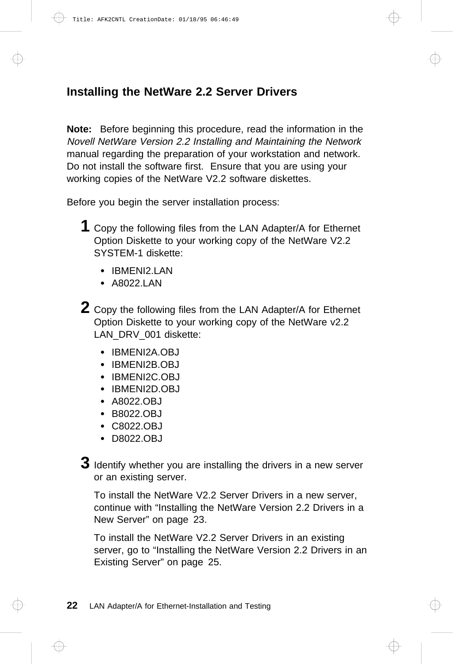# **Installing the NetWare 2.2 Server Drivers**

**Note:** Before beginning this procedure, read the information in the Novell NetWare Version 2.2 Installing and Maintaining the Network manual regarding the preparation of your workstation and network. Do not install the software first. Ensure that you are using your working copies of the NetWare V2.2 software diskettes.

Before you begin the server installation process:

- **1** Copy the following files from the LAN Adapter/A for Ethernet Option Diskette to your working copy of the NetWare V2.2 SYSTEM-1 diskette:
	- IBMENI2.LAN
	- A8022.LAN
- **2** Copy the following files from the LAN Adapter/A for Ethernet Option Diskette to your working copy of the NetWare v2.2 LAN\_DRV\_001 diskette:
	- IBMENI2A OBJ
	- IBMENI2B.OBJ
	- IBMENI2C.OBJ
	- IBMENI2D.OBJ
	- A8022.OBJ
	- B8022.OBJ
	- C8022.OBJ
	- $\bullet$  D8022 OBJ
- **3** Identify whether you are installing the drivers in a new server or an existing server.

To install the NetWare V2.2 Server Drivers in a new server, continue with "Installing the NetWare Version 2.2 Drivers in a New Server" on page 23.

To install the NetWare V2.2 Server Drivers in an existing server, go to "Installing the NetWare Version 2.2 Drivers in an Existing Server" on page 25.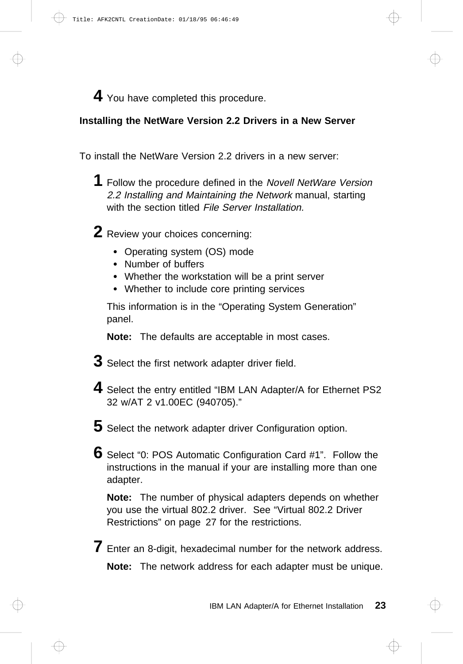**4** You have completed this procedure.

### **Installing the NetWare Version 2.2 Drivers in a New Server**

To install the NetWare Version 2.2 drivers in a new server:

**1** Follow the procedure defined in the Novell NetWare Version 2.2 Installing and Maintaining the Network manual, starting with the section titled File Server Installation.

**2** Review your choices concerning:

- Operating system (OS) mode
- Number of buffers
- Whether the workstation will be a print server
- Whether to include core printing services

This information is in the "Operating System Generation" panel.

**Note:** The defaults are acceptable in most cases.

- **3** Select the first network adapter driver field.
- **4** Select the entry entitled "IBM LAN Adapter/A for Ethernet PS2 32 w/AT 2 v1.00EC (940705)."
- **5** Select the network adapter driver Configuration option.
- **6** Select "0: POS Automatic Configuration Card #1". Follow the instructions in the manual if your are installing more than one adapter.

**Note:** The number of physical adapters depends on whether you use the virtual 802.2 driver. See "Virtual 802.2 Driver Restrictions" on page 27 for the restrictions.

**7** Enter an 8-digit, hexadecimal number for the network address.

**Note:** The network address for each adapter must be unique.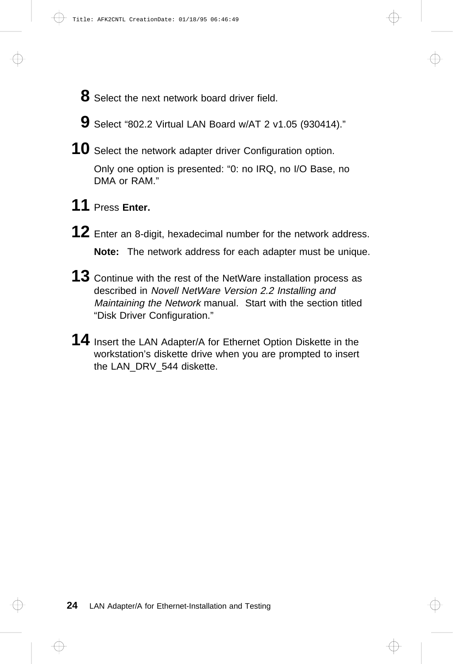- **8** Select the next network board driver field.
- **9** Select "802.2 Virtual LAN Board w/AT 2 v1.05 (930414)."
- **10** Select the network adapter driver Configuration option.

Only one option is presented: "0: no IRQ, no I/O Base, no DMA or RAM."

- **11** Press **Enter.**
- **12** Enter an 8-digit, hexadecimal number for the network address.

**Note:** The network address for each adapter must be unique.

- **13** Continue with the rest of the NetWare installation process as described in Novell NetWare Version 2.2 Installing and Maintaining the Network manual. Start with the section titled "Disk Driver Configuration."
- **14** Insert the LAN Adapter/A for Ethernet Option Diskette in the workstation's diskette drive when you are prompted to insert the LAN\_DRV\_544 diskette.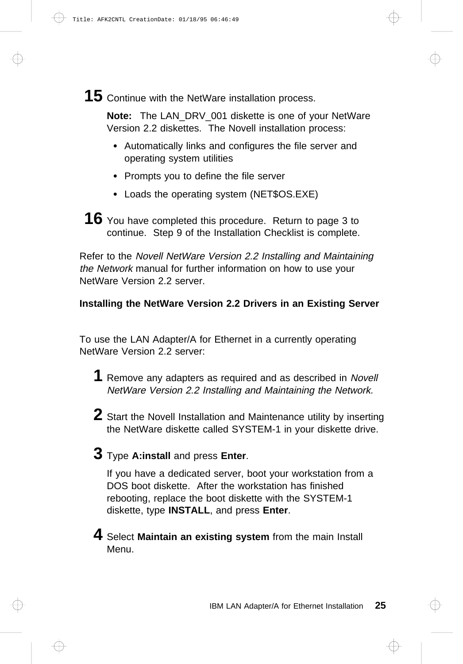**15** Continue with the NetWare installation process.

**Note:** The LAN\_DRV\_001 diskette is one of your NetWare Version 2.2 diskettes. The Novell installation process:

- Automatically links and configures the file server and operating system utilities
- Prompts you to define the file server
- Loads the operating system (NET\$OS.EXE)
- **16** You have completed this procedure. Return to page 3 to continue. Step 9 of the Installation Checklist is complete.

Refer to the Novell NetWare Version 2.2 Installing and Maintaining the Network manual for further information on how to use your NetWare Version 2.2 server.

### **Installing the NetWare Version 2.2 Drivers in an Existing Server**

To use the LAN Adapter/A for Ethernet in a currently operating NetWare Version 2.2 server:

- **1** Remove any adapters as required and as described in Novell NetWare Version 2.2 Installing and Maintaining the Network.
- **2** Start the Novell Installation and Maintenance utility by inserting the NetWare diskette called SYSTEM-1 in your diskette drive.
- **3** Type **A:install** and press **Enter**.

If you have a dedicated server, boot your workstation from a DOS boot diskette. After the workstation has finished rebooting, replace the boot diskette with the SYSTEM-1 diskette, type **INSTALL**, and press **Enter**.

**4** Select **Maintain an existing system** from the main Install Menu.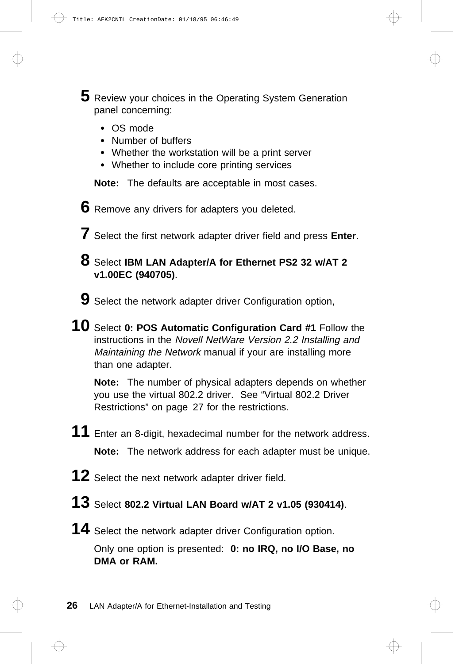**5** Review your choices in the Operating System Generation panel concerning:

- OS mode
- Number of buffers
- Whether the workstation will be a print server
- Whether to include core printing services

**Note:** The defaults are acceptable in most cases.

**6** Remove any drivers for adapters you deleted.

**7** Select the first network adapter driver field and press **Enter**.

- **8** Select **IBM LAN Adapter/A for Ethernet PS2 32 w/AT 2 v1.00EC (940705)**.
- **9** Select the network adapter driver Configuration option,
- **10** Select **0: POS Automatic Configuration Card #1** Follow the instructions in the Novell NetWare Version 2.2 Installing and Maintaining the Network manual if your are installing more than one adapter.

**Note:** The number of physical adapters depends on whether you use the virtual 802.2 driver. See "Virtual 802.2 Driver Restrictions" on page 27 for the restrictions.

- **11** Enter an 8-digit, hexadecimal number for the network address. **Note:** The network address for each adapter must be unique.
- **12** Select the next network adapter driver field.
- **13** Select **802.2 Virtual LAN Board w/AT 2 v1.05 (930414)**.
- **14** Select the network adapter driver Configuration option.

Only one option is presented: **0: no IRQ, no I/O Base, no DMA or RAM.**

**26** LAN Adapter/A for Ethernet-Installation and Testing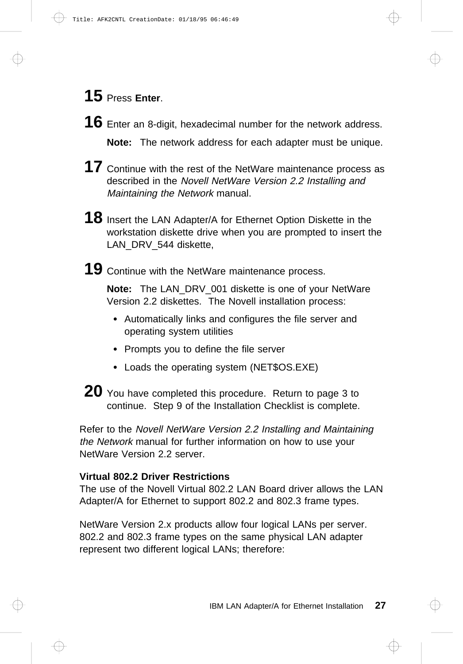# **15** Press **Enter**.

**16** Enter an 8-digit, hexadecimal number for the network address.

**Note:** The network address for each adapter must be unique.

- **17** Continue with the rest of the NetWare maintenance process as described in the Novell NetWare Version 2.2 Installing and Maintaining the Network manual.
- **18** Insert the LAN Adapter/A for Ethernet Option Diskette in the workstation diskette drive when you are prompted to insert the LAN\_DRV\_544 diskette,
- **19** Continue with the NetWare maintenance process.

**Note:** The LAN\_DRV\_001 diskette is one of your NetWare Version 2.2 diskettes. The Novell installation process:

- Automatically links and configures the file server and operating system utilities
- Prompts you to define the file server
- Loads the operating system (NET\$OS.EXE)

**20** You have completed this procedure. Return to page 3 to continue. Step 9 of the Installation Checklist is complete.

Refer to the Novell NetWare Version 2.2 Installing and Maintaining the Network manual for further information on how to use your NetWare Version 2.2 server.

#### **Virtual 802.2 Driver Restrictions**

The use of the Novell Virtual 802.2 LAN Board driver allows the LAN Adapter/A for Ethernet to support 802.2 and 802.3 frame types.

NetWare Version 2.x products allow four logical LANs per server. 802.2 and 802.3 frame types on the same physical LAN adapter represent two different logical LANs; therefore: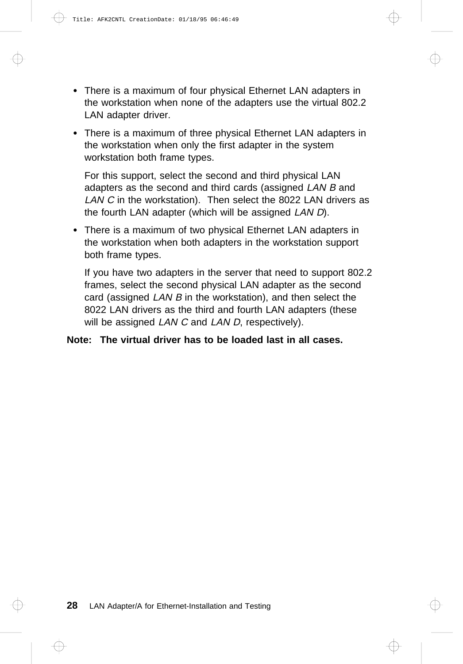- There is a maximum of four physical Ethernet LAN adapters in the workstation when none of the adapters use the virtual 802.2 LAN adapter driver.
- There is a maximum of three physical Ethernet LAN adapters in the workstation when only the first adapter in the system workstation both frame types.

For this support, select the second and third physical LAN adapters as the second and third cards (assigned LAN B and LAN C in the workstation). Then select the 8022 LAN drivers as the fourth LAN adapter (which will be assigned LAN D).

 There is a maximum of two physical Ethernet LAN adapters in the workstation when both adapters in the workstation support both frame types.

If you have two adapters in the server that need to support 802.2 frames, select the second physical LAN adapter as the second card (assigned LAN B in the workstation), and then select the 8022 LAN drivers as the third and fourth LAN adapters (these will be assigned LAN C and LAN D, respectively).

#### **Note: The virtual driver has to be loaded last in all cases.**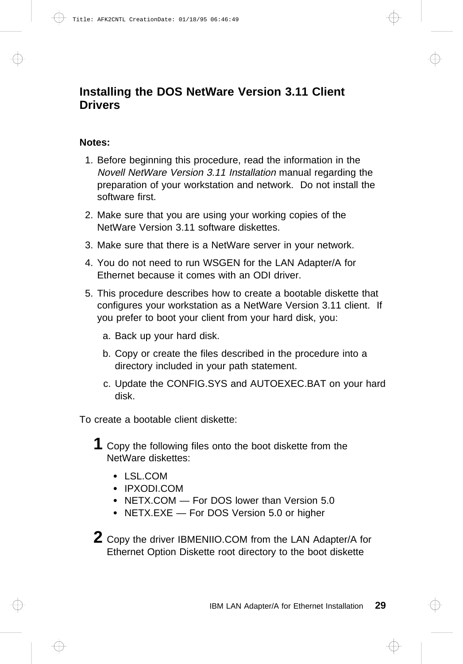# **Installing the DOS NetWare Version 3.11 Client Drivers**

#### **Notes:**

- 1. Before beginning this procedure, read the information in the Novell NetWare Version 3.11 Installation manual regarding the preparation of your workstation and network. Do not install the software first.
- 2. Make sure that you are using your working copies of the NetWare Version 3.11 software diskettes.
- 3. Make sure that there is a NetWare server in your network.
- 4. You do not need to run WSGEN for the LAN Adapter/A for Ethernet because it comes with an ODI driver.
- 5. This procedure describes how to create a bootable diskette that configures your workstation as a NetWare Version 3.11 client. If you prefer to boot your client from your hard disk, you:
	- a. Back up your hard disk.
	- b. Copy or create the files described in the procedure into a directory included in your path statement.
	- c. Update the CONFIG.SYS and AUTOEXEC.BAT on your hard disk.

To create a bootable client diskette:

- **1** Copy the following files onto the boot diskette from the NetWare diskettes:
	- ISL.COM
	- IPXODI.COM
	- NETX.COM For DOS lower than Version 5.0
	- NETX.EXE For DOS Version 5.0 or higher
- **2** Copy the driver IBMENIIO.COM from the LAN Adapter/A for Ethernet Option Diskette root directory to the boot diskette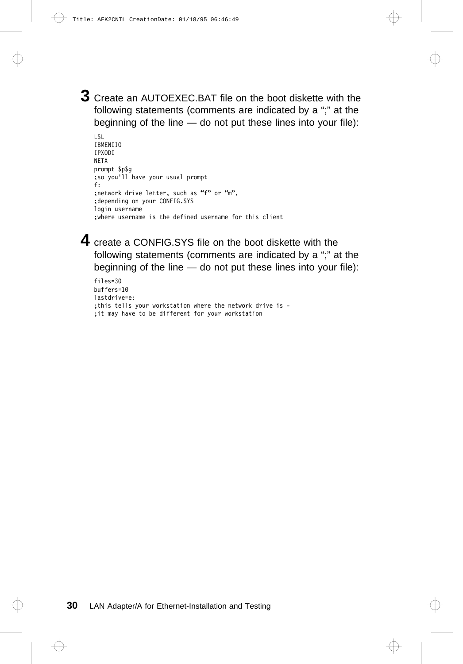**3** Create an AUTOEXEC.BAT file on the boot diskette with the following statements (comments are indicated by a ";" at the beginning of the line — do not put these lines into your file):

```
LSL
IBMENIIO
IPXODI
NETX
prompt $p$g
;so you'll have your usual prompt
f:
;network drive letter, such as "f" or "m",
;depending on your CONFIG.SYS
login username
;where username is the defined username for this client
```
**4** create a CONFIG.SYS file on the boot diskette with the following statements (comments are indicated by a ";" at the beginning of the line  $-$  do not put these lines into your file):

```
files=3ð
buffers=1ð
lastdrive=e:
;this tells your workstation where the network drive is -
;it may have to be different for your workstation
```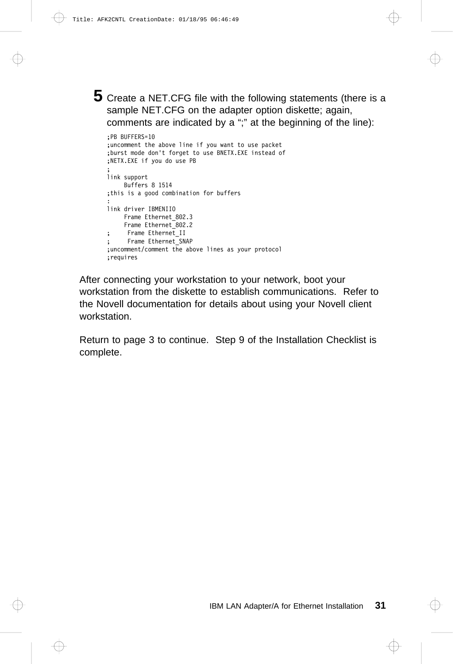**5** Create a NET.CFG file with the following statements (there is a sample NET.CFG on the adapter option diskette; again, comments are indicated by a ";" at the beginning of the line):

;PB BUFFERS=1ð ;uncomment the above line if you want to use packet ;burst mode don't forget to use BNETX.EXE instead of ;NETX.EXE if you do use PB ; link support Buffers 8 1514 ;this is a good combination for buffers : link driver IBMENIIO Frame Ethernet\_8ð2.3 Frame Ethernet\_8ð2.2 Frame Ethernet II Frame Ethernet SNAP ;uncomment/comment the above lines as your protocol ;requires

After connecting your workstation to your network, boot your workstation from the diskette to establish communications. Refer to the Novell documentation for details about using your Novell client workstation.

Return to page 3 to continue. Step 9 of the Installation Checklist is complete.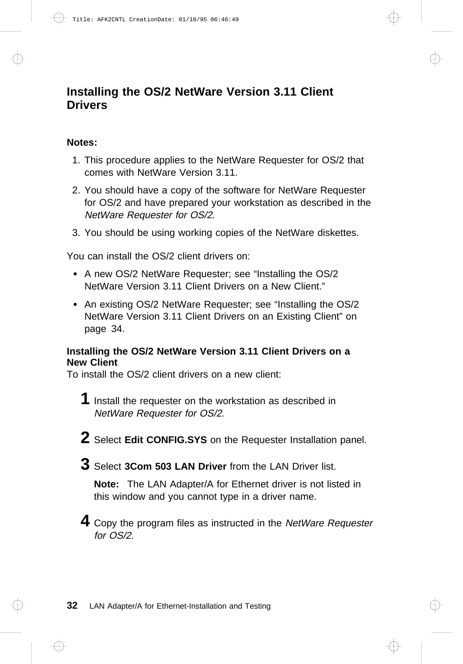## **Installing the OS/2 NetWare Version 3.11 Client Drivers**

#### **Notes:**

- 1. This procedure applies to the NetWare Requester for OS/2 that comes with NetWare Version 3.11.
- 2. You should have a copy of the software for NetWare Requester for OS/2 and have prepared your workstation as described in the NetWare Requester for OS/2.
- 3. You should be using working copies of the NetWare diskettes.

You can install the OS/2 client drivers on:

- A new OS/2 NetWare Requester; see "Installing the OS/2 NetWare Version 3.11 Client Drivers on a New Client."
- An existing OS/2 NetWare Requester; see "Installing the OS/2 NetWare Version 3.11 Client Drivers on an Existing Client" on page 34.

#### **Installing the OS/2 NetWare Version 3.11 Client Drivers on a New Client**

To install the OS/2 client drivers on a new client:

- **1** Install the requester on the workstation as described in NetWare Requester for OS/2.
- **2** Select **Edit CONFIG.SYS** on the Requester Installation panel.
- **3** Select **3Com 503 LAN Driver** from the LAN Driver list.

**Note:** The LAN Adapter/A for Ethernet driver is not listed in this window and you cannot type in a driver name.

**4** Copy the program files as instructed in the NetWare Requester for OS/2.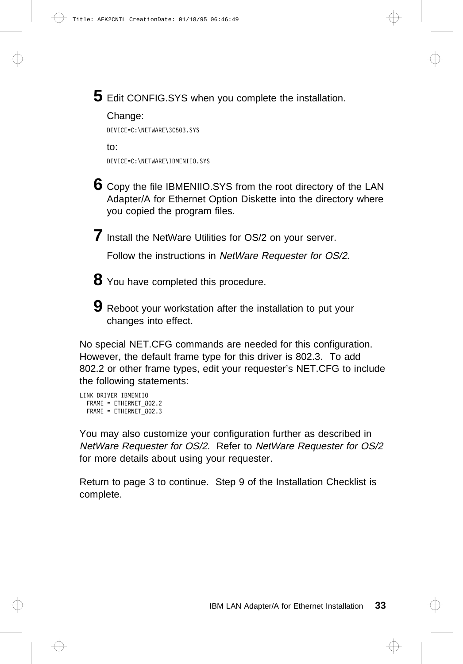**5** Edit CONFIG.SYS when you complete the installation.

Change: DEVICE=C:\NETWARE\3C5ð3.SYS to:

DEVICE=C:\NETWARE\IBMENIIO.SYS

**6** Copy the file IBMENIIO.SYS from the root directory of the LAN Adapter/A for Ethernet Option Diskette into the directory where you copied the program files.

**7** Install the NetWare Utilities for OS/2 on your server.

Follow the instructions in NetWare Requester for OS/2.

**8** You have completed this procedure.

**9** Reboot your workstation after the installation to put your changes into effect.

No special NET.CFG commands are needed for this configuration. However, the default frame type for this driver is 802.3. To add 802.2 or other frame types, edit your requester's NET.CFG to include the following statements:

```
LINK DRIVER IBMENIIO
  FRAME = ETHERNET_8ð2.2
  FRAME = ETHERNET_8ð2.3
```
You may also customize your configuration further as described in NetWare Requester for OS/2. Refer to NetWare Requester for OS/2 for more details about using your requester.

Return to page 3 to continue. Step 9 of the Installation Checklist is complete.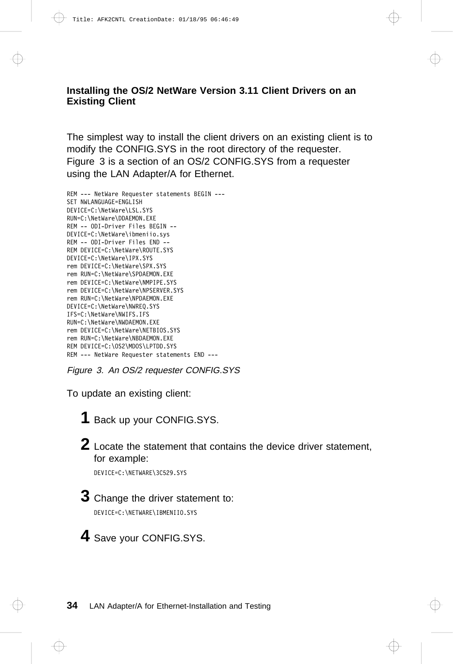#### **Installing the OS/2 NetWare Version 3.11 Client Drivers on an Existing Client**

The simplest way to install the client drivers on an existing client is to modify the CONFIG.SYS in the root directory of the requester. Figure 3 is a section of an OS/2 CONFIG.SYS from a requester using the LAN Adapter/A for Ethernet.

REM --- NetWare Requester statements BEGIN --- SET NWLANGUAGE=ENGLISH DEVICE=C:\NetWare\LSL.SYS RUN=C:\NetWare\DDAEMON.EXE REM -- ODI-Driver Files BEGIN -- DEVICE=C:\NetWare\ibmeniio.sys REM -- ODI-Driver Files END -- REM DEVICE=C:\NetWare\ROUTE.SYS DEVICE=C:\NetWare\IPX.SYS rem DEVICE=C:\NetWare\SPX.SYS rem RUN=C:\NetWare\SPDAEMON.EXE rem DEVICE=C:\NetWare\NMPIPE.SYS rem DEVICE=C:\NetWare\NPSERVER.SYS rem RUN=C:\NetWare\NPDAEMON.EXE DEVICE=C:\NetWare\NWREQ.SYS IFS=C:\NetWare\NWIFS.IFS RUN=C:\NetWare\NWDAEMON.EXE rem DEVICE=C:\NetWare\NETBIOS.SYS rem RUN=C:\NetWare\NBDAEMON.EXE REM DEVICE=C:\OS2\MDOS\LPTDD.SYS REM --- NetWare Requester statements END ---

Figure 3. An OS/2 requester CONFIG.SYS

To update an existing client:

**1** Back up your CONFIG.SYS.

**2** Locate the statement that contains the device driver statement, for example:

DEVICE=C:\NETWARE\3C529.SYS

## **3** Change the driver statement to: DEVICE=C:\NETWARE\IBMENIIO.SYS

**4** Save your CONFIG.SYS.

**34** LAN Adapter/A for Ethernet-Installation and Testing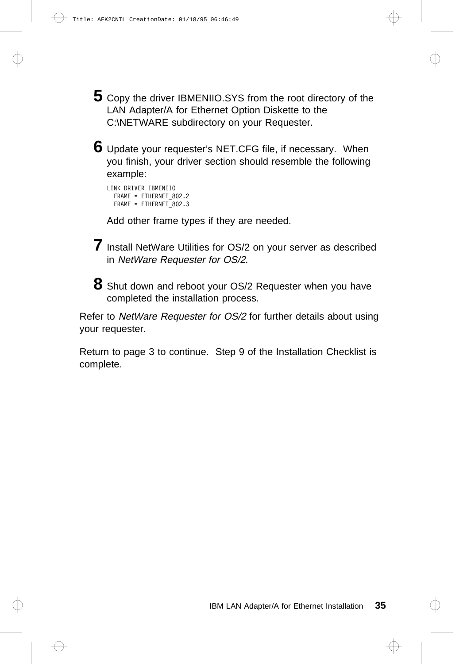**5** Copy the driver IBMENIIO.SYS from the root directory of the LAN Adapter/A for Ethernet Option Diskette to the C:\NETWARE subdirectory on your Requester.



**6** Update your requester's NET.CFG file, if necessary. When you finish, your driver section should resemble the following example:

```
LINK DRIVER IBMENIIO
  FRAME = ETHERNET_8ð2.2
  FRAME = ETHERNET_8ð2.3
```
Add other frame types if they are needed.

- **7** Install NetWare Utilities for OS/2 on your server as described in NetWare Requester for OS/2.
- **8** Shut down and reboot your OS/2 Requester when you have completed the installation process.

Refer to NetWare Requester for OS/2 for further details about using your requester.

Return to page 3 to continue. Step 9 of the Installation Checklist is complete.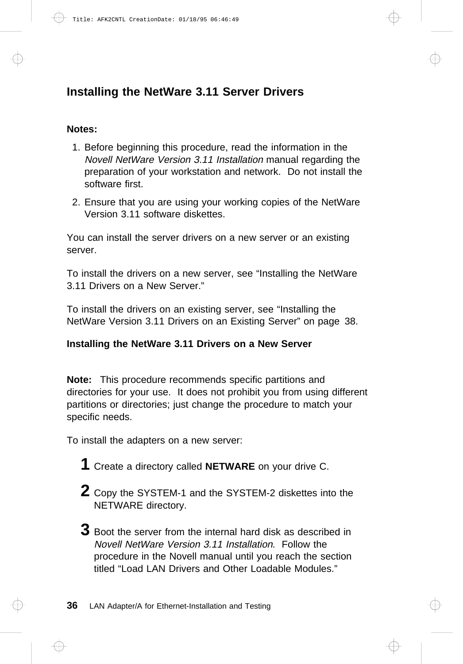# **Installing the NetWare 3.11 Server Drivers**

#### **Notes:**

- 1. Before beginning this procedure, read the information in the Novell NetWare Version 3.11 Installation manual regarding the preparation of your workstation and network. Do not install the software first.
- 2. Ensure that you are using your working copies of the NetWare Version 3.11 software diskettes.

You can install the server drivers on a new server or an existing server.

To install the drivers on a new server, see "Installing the NetWare 3.11 Drivers on a New Server."

To install the drivers on an existing server, see "Installing the NetWare Version 3.11 Drivers on an Existing Server" on page 38.

#### **Installing the NetWare 3.11 Drivers on a New Server**

**Note:** This procedure recommends specific partitions and directories for your use. It does not prohibit you from using different partitions or directories; just change the procedure to match your specific needs.

To install the adapters on a new server:

**1** Create a directory called **NETWARE** on your drive C.

- **2** Copy the SYSTEM-1 and the SYSTEM-2 diskettes into the NETWARE directory.
- **3** Boot the server from the internal hard disk as described in Novell NetWare Version 3.11 Installation. Follow the procedure in the Novell manual until you reach the section titled "Load LAN Drivers and Other Loadable Modules."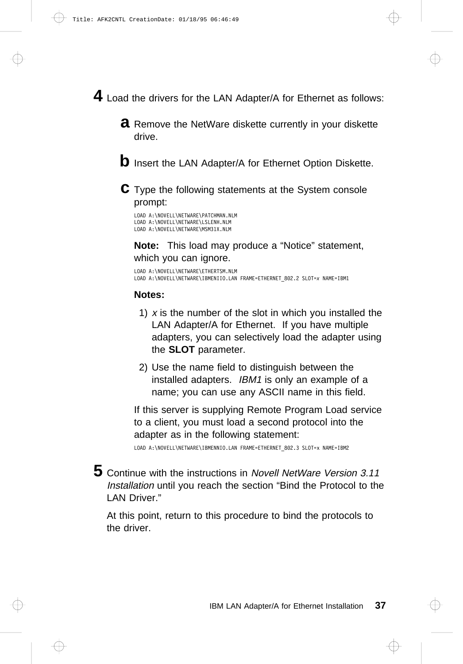**4** Load the drivers for the LAN Adapter/A for Ethernet as follows:

- **a** Remove the NetWare diskette currently in your diskette drive.
- **b** Insert the LAN Adapter/A for Ethernet Option Diskette.
- **c** Type the following statements at the System console prompt:

LOAD A:\NOVELL\NETWARE\PATCHMAN.NLM LOAD A:\NOVELL\NETWARE\LSLENH.NLM LOAD A:\NOVELL\NETWARE\MSM31X.NLM

**Note:** This load may produce a "Notice" statement, which you can ignore.

LOAD A:\NOVELL\NETWARE\ETHERTSM.NLM LOAD A:\NOVELL\NETWARE\IBMENIIO.LAN FRAME=ETHERNET\_8ð2.2 SLOT=*x* NAME=IBM1

#### **Notes:**

- 1)  $x$  is the number of the slot in which you installed the LAN Adapter/A for Ethernet. If you have multiple adapters, you can selectively load the adapter using the **SLOT** parameter.
- 2) Use the name field to distinguish between the installed adapters. IBM1 is only an example of a name; you can use any ASCII name in this field.

If this server is supplying Remote Program Load service to a client, you must load a second protocol into the adapter as in the following statement:

LOAD A:\NOVELL\NETWARE\IBMENNIO.LAN FRAME=ETHERNET\_8ð2.3 SLOT=x NAME=IBM2

**5** Continue with the instructions in Novell NetWare Version 3.11 Installation until you reach the section "Bind the Protocol to the LAN Driver."

At this point, return to this procedure to bind the protocols to the driver.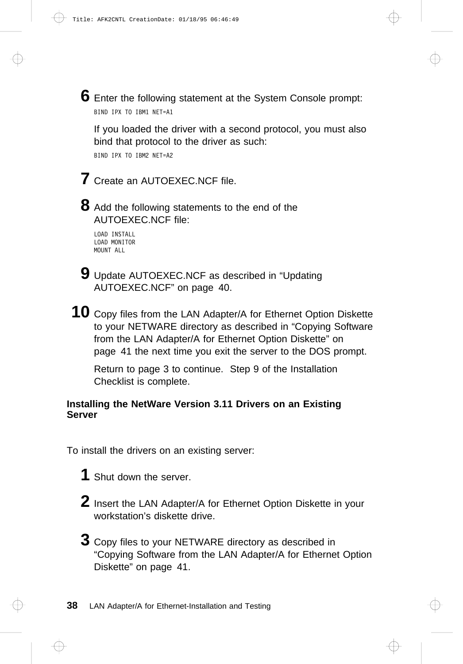**6** Enter the following statement at the System Console prompt: BIND IPX TO IBM1 NET=A1

If you loaded the driver with a second protocol, you must also bind that protocol to the driver as such:

BIND IPX TO IBM2 NET=A2

**7** Create an AUTOEXEC.NCF file.

**8** Add the following statements to the end of the AUTOEXEC.NCF file:

LOAD INSTALL LOAD MONITOR MOUNT ALL

**9** Update AUTOEXEC.NCF as described in "Updating AUTOEXEC.NCF" on page 40.

**10** Copy files from the LAN Adapter/A for Ethernet Option Diskette to your NETWARE directory as described in "Copying Software from the LAN Adapter/A for Ethernet Option Diskette" on page 41 the next time you exit the server to the DOS prompt.

Return to page 3 to continue. Step 9 of the Installation Checklist is complete.

### **Installing the NetWare Version 3.11 Drivers on an Existing Server**

To install the drivers on an existing server:

- **1** Shut down the server.
- **2** Insert the LAN Adapter/A for Ethernet Option Diskette in your workstation's diskette drive.
- **3** Copy files to your NETWARE directory as described in "Copying Software from the LAN Adapter/A for Ethernet Option Diskette" on page 41.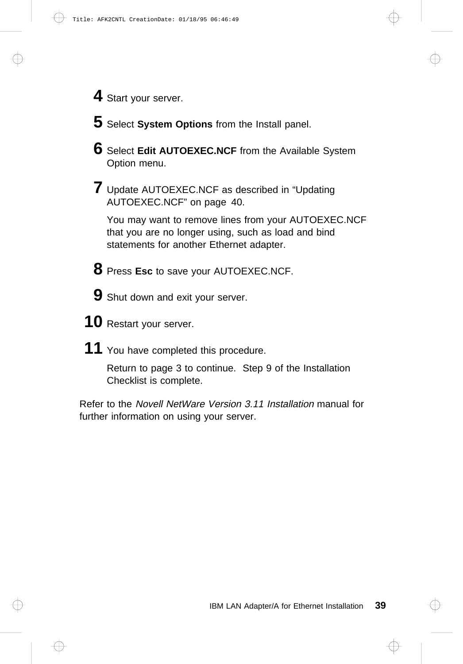- **4** Start your server.
- **5** Select **System Options** from the Install panel.
- **6** Select **Edit AUTOEXEC.NCF** from the Available System Option menu.
- **7** Update AUTOEXEC.NCF as described in "Updating AUTOEXEC.NCF" on page 40.

You may want to remove lines from your AUTOEXEC.NCF that you are no longer using, such as load and bind statements for another Ethernet adapter.

- **8** Press **Esc** to save your AUTOEXEC.NCF.
- **9** Shut down and exit your server.
- 10 Restart your server.
- 11 You have completed this procedure.

Return to page 3 to continue. Step 9 of the Installation Checklist is complete.

Refer to the Novell NetWare Version 3.11 Installation manual for further information on using your server.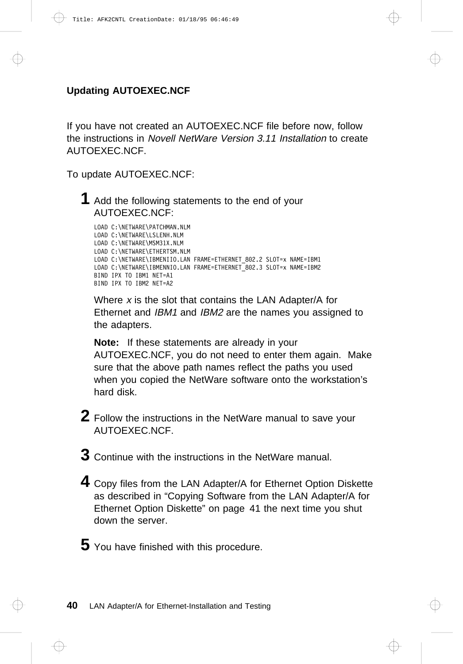### **Updating AUTOEXEC.NCF**

If you have not created an AUTOEXEC.NCF file before now, follow the instructions in Novell NetWare Version 3.11 Installation to create AUTOEXEC.NCF.

To update AUTOEXEC.NCF:

**1** Add the following statements to the end of your AUTOEXEC.NCF:

LOAD C:\NETWARE\PATCHMAN.NLM LOAD C:\NETWARE\LSLENH.NLM LOAD C:\NETWARE\MSM31X.NLM LOAD C:\NETWARE\ETHERTSM.NLM LOAD C:\NETWARE\IBMENIIO.LAN FRAME=ETHERNET\_8ð2.2 SLOT=x NAME=IBM1 LOAD C:\NETWARE\IBMENNIO.LAN FRAME=ETHERNET\_8ð2.3 SLOT=x NAME=IBM2 BIND IPX TO IBM1 NET=A1 BIND IPX TO IBM2 NET=A2

Where  $x$  is the slot that contains the LAN Adapter/A for Ethernet and IBM1 and IBM2 are the names you assigned to the adapters.

**Note:** If these statements are already in your AUTOEXEC.NCF, you do not need to enter them again. Make sure that the above path names reflect the paths you used when you copied the NetWare software onto the workstation's hard disk.

- **2** Follow the instructions in the NetWare manual to save your AUTOEXEC.NCF.
- **3** Continue with the instructions in the NetWare manual.
- **4** Copy files from the LAN Adapter/A for Ethernet Option Diskette as described in "Copying Software from the LAN Adapter/A for Ethernet Option Diskette" on page 41 the next time you shut down the server.
- **5** You have finished with this procedure.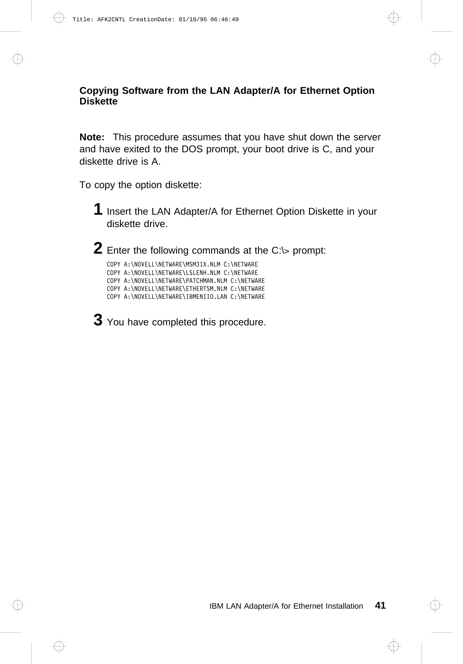#### **Copying Software from the LAN Adapter/A for Ethernet Option Diskette**

**Note:** This procedure assumes that you have shut down the server and have exited to the DOS prompt, your boot drive is C, and your diskette drive is A.

To copy the option diskette:

**1** Insert the LAN Adapter/A for Ethernet Option Diskette in your diskette drive.

**2** Enter the following commands at the C:\> prompt:

COPY A:\NOVELL\NETWARE\MSM31X.NLM C:\NETWARE COPY A:\NOVELL\NETWARE\LSLENH.NLM C:\NETWARE COPY A:\NOVELL\NETWARE\PATCHMAN.NLM C:\NETWARE COPY A:\NOVELL\NETWARE\ETHERTSM.NLM C:\NETWARE COPY A:\NOVELL\NETWARE\IBMENIIO.LAN C:\NETWARE

**3** You have completed this procedure.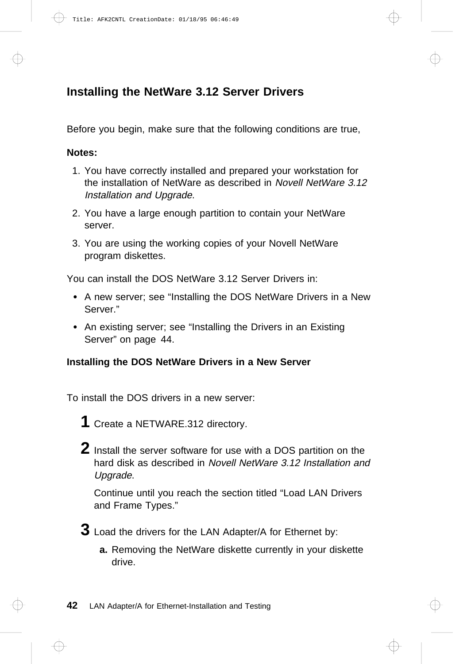## **Installing the NetWare 3.12 Server Drivers**

Before you begin, make sure that the following conditions are true,

#### **Notes:**

- 1. You have correctly installed and prepared your workstation for the installation of NetWare as described in Novell NetWare 3.12 Installation and Upgrade.
- 2. You have a large enough partition to contain your NetWare server.
- 3. You are using the working copies of your Novell NetWare program diskettes.

You can install the DOS NetWare 3.12 Server Drivers in:

- A new server; see "Installing the DOS NetWare Drivers in a New Server."
- An existing server; see "Installing the Drivers in an Existing Server" on page 44.

#### **Installing the DOS NetWare Drivers in a New Server**

To install the DOS drivers in a new server:

- **1** Create a NETWARE.312 directory.
- **2** Install the server software for use with a DOS partition on the hard disk as described in Novell NetWare 3.12 Installation and Upgrade.

Continue until you reach the section titled "Load LAN Drivers and Frame Types."

- **3** Load the drivers for the LAN Adapter/A for Ethernet by:
	- **a.** Removing the NetWare diskette currently in your diskette drive.

**42** LAN Adapter/A for Ethernet-Installation and Testing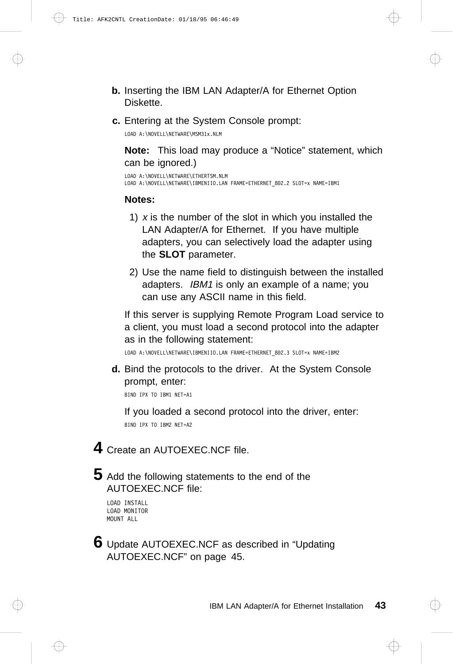- **b.** Inserting the IBM LAN Adapter/A for Ethernet Option Diskette.
- **c.** Entering at the System Console prompt:

LOAD A:\NOVELL\NETWARE\MSM31x.NLM

#### **Note:** This load may produce a "Notice" statement, which can be ignored.)

LOAD A:\NOVELL\NETWARE\ETHERTSM.NLM LOAD A:\NOVELL\NETWARE\IBMENIIO.LAN FRAME=ETHERNET\_8ð2.2 SLOT=x NAME=IBM1

#### **Notes:**

- 1)  $x$  is the number of the slot in which you installed the LAN Adapter/A for Ethernet. If you have multiple adapters, you can selectively load the adapter using the **SLOT** parameter.
- 2) Use the name field to distinguish between the installed adapters. IBM1 is only an example of a name; you can use any ASCII name in this field.

If this server is supplying Remote Program Load service to a client, you must load a second protocol into the adapter as in the following statement:

LOAD A:\NOVELL\NETWARE\IBMENIIO.LAN FRAME=ETHERNET\_8ð2.3 SLOT=x NAME=IBM2

**d.** Bind the protocols to the driver. At the System Console prompt, enter:

BIND IPX TO IBM1 NET=A1

If you loaded a second protocol into the driver, enter: BIND IPX TO IBM2 NET=A2

- **4** Create an AUTOEXEC.NCF file.
- **5** Add the following statements to the end of the AUTOEXEC.NCF file:

LOAD INSTALL LOAD MONITOR MOUNT ALL

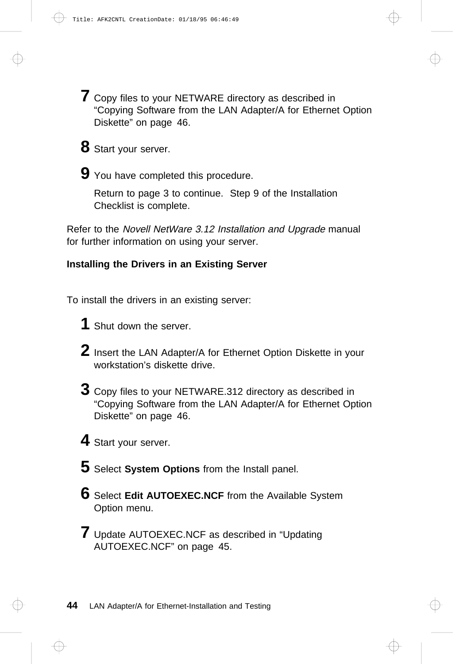**7** Copy files to your NETWARE directory as described in "Copying Software from the LAN Adapter/A for Ethernet Option Diskette" on page 46.



**9** You have completed this procedure.

Return to page 3 to continue. Step 9 of the Installation Checklist is complete.

Refer to the Novell NetWare 3.12 Installation and Upgrade manual for further information on using your server.

### **Installing the Drivers in an Existing Server**

To install the drivers in an existing server:

- **1** Shut down the server.
- **2** Insert the LAN Adapter/A for Ethernet Option Diskette in your workstation's diskette drive.
- **3** Copy files to your NETWARE.312 directory as described in "Copying Software from the LAN Adapter/A for Ethernet Option Diskette" on page 46.
- **4** Start your server.
- **5** Select **System Options** from the Install panel.
- **6** Select **Edit AUTOEXEC.NCF** from the Available System Option menu.
- **7** Update AUTOEXEC.NCF as described in "Updating AUTOEXEC.NCF" on page 45.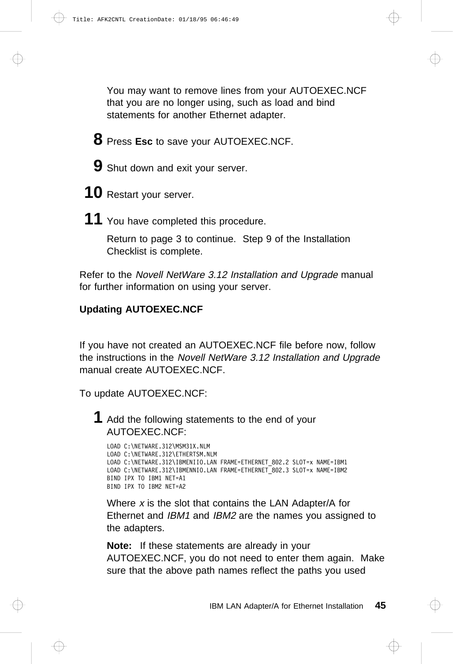You may want to remove lines from your AUTOEXEC.NCF that you are no longer using, such as load and bind statements for another Ethernet adapter.

**8** Press **Esc** to save your AUTOEXEC.NCF.

**9** Shut down and exit your server.

10 Restart your server.

11 You have completed this procedure.

Return to page 3 to continue. Step 9 of the Installation Checklist is complete.

Refer to the Novell NetWare 3.12 Installation and Upgrade manual for further information on using your server.

#### **Updating AUTOEXEC.NCF**

If you have not created an AUTOEXEC.NCF file before now, follow the instructions in the Novell NetWare 3.12 Installation and Upgrade manual create AUTOEXEC NCF

To update AUTOEXEC.NCF:

**1** Add the following statements to the end of your AUTOEXEC.NCF:

```
LOAD C:\NETWARE.312\MSM31X.NLM
LOAD C:\NETWARE.312\ETHERTSM.NLM
LOAD C:\NETWARE.312\IBMENIIO.LAN FRAME=ETHERNET 802.2 SLOT=x NAME=IBM1
LOAD C:\NETWARE.312\IBMENNIO.LAN FRAME=ETHERNET_8ð2.3 SLOT=x NAME=IBM2
BIND IPX TO IBM1 NET=A1
BIND IPX TO IBM2 NET=A2
```
Where  $x$  is the slot that contains the LAN Adapter/A for Ethernet and *IBM1* and *IBM2* are the names you assigned to the adapters.

**Note:** If these statements are already in your AUTOEXEC.NCF, you do not need to enter them again. Make sure that the above path names reflect the paths you used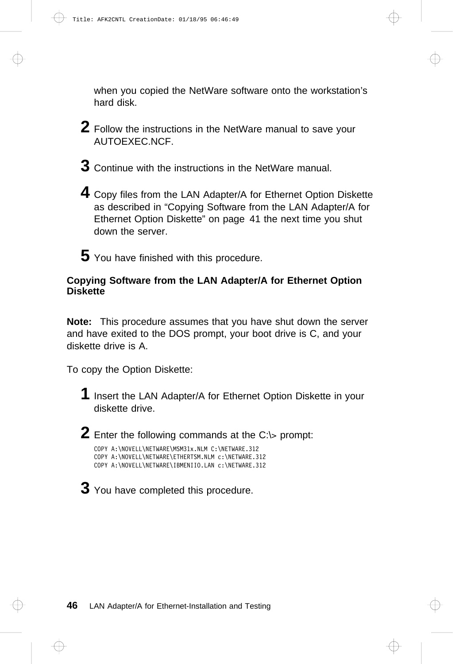when you copied the NetWare software onto the workstation's hard disk.

- **2** Follow the instructions in the NetWare manual to save your AUTOEXEC.NCF.
- **3** Continue with the instructions in the NetWare manual.
- **4** Copy files from the LAN Adapter/A for Ethernet Option Diskette as described in "Copying Software from the LAN Adapter/A for Ethernet Option Diskette" on page 41 the next time you shut down the server.
- **5** You have finished with this procedure.

#### **Copying Software from the LAN Adapter/A for Ethernet Option Diskette**

**Note:** This procedure assumes that you have shut down the server and have exited to the DOS prompt, your boot drive is C, and your diskette drive is A.

To copy the Option Diskette:

- **1** Insert the LAN Adapter/A for Ethernet Option Diskette in your diskette drive.
- **2** Enter the following commands at the C:\> prompt:

```
COPY A:\NOVELL\NETWARE\MSM31x.NLM C:\NETWARE.312
COPY A:\NOVELL\NETWARE\ETHERTSM.NLM c:\NETWARE.312
COPY A:\NOVELL\NETWARE\IBMENIIO.LAN c:\NETWARE.312
```
**3** You have completed this procedure.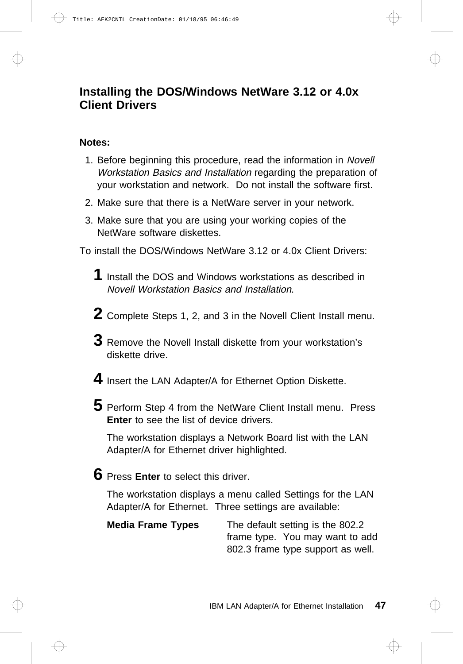# **Installing the DOS/Windows NetWare 3.12 or 4.0x Client Drivers**

#### **Notes:**

- 1. Before beginning this procedure, read the information in Novell Workstation Basics and Installation regarding the preparation of your workstation and network. Do not install the software first.
- 2. Make sure that there is a NetWare server in your network.
- 3. Make sure that you are using your working copies of the NetWare software diskettes.

To install the DOS/Windows NetWare 3.12 or 4.0x Client Drivers:

- **1** Install the DOS and Windows workstations as described in Novell Workstation Basics and Installation.
- **2** Complete Steps 1, 2, and 3 in the Novell Client Install menu.
- **3** Remove the Novell Install diskette from your workstation's diskette drive.
- **4** Insert the LAN Adapter/A for Ethernet Option Diskette.
- **5** Perform Step 4 from the NetWare Client Install menu. Press **Enter** to see the list of device drivers.

The workstation displays a Network Board list with the LAN Adapter/A for Ethernet driver highlighted.

**6** Press **Enter** to select this driver.

The workstation displays a menu called Settings for the LAN Adapter/A for Ethernet. Three settings are available:

| <b>Media Frame Types</b> | The default setting is the 802.2  |
|--------------------------|-----------------------------------|
|                          | frame type. You may want to add   |
|                          | 802.3 frame type support as well. |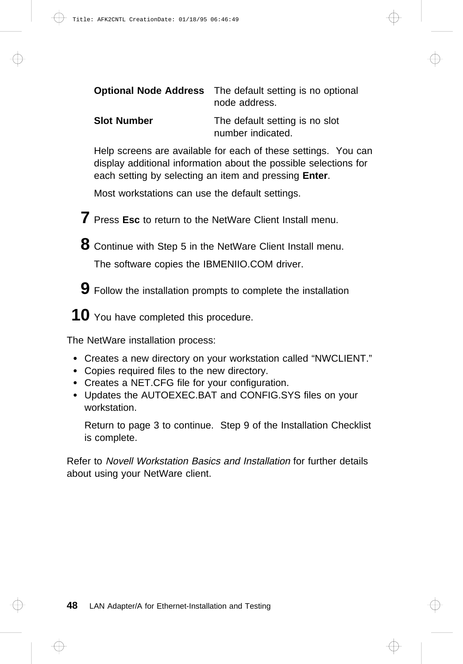| <b>Optional Node Address</b> The default setting is no optional |
|-----------------------------------------------------------------|
| node address.                                                   |
|                                                                 |

**Slot Number** The default setting is no slot number indicated.

Help screens are available for each of these settings. You can display additional information about the possible selections for each setting by selecting an item and pressing **Enter**.

Most workstations can use the default settings.

**7** Press **Esc** to return to the NetWare Client Install menu.

**8** Continue with Step 5 in the NetWare Client Install menu.

The software copies the IBMENIIO.COM driver.

**9** Follow the installation prompts to complete the installation

**10** You have completed this procedure.

The NetWare installation process:

- Creates a new directory on your workstation called "NWCLIENT."
- Copies required files to the new directory.
- Creates a NET.CFG file for your configuration.
- Updates the AUTOEXEC.BAT and CONFIG.SYS files on your workstation.

Return to page 3 to continue. Step 9 of the Installation Checklist is complete.

Refer to Novell Workstation Basics and Installation for further details about using your NetWare client.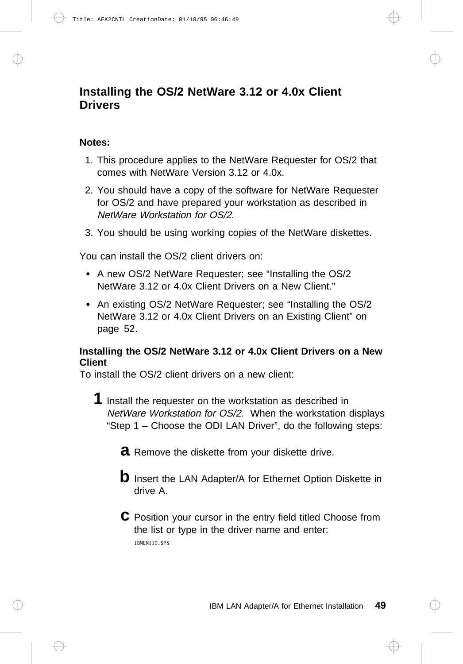## **Installing the OS/2 NetWare 3.12 or 4.0x Client Drivers**

### **Notes:**

- 1. This procedure applies to the NetWare Requester for OS/2 that comes with NetWare Version 3.12 or 4.0x.
- 2. You should have a copy of the software for NetWare Requester for OS/2 and have prepared your workstation as described in NetWare Workstation for OS/2.
- 3. You should be using working copies of the NetWare diskettes.

You can install the OS/2 client drivers on:

- A new OS/2 NetWare Requester; see "Installing the OS/2 NetWare 3.12 or 4.0x Client Drivers on a New Client."
- An existing OS/2 NetWare Requester; see "Installing the OS/2 NetWare 3.12 or 4.0x Client Drivers on an Existing Client" on page 52.

#### **Installing the OS/2 NetWare 3.12 or 4.0x Client Drivers on a New Client**

To install the OS/2 client drivers on a new client:

- **1** Install the requester on the workstation as described in NetWare Workstation for OS/2. When the workstation displays "Step 1 – Choose the ODI LAN Driver", do the following steps:
	- **a** Remove the diskette from your diskette drive.
	- **b** Insert the LAN Adapter/A for Ethernet Option Diskette in drive A.
	- **c** Position your cursor in the entry field titled Choose from the list or type in the driver name and enter: IBMENIIO.SYS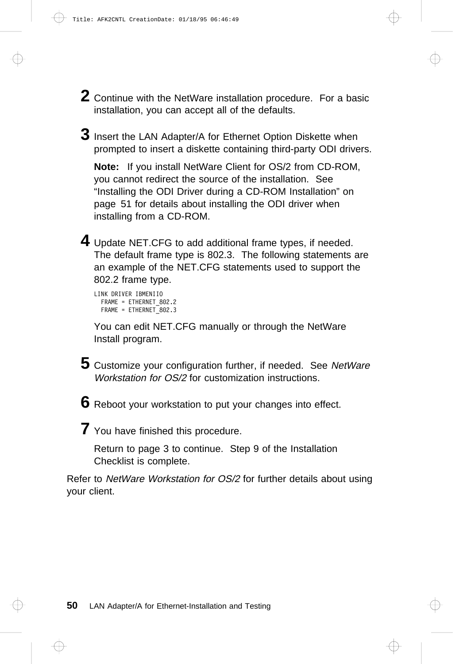- **2** Continue with the NetWare installation procedure. For a basic installation, you can accept all of the defaults.
- **3** Insert the LAN Adapter/A for Ethernet Option Diskette when prompted to insert a diskette containing third-party ODI drivers.

**Note:** If you install NetWare Client for OS/2 from CD-ROM, you cannot redirect the source of the installation. See "Installing the ODI Driver during a CD-ROM Installation" on page 51 for details about installing the ODI driver when installing from a CD-ROM.

**4** Update NET.CFG to add additional frame types, if needed. The default frame type is 802.3. The following statements are an example of the NET.CFG statements used to support the 802.2 frame type.

```
LINK DRIVER IBMENIIO
  FRAME = ETHERNET 802.2
  FRAME = ETHERNET 802.3
```
You can edit NET.CFG manually or through the NetWare Install program.

**5** Customize your configuration further, if needed. See NetWare Workstation for OS/2 for customization instructions.

**6** Reboot your workstation to put your changes into effect.

**7** You have finished this procedure.

Return to page 3 to continue. Step 9 of the Installation Checklist is complete.

Refer to NetWare Workstation for OS/2 for further details about using your client.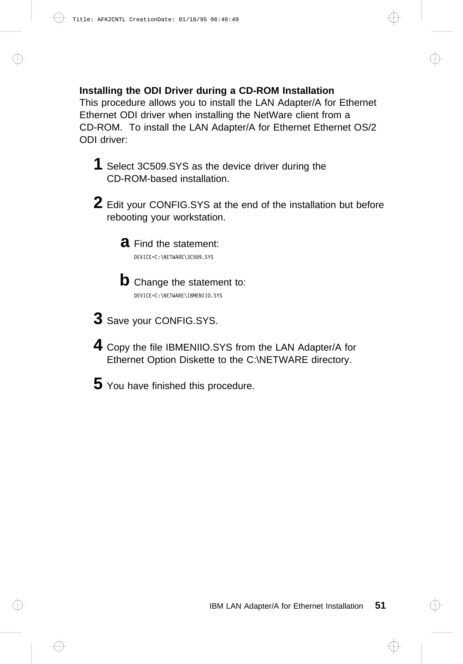#### **Installing the ODI Driver during a CD-ROM Installation**

This procedure allows you to install the LAN Adapter/A for Ethernet Ethernet ODI driver when installing the NetWare client from a CD-ROM. To install the LAN Adapter/A for Ethernet Ethernet OS/2 ODI driver:

- **1** Select 3C509.SYS as the device driver during the CD-ROM-based installation.
- **2** Edit your CONFIG.SYS at the end of the installation but before rebooting your workstation.

**a** Find the statement: DEVICE=C:\NETWARE\3C5ð9.SYS

**b** Change the statement to: DEVICE=C:\NETWARE\IBMENIIO.SYS

- **3** Save your CONFIG.SYS.
- **4** Copy the file IBMENIIO.SYS from the LAN Adapter/A for Ethernet Option Diskette to the C:\NETWARE directory.
- **5** You have finished this procedure.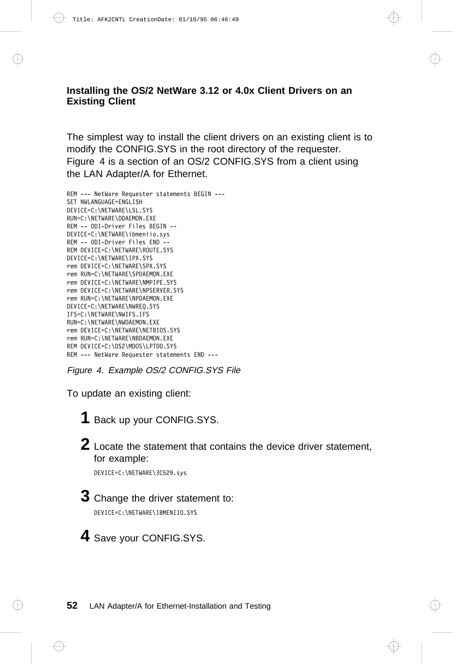#### **Installing the OS/2 NetWare 3.12 or 4.0x Client Drivers on an Existing Client**

The simplest way to install the client drivers on an existing client is to modify the CONFIG.SYS in the root directory of the requester. Figure 4 is a section of an OS/2 CONFIG.SYS from a client using the LAN Adapter/A for Ethernet.

REM --- NetWare Requester statements BEGIN --- SET NWLANGUAGE=ENGLISH DEVICE=C:\NETWARE\LSL.SYS RUN=C:\NETWARE\DDAEMON.EXE REM -- ODI-Driver Files BEGIN -- DEVICE=C:\NETWARE\ibmeniio.sys REM -- ODI-Driver Files END -- REM DEVICE=C:\NETWARE\ROUTE.SYS DEVICE=C:\NETWARE\IPX.SYS rem DEVICE=C:\NETWARE\SPX.SYS rem RUN=C:\NETWARE\SPDAEMON.EXE rem DEVICE=C:\NETWARE\NMPIPE.SYS rem DEVICE=C:\NETWARE\NPSERVER.SYS rem RUN=C:\NETWARE\NPDAEMON.EXE DEVICE=C:\NETWARE\NWREQ.SYS IFS=C:\NETWARE\NWIFS.IFS RUN=C:\NETWARE\NWDAEMON.EXE rem DEVICE=C:\NETWARE\NETBIOS.SYS rem RUN=C:\NETWARE\NBDAEMON.EXE REM DEVICE=C:\OS2\MDOS\LPTDD.SYS REM --- NetWare Requester statements END ---

Figure 4. Example OS/2 CONFIG.SYS File

To update an existing client:

**1** Back up your CONFIG.SYS.

**2** Locate the statement that contains the device driver statement, for example:

DEVICE=C:\NETWARE\3C529.sys

## **3** Change the driver statement to: DEVICE=C:\NETWARE\IBMENIIO.SYS

**4** Save your CONFIG.SYS.

**52** LAN Adapter/A for Ethernet-Installation and Testing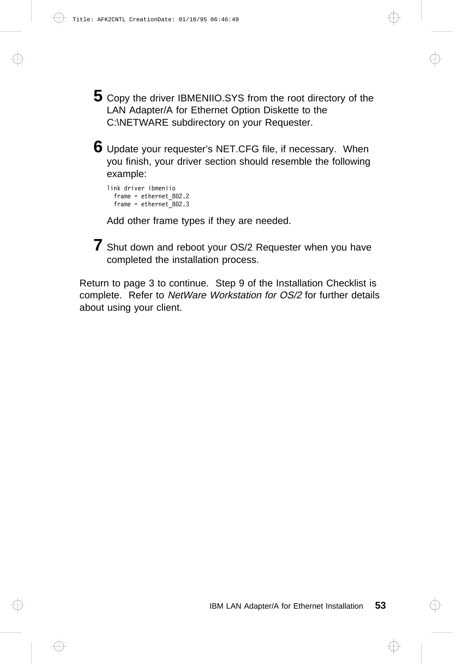**5** Copy the driver IBMENIIO.SYS from the root directory of the LAN Adapter/A for Ethernet Option Diskette to the C:\NETWARE subdirectory on your Requester.



**6** Update your requester's NET.CFG file, if necessary. When you finish, your driver section should resemble the following example:

```
link driver ibmeniio
  frame = ethernet_8ð2.2
  frame = ethernet802.3
```
Add other frame types if they are needed.

**7** Shut down and reboot your OS/2 Requester when you have completed the installation process.

Return to page 3 to continue. Step 9 of the Installation Checklist is complete. Refer to NetWare Workstation for OS/2 for further details about using your client.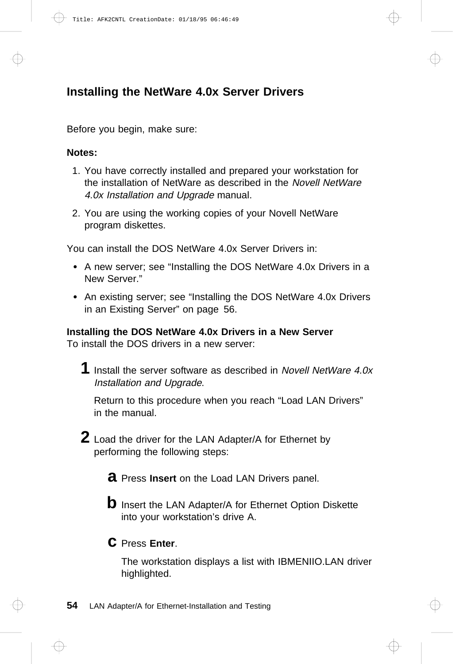# **Installing the NetWare 4.0x Server Drivers**

Before you begin, make sure:

#### **Notes:**

- 1. You have correctly installed and prepared your workstation for the installation of NetWare as described in the Novell NetWare 4.0x Installation and Upgrade manual.
- 2. You are using the working copies of your Novell NetWare program diskettes.

You can install the DOS NetWare 4.0x Server Drivers in:

- A new server; see "Installing the DOS NetWare 4.0x Drivers in a New Server."
- An existing server; see "Installing the DOS NetWare 4.0x Drivers in an Existing Server" on page 56.

**Installing the DOS NetWare 4.0x Drivers in a New Server** To install the DOS drivers in a new server:

**1** Install the server software as described in Novell NetWare 4.0x Installation and Upgrade.

Return to this procedure when you reach "Load LAN Drivers" in the manual.

- **2** Load the driver for the LAN Adapter/A for Ethernet by performing the following steps:
	- **a** Press **Insert** on the Load LAN Drivers panel.
	- **b** Insert the LAN Adapter/A for Ethernet Option Diskette into your workstation's drive A.

#### **c** Press **Enter**.

The workstation displays a list with IBMENIIO.LAN driver highlighted.

**54** LAN Adapter/A for Ethernet-Installation and Testing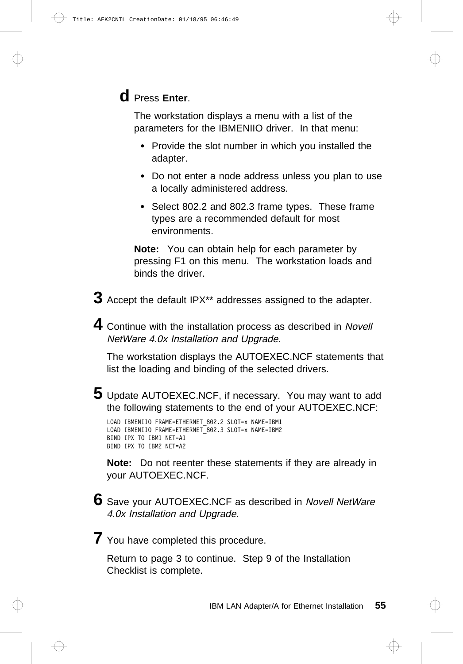# **d** Press **Enter**.

The workstation displays a menu with a list of the parameters for the IBMENIIO driver. In that menu:

- Provide the slot number in which you installed the adapter.
- Do not enter a node address unless you plan to use a locally administered address.
- Select 802.2 and 802.3 frame types. These frame types are a recommended default for most environments.

**Note:** You can obtain help for each parameter by pressing F1 on this menu. The workstation loads and binds the driver.

**3** Accept the default IPX\*\* addresses assigned to the adapter.

**4** Continue with the installation process as described in Novell NetWare 4.0x Installation and Upgrade.

The workstation displays the AUTOEXEC.NCF statements that list the loading and binding of the selected drivers.

**5** Update AUTOEXEC.NCF, if necessary. You may want to add the following statements to the end of your AUTOEXEC.NCF:

```
LOAD IBMENIIO FRAME=ETHERNET_8ð2.2 SLOT=x NAME=IBM1
LOAD IBMENIIO FRAME=ETHERNET_8ð2.3 SLOT=x NAME=IBM2
BIND IPX TO IBM1 NET=A1
BIND IPX TO IBM2 NET=A2
```
**Note:** Do not reenter these statements if they are already in your AUTOEXEC.NCF.

- **6** Save your AUTOEXEC.NCF as described in Novell NetWare 4.0x Installation and Upgrade.
- **7** You have completed this procedure.

Return to page 3 to continue. Step 9 of the Installation Checklist is complete.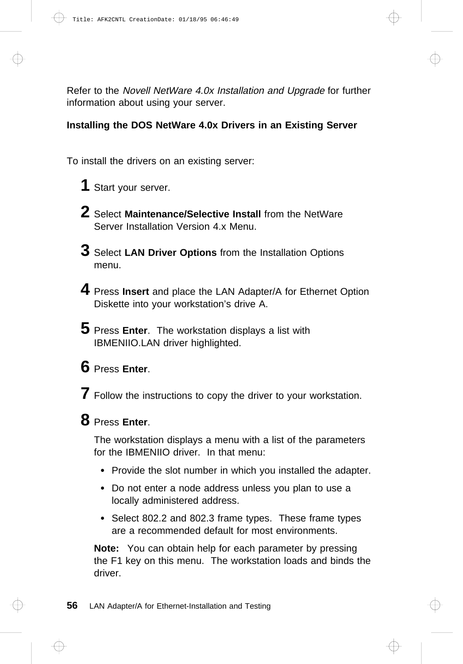Refer to the Novell NetWare 4.0x Installation and Upgrade for further information about using your server.

#### **Installing the DOS NetWare 4.0x Drivers in an Existing Server**

To install the drivers on an existing server:

- **1** Start your server.
- **2** Select **Maintenance/Selective Install** from the NetWare Server Installation Version 4 x Menu
- **3** Select **LAN Driver Options** from the Installation Options menu.
- **4** Press **Insert** and place the LAN Adapter/A for Ethernet Option Diskette into your workstation's drive A.
- **5** Press **Enter**. The workstation displays a list with IBMENIIO.LAN driver highlighted.
- **6** Press **Enter**.
- **7** Follow the instructions to copy the driver to your workstation.

## **8** Press **Enter**.

The workstation displays a menu with a list of the parameters for the IBMENIIO driver. In that menu:

- Provide the slot number in which you installed the adapter.
- Do not enter a node address unless you plan to use a locally administered address.
- Select 802.2 and 802.3 frame types. These frame types are a recommended default for most environments.

**Note:** You can obtain help for each parameter by pressing the F1 key on this menu. The workstation loads and binds the driver.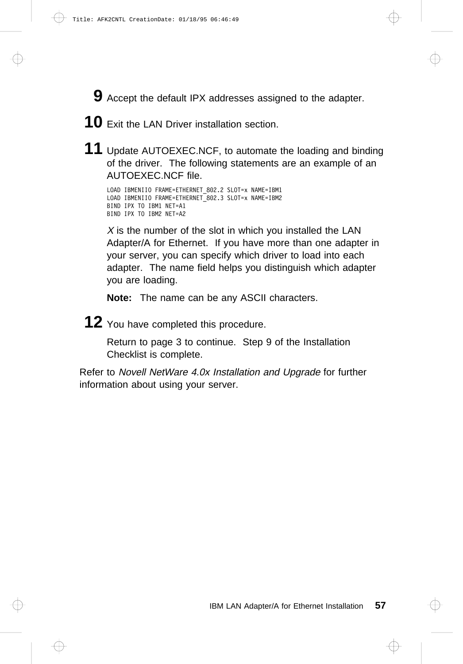**9** Accept the default IPX addresses assigned to the adapter.

- **10** Exit the LAN Driver installation section.
- **11** Update AUTOEXEC.NCF, to automate the loading and binding of the driver. The following statements are an example of an AUTOEXEC.NCF file.

```
LOAD IBMENIIO FRAME=ETHERNET_8ð2.2 SLOT=x NAME=IBM1
LOAD IBMENIIO FRAME=ETHERNET_8ð2.3 SLOT=x NAME=IBM2
BIND IPX TO IBM1 NET=A1
BIND IPX TO IBM2 NET=A2
```
 $X$  is the number of the slot in which you installed the LAN Adapter/A for Ethernet. If you have more than one adapter in your server, you can specify which driver to load into each adapter. The name field helps you distinguish which adapter you are loading.

**Note:** The name can be any ASCII characters.

12 You have completed this procedure.

Return to page 3 to continue. Step 9 of the Installation Checklist is complete.

Refer to Novell NetWare 4.0x Installation and Upgrade for further information about using your server.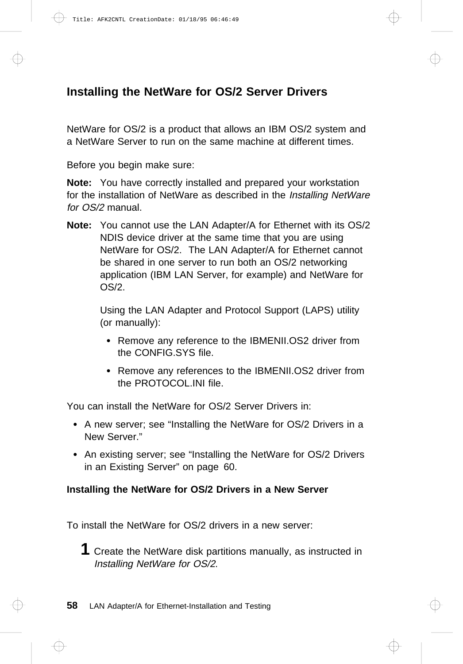## **Installing the NetWare for OS/2 Server Drivers**

NetWare for OS/2 is a product that allows an IBM OS/2 system and a NetWare Server to run on the same machine at different times.

Before you begin make sure:

**Note:** You have correctly installed and prepared your workstation for the installation of NetWare as described in the Installing NetWare for OS/2 manual.

**Note:** You cannot use the LAN Adapter/A for Ethernet with its OS/2 NDIS device driver at the same time that you are using NetWare for OS/2. The LAN Adapter/A for Ethernet cannot be shared in one server to run both an OS/2 networking application (IBM LAN Server, for example) and NetWare for OS/2.

> Using the LAN Adapter and Protocol Support (LAPS) utility (or manually):

- Remove any reference to the IBMENII.OS2 driver from the CONFIG.SYS file.
- Remove any references to the IBMENII.OS2 driver from the PROTOCOL.INI file.

You can install the NetWare for OS/2 Server Drivers in:

- A new server; see "Installing the NetWare for OS/2 Drivers in a New Server."
- An existing server; see "Installing the NetWare for OS/2 Drivers in an Existing Server" on page 60.

#### **Installing the NetWare for OS/2 Drivers in a New Server**

To install the NetWare for OS/2 drivers in a new server:

**1** Create the NetWare disk partitions manually, as instructed in Installing NetWare for OS/2.

**58** LAN Adapter/A for Ethernet-Installation and Testing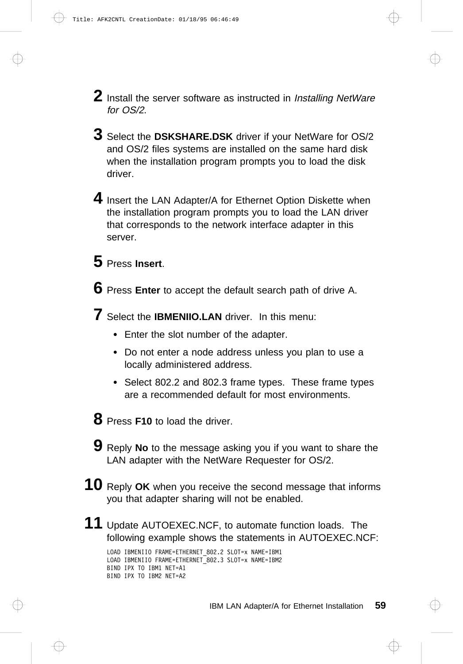**2** Install the server software as instructed in Installing NetWare for OS/2.

**3** Select the **DSKSHARE.DSK** driver if your NetWare for OS/2 and OS/2 files systems are installed on the same hard disk when the installation program prompts you to load the disk driver.

**4** Insert the LAN Adapter/A for Ethernet Option Diskette when the installation program prompts you to load the LAN driver that corresponds to the network interface adapter in this server.

 **5** Press **Insert**.

**6** Press **Enter** to accept the default search path of drive A.

**7** Select the **IBMENIIO.LAN** driver. In this menu:

- Enter the slot number of the adapter.
- Do not enter a node address unless you plan to use a locally administered address.
- Select 802.2 and 802.3 frame types. These frame types are a recommended default for most environments.
- **8** Press **F10** to load the driver.
- **9** Reply **No** to the message asking you if you want to share the LAN adapter with the NetWare Requester for OS/2.
- **10** Reply **OK** when you receive the second message that informs you that adapter sharing will not be enabled.
- **11** Update AUTOEXEC.NCF, to automate function loads. The following example shows the statements in AUTOEXEC.NCF:

```
LOAD IBMENIIO FRAME=ETHERNET 802.2 SLOT=x NAME=IBM1
LOAD IBMENIIO FRAME=ETHERNET_8ð2.3 SLOT=x NAME=IBM2
BIND IPX TO IBM1 NET=A1
BIND IPX TO IBM2 NET=A2
```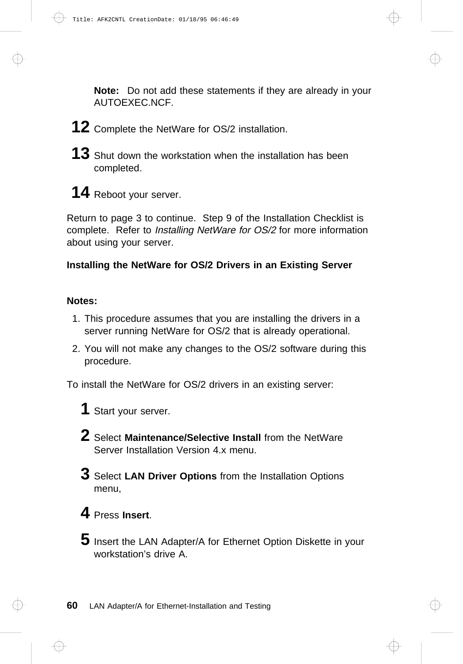**Note:** Do not add these statements if they are already in your AUTOEXEC.NCF.

**12** Complete the NetWare for OS/2 installation.

- **13** Shut down the workstation when the installation has been completed.
- **14** Reboot your server.

Return to page 3 to continue. Step 9 of the Installation Checklist is complete. Refer to Installing NetWare for OS/2 for more information about using your server.

### **Installing the NetWare for OS/2 Drivers in an Existing Server**

### **Notes:**

- 1. This procedure assumes that you are installing the drivers in a server running NetWare for OS/2 that is already operational.
- 2. You will not make any changes to the OS/2 software during this procedure.

To install the NetWare for OS/2 drivers in an existing server:

- **1** Start your server.
- **2** Select **Maintenance/Selective Install** from the NetWare Server Installation Version 4.x menu.
- **3** Select **LAN Driver Options** from the Installation Options menu,
- **4** Press **Insert**.
- **5** Insert the LAN Adapter/A for Ethernet Option Diskette in your workstation's drive A.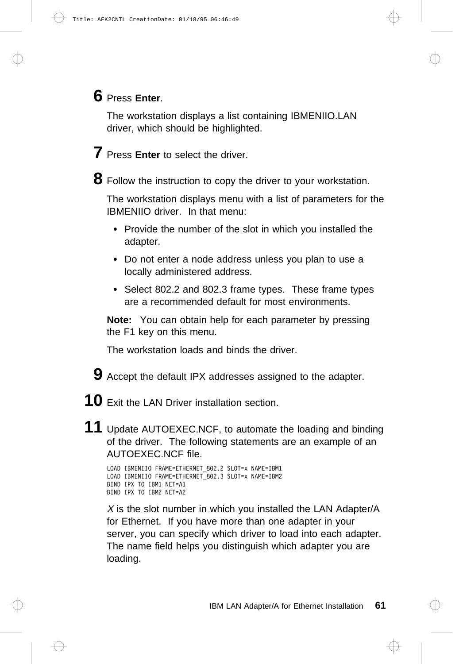# **6** Press **Enter**.

The workstation displays a list containing IBMENIIO.LAN driver, which should be highlighted.

**7** Press **Enter** to select the driver.

**8** Follow the instruction to copy the driver to your workstation.

The workstation displays menu with a list of parameters for the IBMENIIO driver. In that menu:

- Provide the number of the slot in which you installed the adapter.
- Do not enter a node address unless you plan to use a locally administered address.
- Select 802.2 and 802.3 frame types. These frame types are a recommended default for most environments.

**Note:** You can obtain help for each parameter by pressing the F1 key on this menu.

The workstation loads and binds the driver.

**9** Accept the default IPX addresses assigned to the adapter.

- **10** Exit the LAN Driver installation section.
- **11** Update AUTOEXEC.NCF, to automate the loading and binding of the driver. The following statements are an example of an AUTOEXEC.NCF file.

```
LOAD IBMENIIO FRAME=ETHERNET 802.2 SLOT=x NAME=IBM1
LOAD IBMENIIO FRAME=ETHERNET_8ð2.3 SLOT=x NAME=IBM2
BIND IPX TO IBM1 NET=A1
BIND IPX TO IBM2 NET=A2
```
 $X$  is the slot number in which you installed the LAN Adapter/A for Ethernet. If you have more than one adapter in your server, you can specify which driver to load into each adapter. The name field helps you distinguish which adapter you are loading.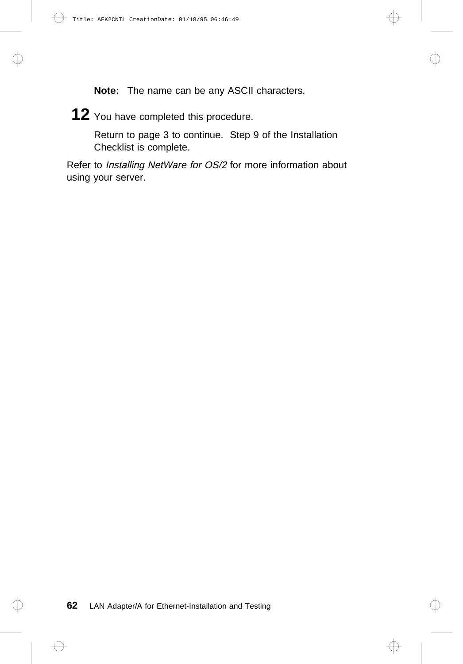**Note:** The name can be any ASCII characters.

12 You have completed this procedure.

Return to page 3 to continue. Step 9 of the Installation Checklist is complete.

Refer to Installing NetWare for OS/2 for more information about using your server.

 $\oplus$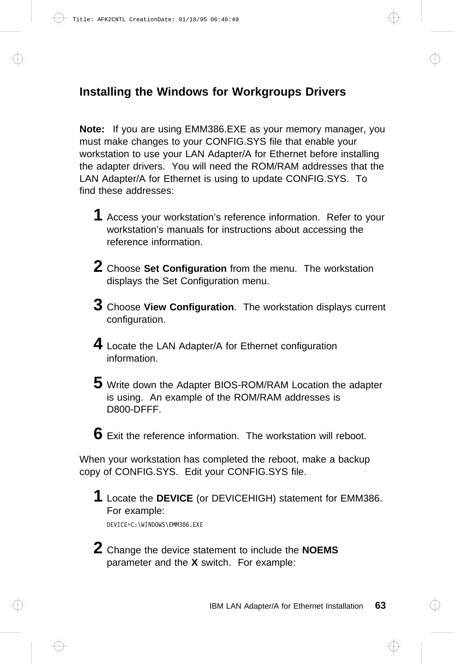# **Installing the Windows for Workgroups Drivers**

**Note:** If you are using EMM386.EXE as your memory manager, you must make changes to your CONFIG.SYS file that enable your workstation to use your LAN Adapter/A for Ethernet before installing the adapter drivers. You will need the ROM/RAM addresses that the LAN Adapter/A for Ethernet is using to update CONFIG.SYS. To find these addresses:

- **1** Access your workstation's reference information. Refer to your workstation's manuals for instructions about accessing the reference information.
- **2** Choose **Set Configuration** from the menu. The workstation displays the Set Configuration menu.
- **3** Choose **View Configuration**. The workstation displays current configuration.
- **4** Locate the LAN Adapter/A for Ethernet configuration information.
- **5** Write down the Adapter BIOS-ROM/RAM Location the adapter is using. An example of the ROM/RAM addresses is D800-DFFF.
- **6** Exit the reference information. The workstation will reboot.

When your workstation has completed the reboot, make a backup copy of CONFIG.SYS. Edit your CONFIG.SYS file.

**1** Locate the **DEVICE** (or DEVICEHIGH) statement for EMM386. For example:

DEVICE=C:\WINDOWS\EMM386.EXE

**2** Change the device statement to include the **NOEMS** parameter and the **X** switch. For example: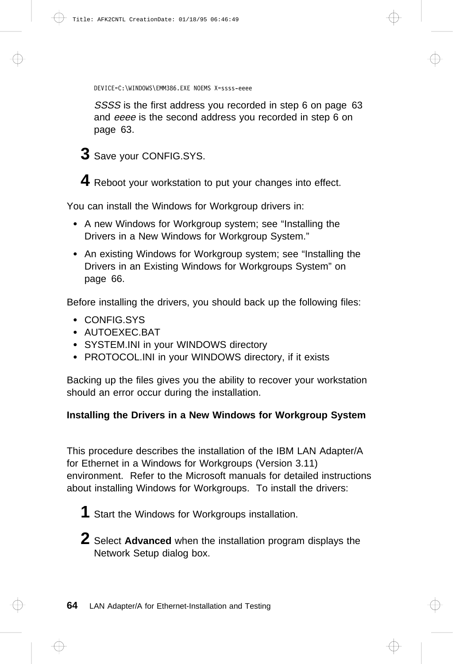DEVICE=C:\WINDOWS\EMM386.EXE NOEMS X=ssss-eeee

SSSS is the first address you recorded in step 6 on page 63 and eeee is the second address you recorded in step 6 on page 63.

**3** Save your CONFIG.SYS.

**4** Reboot your workstation to put your changes into effect.

You can install the Windows for Workgroup drivers in:

- A new Windows for Workgroup system; see "Installing the Drivers in a New Windows for Workgroup System."
- An existing Windows for Workgroup system; see "Installing the Drivers in an Existing Windows for Workgroups System" on page 66.

Before installing the drivers, you should back up the following files:

- CONFIG.SYS
- AUTOEXEC.BAT
- SYSTEM.INI in your WINDOWS directory
- PROTOCOL.INI in your WINDOWS directory, if it exists

Backing up the files gives you the ability to recover your workstation should an error occur during the installation.

### **Installing the Drivers in a New Windows for Workgroup System**

This procedure describes the installation of the IBM LAN Adapter/A for Ethernet in a Windows for Workgroups (Version 3.11) environment. Refer to the Microsoft manuals for detailed instructions about installing Windows for Workgroups. To install the drivers:

- **1** Start the Windows for Workgroups installation.
- **2** Select **Advanced** when the installation program displays the Network Setup dialog box.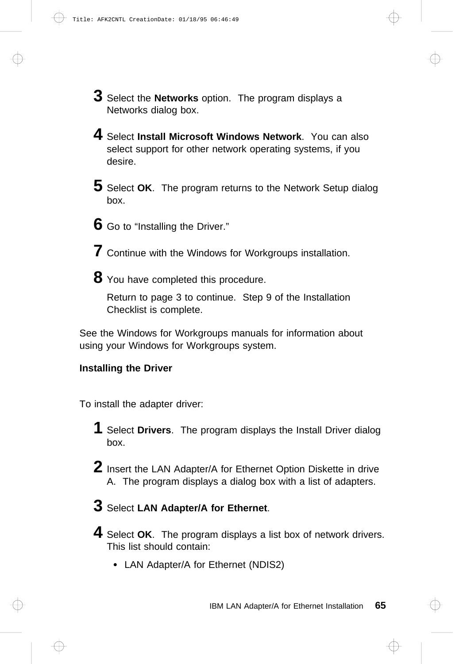- **3** Select the **Networks** option. The program displays a Networks dialog box.
- **4** Select **Install Microsoft Windows Network**. You can also select support for other network operating systems, if you desire.
- **5** Select **OK**. The program returns to the Network Setup dialog box.
- **6** Go to "Installing the Driver."



**8** You have completed this procedure.

Return to page 3 to continue. Step 9 of the Installation Checklist is complete.

See the Windows for Workgroups manuals for information about using your Windows for Workgroups system.

#### **Installing the Driver**

To install the adapter driver:

- **1** Select **Drivers**. The program displays the Install Driver dialog box.
- **2** Insert the LAN Adapter/A for Ethernet Option Diskette in drive A. The program displays a dialog box with a list of adapters.
- **3** Select **LAN Adapter/A for Ethernet**.
- **4** Select **OK**. The program displays a list box of network drivers. This list should contain:
	- LAN Adapter/A for Ethernet (NDIS2)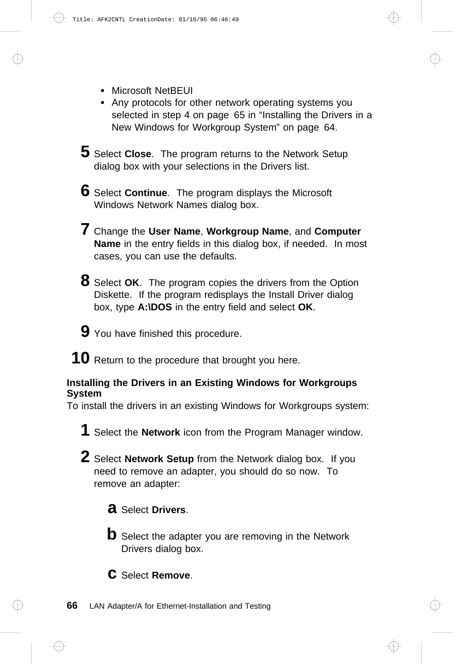- Microsoft NetBEUI
- Any protocols for other network operating systems you selected in step 4 on page 65 in "Installing the Drivers in a New Windows for Workgroup System" on page 64.
- **5** Select **Close**. The program returns to the Network Setup dialog box with your selections in the Drivers list.
- **6** Select **Continue**. The program displays the Microsoft Windows Network Names dialog box.
- **7** Change the **User Name**, **Workgroup Name**, and **Computer Name** in the entry fields in this dialog box, if needed. In most cases, you can use the defaults.
- **8** Select **OK**. The program copies the drivers from the Option Diskette. If the program redisplays the Install Driver dialog box, type **A:\DOS** in the entry field and select **OK**.
- **9** You have finished this procedure.
- **10** Return to the procedure that brought you here.

### **Installing the Drivers in an Existing Windows for Workgroups System**

To install the drivers in an existing Windows for Workgroups system:

- **1** Select the **Network** icon from the Program Manager window.
- **2** Select **Network Setup** from the Network dialog box. If you need to remove an adapter, you should do so now. To remove an adapter:

## **a** Select **Drivers**.

- **b** Select the adapter you are removing in the Network Drivers dialog box.
- **c** Select **Remove**.
- **66** LAN Adapter/A for Ethernet-Installation and Testing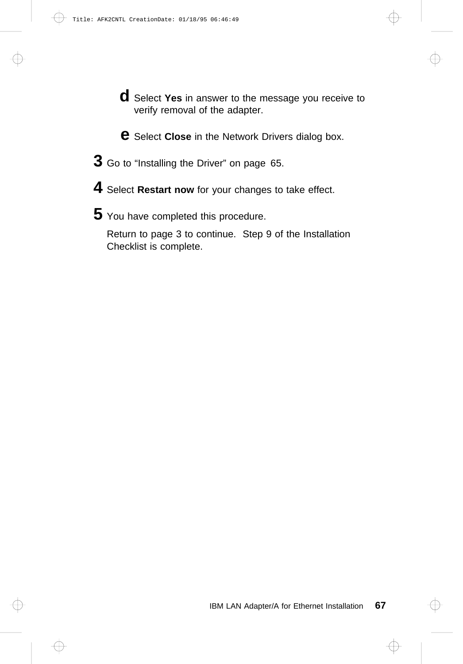**d** Select **Yes** in answer to the message you receive to verify removal of the adapter.

- **e** Select **Close** in the Network Drivers dialog box.
- **3** Go to "Installing the Driver" on page 65.
- **4** Select **Restart now** for your changes to take effect.
- **5** You have completed this procedure.

Return to page 3 to continue. Step 9 of the Installation Checklist is complete.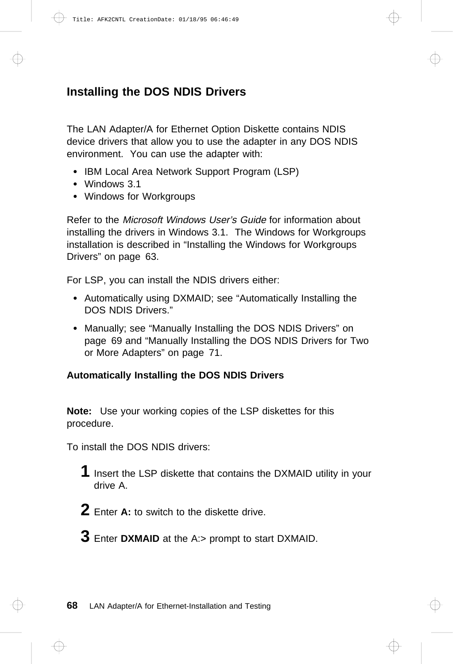# **Installing the DOS NDIS Drivers**

The LAN Adapter/A for Ethernet Option Diskette contains NDIS device drivers that allow you to use the adapter in any DOS NDIS environment. You can use the adapter with:

- IBM Local Area Network Support Program (LSP)
- Windows 3.1
- Windows for Workgroups

Refer to the Microsoft Windows User's Guide for information about installing the drivers in Windows 3.1. The Windows for Workgroups installation is described in "Installing the Windows for Workgroups Drivers" on page 63.

For LSP, you can install the NDIS drivers either:

- Automatically using DXMAID; see "Automatically Installing the DOS NDIS Drivers."
- Manually; see "Manually Installing the DOS NDIS Drivers" on page 69 and "Manually Installing the DOS NDIS Drivers for Two or More Adapters" on page 71.

### **Automatically Installing the DOS NDIS Drivers**

**Note:** Use your working copies of the LSP diskettes for this procedure.

To install the DOS NDIS drivers:

**1** Insert the LSP diskette that contains the DXMAID utility in your drive A.

**2** Enter **A:** to switch to the diskette drive.

**3** Enter **DXMAID** at the A:> prompt to start DXMAID.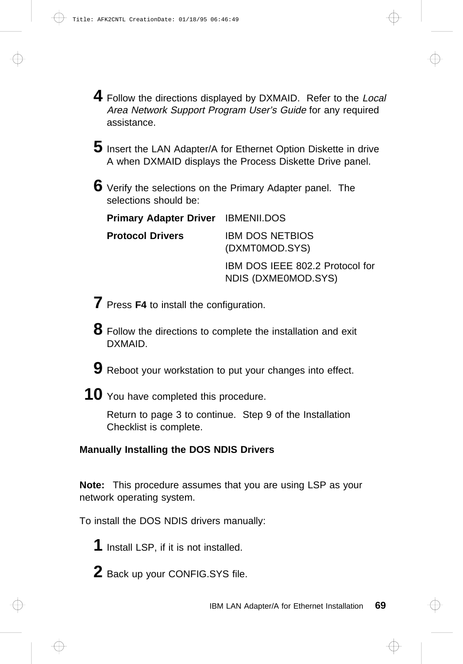**4** Follow the directions displayed by DXMAID. Refer to the Local Area Network Support Program User's Guide for any required assistance.

**5** Insert the LAN Adapter/A for Ethernet Option Diskette in drive A when DXMAID displays the Process Diskette Drive panel.

**6** Verify the selections on the Primary Adapter panel. The selections should be:

| Primary Adapter Driver IBMENII.DOS |                                                        |  |  |
|------------------------------------|--------------------------------------------------------|--|--|
| <b>Protocol Drivers</b>            | <b>IBM DOS NETBIOS</b><br>(DXMT0MOD.SYS)               |  |  |
|                                    | IBM DOS IEEE 802.2 Protocol for<br>NDIS (DXME0MOD.SYS) |  |  |

**7** Press **F4** to install the configuration.

**8** Follow the directions to complete the installation and exit DXMAID.

**9** Reboot your workstation to put your changes into effect.

**10** You have completed this procedure.

Return to page 3 to continue. Step 9 of the Installation Checklist is complete.

## **Manually Installing the DOS NDIS Drivers**

**Note:** This procedure assumes that you are using LSP as your network operating system.

To install the DOS NDIS drivers manually:

**1** Install LSP, if it is not installed.

**2** Back up your CONFIG.SYS file.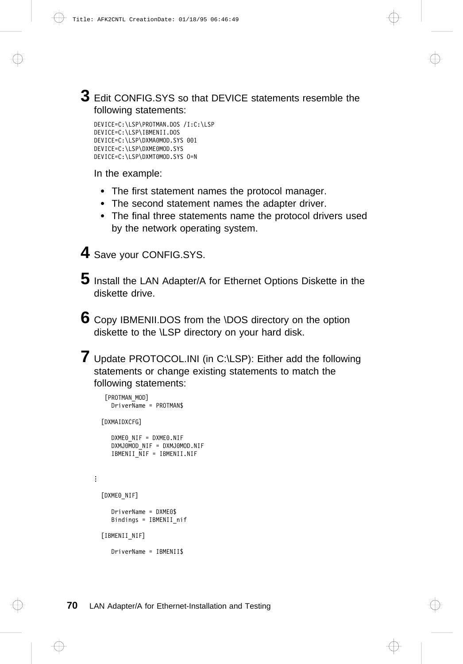**3** Edit CONFIG.SYS so that DEVICE statements resemble the following statements:

DEVICE=C:\LSP\PROTMAN.DOS /I:C:\LSP DEVICE=C:\LSP\IBMENII.DOS DEVICE=C:\LSP\DXMAðMOD.SYS ðð1 DEVICE=C:\LSP\DXMEðMOD.SYS DEVICE=C:\LSP\DXMTðMOD.SYS O=N

In the example:

- The first statement names the protocol manager.
- The second statement names the adapter driver.
- The final three statements name the protocol drivers used by the network operating system.
- **4** Save your CONFIG.SYS.
- **5** Install the LAN Adapter/A for Ethernet Options Diskette in the diskette drive.
- **6** Copy IBMENII.DOS from the \DOS directory on the option diskette to the \LSP directory on your hard disk.
- **7** Update PROTOCOL.INI (in C:\LSP): Either add the following statements or change existing statements to match the following statements:

```
[PROTMAN_MOD]
  DriverName = PROTIMAN$[DXMAIDXCFG]
  DXMEð_NIF = DXMEð.NIF
  DXMJ0MODNIF = DXMJ0MOD.NIFIBMENII_NIF = IBMENII.NIF
[DXMEð_NIF]
  DriverName = DXMEð$
  Bindings = IBMENII_nif
[IBMENII_NIF]
  DriverName = IBMENII$
```
...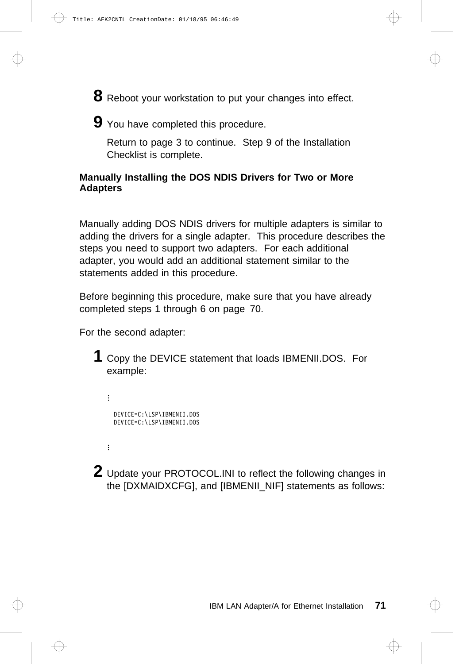**8** Reboot your workstation to put your changes into effect.

**9** You have completed this procedure.

Return to page 3 to continue. Step 9 of the Installation Checklist is complete.

## **Manually Installing the DOS NDIS Drivers for Two or More Adapters**

Manually adding DOS NDIS drivers for multiple adapters is similar to adding the drivers for a single adapter. This procedure describes the steps you need to support two adapters. For each additional adapter, you would add an additional statement similar to the statements added in this procedure.

Before beginning this procedure, make sure that you have already completed steps 1 through 6 on page 70.

For the second adapter:

**1** Copy the DEVICE statement that loads IBMENII.DOS. For example:

```
...
   DEVICE=C:\LSP\IBMENII.DOS
   DEVICE=C:\LSP\IBMENII.DOS
...
```
**2** Update your PROTOCOL.INI to reflect the following changes in the [DXMAIDXCFG], and [IBMENII\_NIF] statements as follows: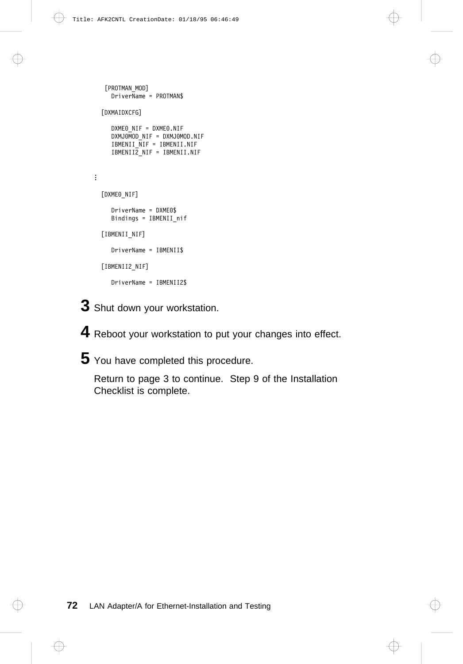```
[PROTMAN_MOD]
     DriverName = PROTIMAN$[DXMAIDXCFG]
     DXMEð_NIF = DXMEð.NIF
     DXMJ0MOD_NIF = DXMJ0MOD.NIF
     IBMENII_NIF = IBMENII.NIF
     IBMENTZ NIF = IBMENII.NIF
...
  [DXMEð_NIF]
     DriverName = DXMEð$
     Bindings = IBMENII_nif
  [IBMENII_NIF]
     DriverName = IBMENII$
  [IBMENII2_NIF]
     DriverName = IBMENII2$
```
**3** Shut down your workstation.

- **4** Reboot your workstation to put your changes into effect.
- **5** You have completed this procedure.

Return to page 3 to continue. Step 9 of the Installation Checklist is complete.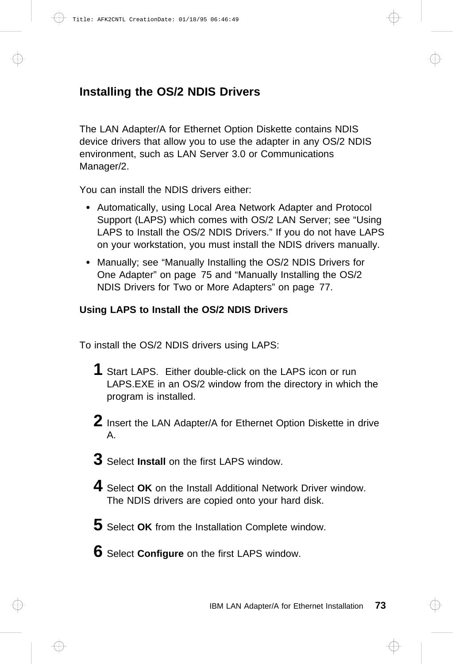# **Installing the OS/2 NDIS Drivers**

The LAN Adapter/A for Ethernet Option Diskette contains NDIS device drivers that allow you to use the adapter in any OS/2 NDIS environment, such as LAN Server 3.0 or Communications Manager/2.

You can install the NDIS drivers either:

- Automatically, using Local Area Network Adapter and Protocol Support (LAPS) which comes with OS/2 LAN Server; see "Using LAPS to Install the OS/2 NDIS Drivers." If you do not have LAPS on your workstation, you must install the NDIS drivers manually.
- Manually; see "Manually Installing the OS/2 NDIS Drivers for One Adapter" on page 75 and "Manually Installing the OS/2 NDIS Drivers for Two or More Adapters" on page 77.

### **Using LAPS to Install the OS/2 NDIS Drivers**

To install the OS/2 NDIS drivers using LAPS:

- **1** Start LAPS. Either double-click on the LAPS icon or run LAPS.EXE in an OS/2 window from the directory in which the program is installed.
- **2** Insert the LAN Adapter/A for Ethernet Option Diskette in drive A.
- **3** Select **Install** on the first LAPS window.
- **4** Select **OK** on the Install Additional Network Driver window. The NDIS drivers are copied onto your hard disk.
- **5** Select **OK** from the Installation Complete window.
- **6** Select **Configure** on the first LAPS window.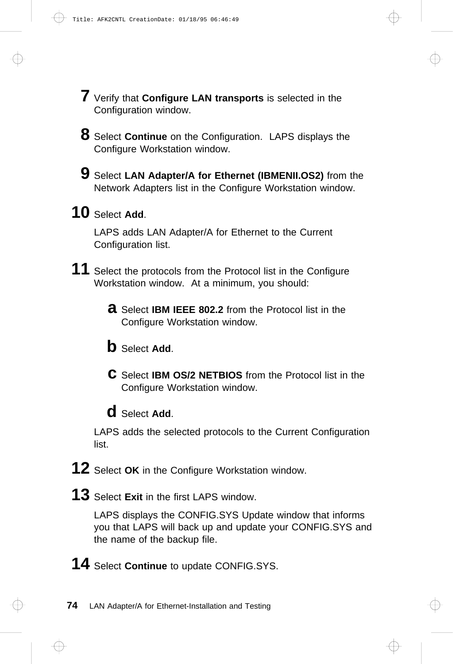**7** Verify that **Configure LAN transports** is selected in the Configuration window.

- **8** Select **Continue** on the Configuration. LAPS displays the Configure Workstation window.
- **9** Select **LAN Adapter/A for Ethernet (IBMENII.OS2)** from the Network Adapters list in the Configure Workstation window.

# **10** Select **Add**.

LAPS adds LAN Adapter/A for Ethernet to the Current Configuration list.

- **11** Select the protocols from the Protocol list in the Configure Workstation window. At a minimum, you should:
	- **a** Select **IBM IEEE 802.2** from the Protocol list in the Configure Workstation window.
	- **b** Select **Add**.
	- **c** Select **IBM OS/2 NETBIOS** from the Protocol list in the Configure Workstation window.

# **d** Select **Add**.

LAPS adds the selected protocols to the Current Configuration list.

- **12** Select **OK** in the Configure Workstation window.
- **13** Select **Exit** in the first LAPS window.

LAPS displays the CONFIG.SYS Update window that informs you that LAPS will back up and update your CONFIG.SYS and the name of the backup file.

**14** Select **Continue** to update CONFIG.SYS.

**74** LAN Adapter/A for Ethernet-Installation and Testing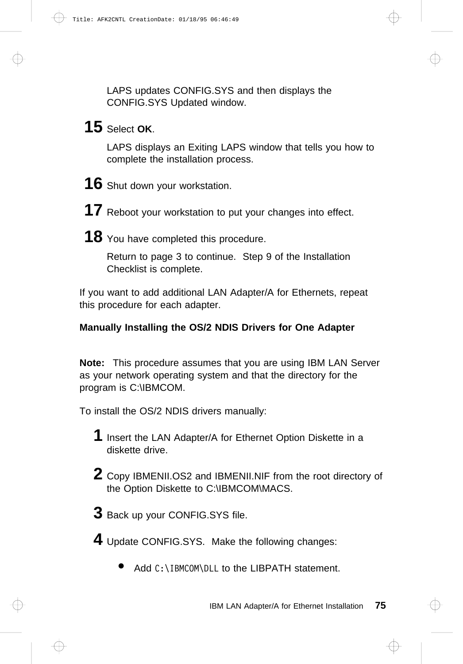LAPS updates CONFIG.SYS and then displays the CONFIG.SYS Updated window.

# **15** Select **OK**.

LAPS displays an Exiting LAPS window that tells you how to complete the installation process.

16 Shut down your workstation.

**17** Reboot your workstation to put your changes into effect.

**18** You have completed this procedure.

Return to page 3 to continue. Step 9 of the Installation Checklist is complete.

If you want to add additional LAN Adapter/A for Ethernets, repeat this procedure for each adapter.

## **Manually Installing the OS/2 NDIS Drivers for One Adapter**

**Note:** This procedure assumes that you are using IBM LAN Server as your network operating system and that the directory for the program is C:\IBMCOM.

To install the OS/2 NDIS drivers manually:

**1** Insert the LAN Adapter/A for Ethernet Option Diskette in a diskette drive.

**2** Copy IBMENII.OS2 and IBMENII.NIF from the root directory of the Option Diskette to C:\IBMCOM\MACS.

- **3** Back up your CONFIG.SYS file.
- **4** Update CONFIG.SYS. Make the following changes:
	- Add C:\IBMCOM\DLL to the LIBPATH statement.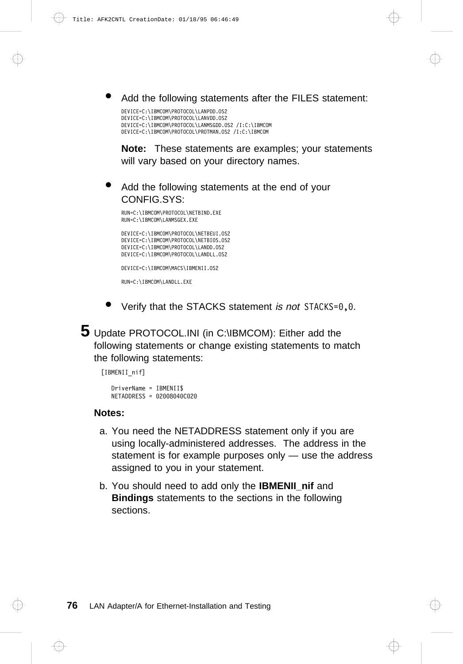Add the following statements after the FILES statement:

```
DEVICE=C:\IBMCOM\PROTOCOL\LANPDD.OS2
DEVICE=C:\IBMCOM\PROTOCOL\LANVDD.OS2
DEVICE=C:\IBMCOM\PROTOCOL\LANMSGDD.OS2 /I:C:\IBMCOM
DEVICE=C:\IBMCOM\PROTOCOL\PROTMAN.OS2 /I:C:\IBMCOM
```
**Note:** These statements are examples; your statements will vary based on your directory names.

 Add the following statements at the end of your CONFIG.SYS:

RUN=C:\IBMCOM\PROTOCOL\NETBIND.EXE RUN=C:\IBMCOM\LANMSGEX.EXE

DEVICE=C:\IBMCOM\PROTOCOL\NETBEUI.OS2 DEVICE=C:\IBMCOM\PROTOCOL\NETBIOS.OS2 DEVICE=C:\IBMCOM\PROTOCOL\LANDD.OS2 DEVICE=C:\IBMCOM\PROTOCOL\LANDLL.OS2

DEVICE=C:\IBMCOM\MACS\IBMENII.OS2

RUN=C:\IBMCOM\LANDLL.EXE

Verify that the STACKS statement is not STACKS=0,0.

**5** Update PROTOCOL.INI (in C:\IBMCOM): Either add the following statements or change existing statements to match the following statements:

[IBMENII\_nif]

```
DriverName = IBMENII$
NETADDRESS = ð2ðð8ð4ðCð2ð
```
### **Notes:**

- a. You need the NETADDRESS statement only if you are using locally-administered addresses. The address in the statement is for example purposes only — use the address assigned to you in your statement.
- b. You should need to add only the **IBMENII\_nif** and **Bindings** statements to the sections in the following sections.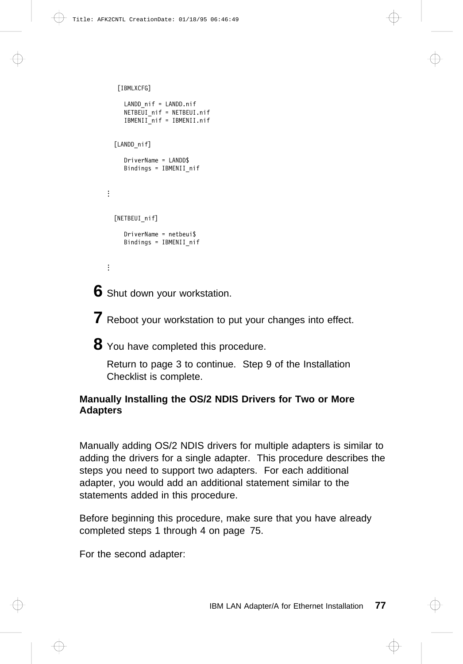```
[IBMLXCFG]
     LANDD_nif = LANDD.nif
     NETBEUI nif = NETBEUI.nif
     IBMENII_nif = IBMENII.nif
  [LANDD_nif]
     DriverName = LANDD$
     Bindings = IBMENII_nif
...
  [NETBEUI_nif]
     DriverName = netbeui$
     Bindings = IBMENII nif
```
...

**6** Shut down your workstation.

**7** Reboot your workstation to put your changes into effect.

**8** You have completed this procedure.

Return to page 3 to continue. Step 9 of the Installation Checklist is complete.

### **Manually Installing the OS/2 NDIS Drivers for Two or More Adapters**

Manually adding OS/2 NDIS drivers for multiple adapters is similar to adding the drivers for a single adapter. This procedure describes the steps you need to support two adapters. For each additional adapter, you would add an additional statement similar to the statements added in this procedure.

Before beginning this procedure, make sure that you have already completed steps 1 through 4 on page 75.

For the second adapter:

IBM LAN Adapter/A for Ethernet Installation **77**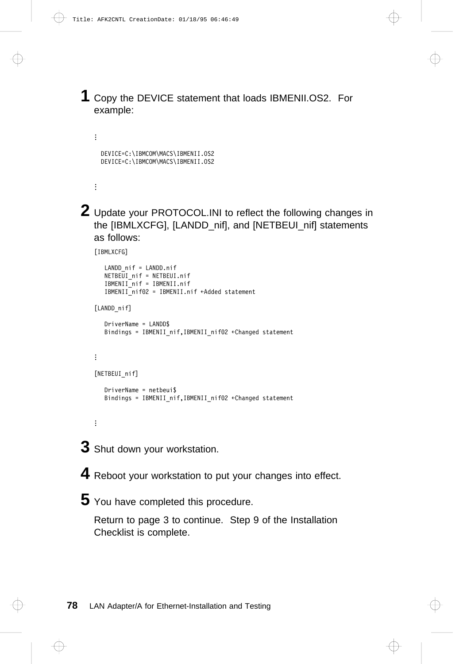**1** Copy the DEVICE statement that loads IBMENII.OS2. For example:

```
 DEVICE=C:\IBMCOM\MACS\IBMENII.OS2
 DEVICE=C:\IBMCOM\MACS\IBMENII.OS2
```
...

...

...

**2** Update your PROTOCOL.INI to reflect the following changes in the [IBMLXCFG], [LANDD\_nif], and [NETBEUI\_nif] statements as follows: [IBMLXCFG]

```
LANDD_nif = LANDD.nif
  NETBEUI nif = NETBEUI.nif
   IBMENII_nif = IBMENII.nif
   IBMENII_nifð2 = IBMENII.nif ←Added statement
[LANDD_nif]
  DriverName = LANDD$
  Bindings = IBMENII_nif,IBMENII_nifð2 ←Changed statement
...
[NETBEUI_nif]
  DriverName = netbeui$
  Bindings = IBMENII_nif,IBMENII_nifð2 ←Changed statement
```
**3** Shut down your workstation.

**4** Reboot your workstation to put your changes into effect.

**5** You have completed this procedure.

Return to page 3 to continue. Step 9 of the Installation Checklist is complete.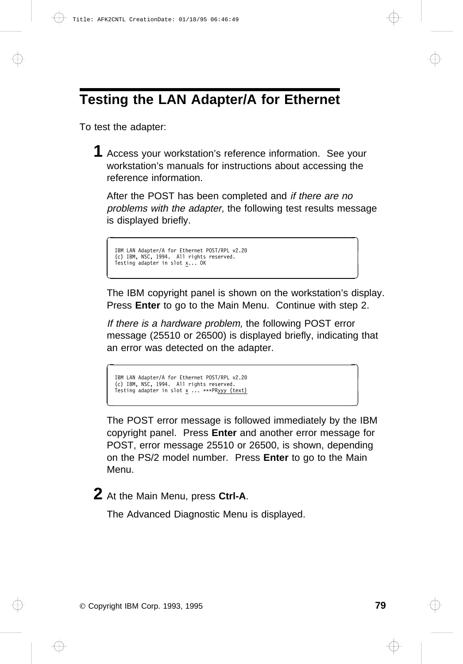# **Testing the LAN Adapter/A for Ethernet**

To test the adapter:

**1** Access your workstation's reference information. See your workstation's manuals for instructions about accessing the reference information.

After the POST has been completed and if there are no problems with the adapter, the following test results message is displayed briefly.

à ð IBM LAN Adapter/A for Ethernet POST/RPL v2.2ð (c) IBM, NSC, 1994. All rights reserved. Testing adapter in slot  $x...$  OK

The IBM copyright panel is shown on the workstation's display. Press **Enter** to go to the Main Menu. Continue with step 2.

If there is a hardware problem, the following POST error message (25510 or 26500) is displayed briefly, indicating that an error was detected on the adapter.

**EXECUTE IBM LAN Adapter/A for Ethernet POST/RPL v2.20**<br>
(c) IBM, NSC, 1994. All rights reserved.<br>
Testing adapter in slot <u>x</u> ... \*\*\*PR<u>yyy (text)</u>

The POST error message is followed immediately by the IBM copyright panel. Press **Enter** and another error message for POST, error message 25510 or 26500, is shown, depending on the PS/2 model number. Press **Enter** to go to the Main Menu.

**2** At the Main Menu, press **Ctrl-A**.

The Advanced Diagnostic Menu is displayed.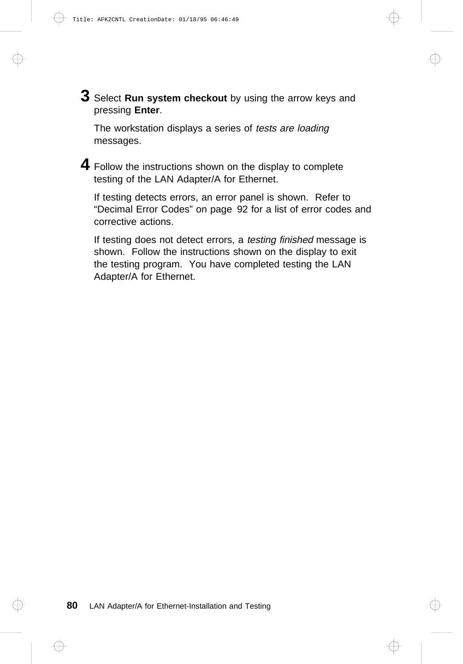**3** Select **Run system checkout** by using the arrow keys and pressing **Enter**.

The workstation displays a series of tests are loading messages.

**4** Follow the instructions shown on the display to complete testing of the LAN Adapter/A for Ethernet.

If testing detects errors, an error panel is shown. Refer to "Decimal Error Codes" on page 92 for a list of error codes and corrective actions.

If testing does not detect errors, a testing finished message is shown. Follow the instructions shown on the display to exit the testing program. You have completed testing the LAN Adapter/A for Ethernet.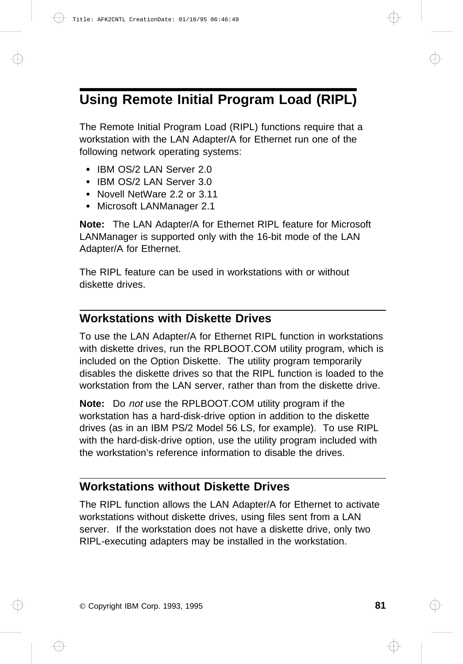# **Using Remote Initial Program Load (RIPL)**

The Remote Initial Program Load (RIPL) functions require that a workstation with the LAN Adapter/A for Ethernet run one of the following network operating systems:

- IBM OS/2 LAN Server 2.0
- IBM OS/2 LAN Server 3.0
- Novell NetWare 2.2 or 3.11
- Microsoft LANManager 2.1

**Note:** The LAN Adapter/A for Ethernet RIPL feature for Microsoft LANManager is supported only with the 16-bit mode of the LAN Adapter/A for Ethernet.

The RIPL feature can be used in workstations with or without diskette drives.

## **Workstations with Diskette Drives**

To use the LAN Adapter/A for Ethernet RIPL function in workstations with diskette drives, run the RPLBOOT.COM utility program, which is included on the Option Diskette. The utility program temporarily disables the diskette drives so that the RIPL function is loaded to the workstation from the LAN server, rather than from the diskette drive.

**Note:** Do not use the RPLBOOT.COM utility program if the workstation has a hard-disk-drive option in addition to the diskette drives (as in an IBM PS/2 Model 56 LS, for example). To use RIPL with the hard-disk-drive option, use the utility program included with the workstation's reference information to disable the drives.

## **Workstations without Diskette Drives**

The RIPL function allows the LAN Adapter/A for Ethernet to activate workstations without diskette drives, using files sent from a LAN server. If the workstation does not have a diskette drive, only two RIPL-executing adapters may be installed in the workstation.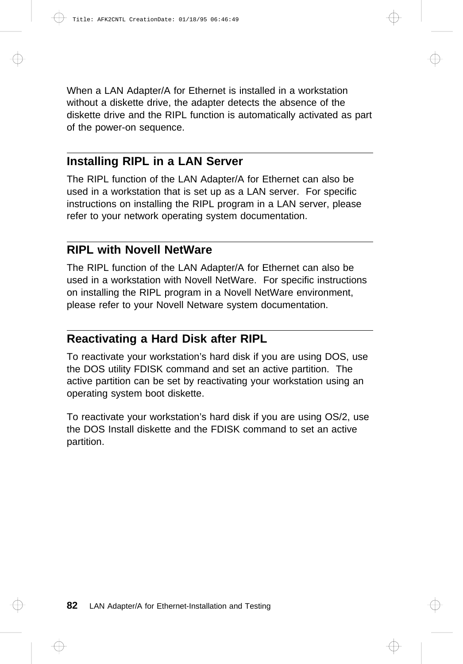When a LAN Adapter/A for Ethernet is installed in a workstation without a diskette drive, the adapter detects the absence of the diskette drive and the RIPL function is automatically activated as part of the power-on sequence.

### **Installing RIPL in a LAN Server**

The RIPL function of the LAN Adapter/A for Ethernet can also be used in a workstation that is set up as a LAN server. For specific instructions on installing the RIPL program in a LAN server, please refer to your network operating system documentation.

# **RIPL with Novell NetWare**

The RIPL function of the LAN Adapter/A for Ethernet can also be used in a workstation with Novell NetWare. For specific instructions on installing the RIPL program in a Novell NetWare environment, please refer to your Novell Netware system documentation.

# **Reactivating a Hard Disk after RIPL**

To reactivate your workstation's hard disk if you are using DOS, use the DOS utility FDISK command and set an active partition. The active partition can be set by reactivating your workstation using an operating system boot diskette.

To reactivate your workstation's hard disk if you are using OS/2, use the DOS Install diskette and the FDISK command to set an active partition.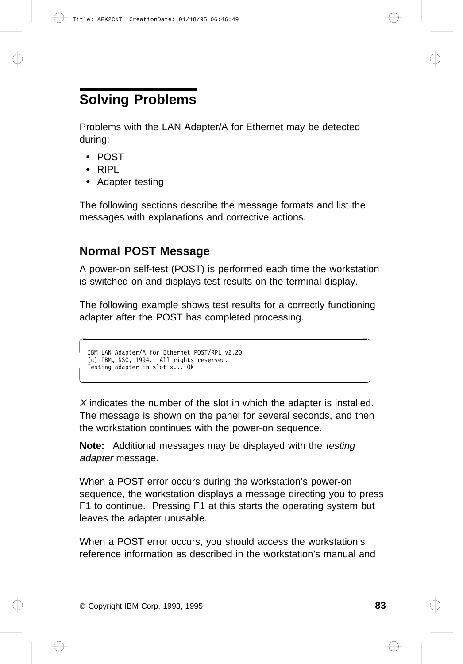# **Solving Problems**

Problems with the LAN Adapter/A for Ethernet may be detected during:

- POST
- RIPL
- Adapter testing

The following sections describe the message formats and list the messages with explanations and corrective actions.

## **Normal POST Message**

A power-on self-test (POST) is performed each time the workstation is switched on and displays test results on the terminal display.

The following example shows test results for a correctly functioning adapter after the POST has completed processing.

```
IBM LAN Adapter/A for Ethernet POST/RPL v2.20
(c) IBM, NSC, 1994. All rights reserved.
Testing adapter in slot x... OK
```
 $X$  indicates the number of the slot in which the adapter is installed. The message is shown on the panel for several seconds, and then the workstation continues with the power-on sequence.

**Note:** Additional messages may be displayed with the *testing* adapter message.

When a POST error occurs during the workstation's power-on sequence, the workstation displays a message directing you to press F1 to continue. Pressing F1 at this starts the operating system but leaves the adapter unusable.

When a POST error occurs, you should access the workstation's reference information as described in the workstation's manual and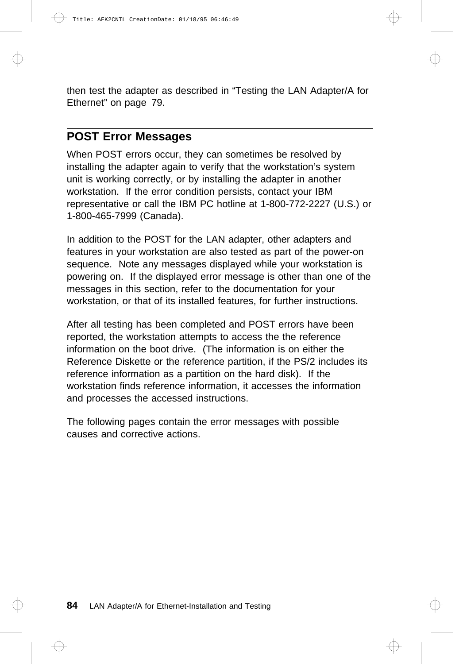then test the adapter as described in "Testing the LAN Adapter/A for Ethernet" on page 79.

### **POST Error Messages**

When POST errors occur, they can sometimes be resolved by installing the adapter again to verify that the workstation's system unit is working correctly, or by installing the adapter in another workstation. If the error condition persists, contact your IBM representative or call the IBM PC hotline at 1-800-772-2227 (U.S.) or 1-800-465-7999 (Canada).

In addition to the POST for the LAN adapter, other adapters and features in your workstation are also tested as part of the power-on sequence. Note any messages displayed while your workstation is powering on. If the displayed error message is other than one of the messages in this section, refer to the documentation for your workstation, or that of its installed features, for further instructions.

After all testing has been completed and POST errors have been reported, the workstation attempts to access the the reference information on the boot drive. (The information is on either the Reference Diskette or the reference partition, if the PS/2 includes its reference information as a partition on the hard disk). If the workstation finds reference information, it accesses the information and processes the accessed instructions.

The following pages contain the error messages with possible causes and corrective actions.

**84** LAN Adapter/A for Ethernet-Installation and Testing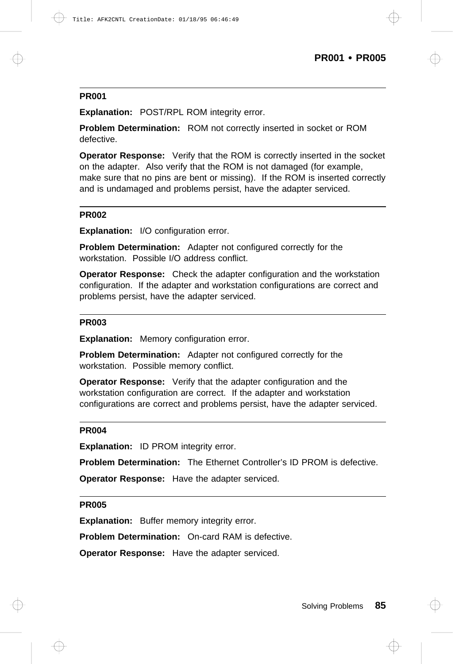**PR001 PR005**

#### **PR001**

**Explanation:** POST/RPL ROM integrity error.

**Problem Determination:** ROM not correctly inserted in socket or ROM defective.

**Operator Response:** Verify that the ROM is correctly inserted in the socket on the adapter. Also verify that the ROM is not damaged (for example, make sure that no pins are bent or missing). If the ROM is inserted correctly and is undamaged and problems persist, have the adapter serviced.

#### **PR002**

**Explanation:** I/O configuration error.

**Problem Determination:** Adapter not configured correctly for the workstation. Possible I/O address conflict.

**Operator Response:** Check the adapter configuration and the workstation configuration. If the adapter and workstation configurations are correct and problems persist, have the adapter serviced.

#### **PR003**

**Explanation:** Memory configuration error.

**Problem Determination:** Adapter not configured correctly for the workstation. Possible memory conflict.

**Operator Response:** Verify that the adapter configuration and the workstation configuration are correct. If the adapter and workstation configurations are correct and problems persist, have the adapter serviced.

#### **PR004**

**Explanation:** ID PROM integrity error.

**Problem Determination:** The Ethernet Controller's ID PROM is defective.

**Operator Response:** Have the adapter serviced.

#### **PR005**

**Explanation:** Buffer memory integrity error.

**Problem Determination:** On-card RAM is defective.

**Operator Response:** Have the adapter serviced.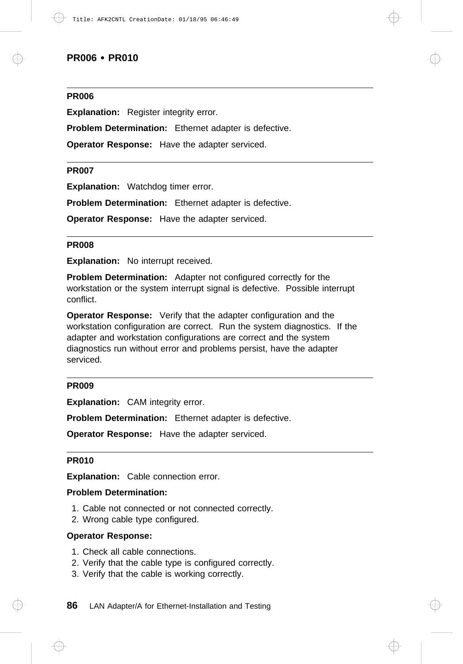#### **PR006 PR010**

#### **PR006**

**Explanation:** Register integrity error.

**Problem Determination:** Ethernet adapter is defective.

**Operator Response:** Have the adapter serviced.

#### **PR007**

**Explanation:** Watchdog timer error.

**Problem Determination:** Ethernet adapter is defective.

**Operator Response:** Have the adapter serviced.

#### **PR008**

**Explanation:** No interrupt received.

**Problem Determination:** Adapter not configured correctly for the workstation or the system interrupt signal is defective. Possible interrupt conflict.

**Operator Response:** Verify that the adapter configuration and the workstation configuration are correct. Run the system diagnostics. If the adapter and workstation configurations are correct and the system diagnostics run without error and problems persist, have the adapter serviced.

#### **PR009**

**Explanation:** CAM integrity error.

**Problem Determination:** Ethernet adapter is defective.

**Operator Response:** Have the adapter serviced.

#### **PR010**

**Explanation:** Cable connection error.

#### **Problem Determination:**

- 1. Cable not connected or not connected correctly.
- 2. Wrong cable type configured.

#### **Operator Response:**

- 1. Check all cable connections.
- 2. Verify that the cable type is configured correctly.
- 3. Verify that the cable is working correctly.

**86** LAN Adapter/A for Ethernet-Installation and Testing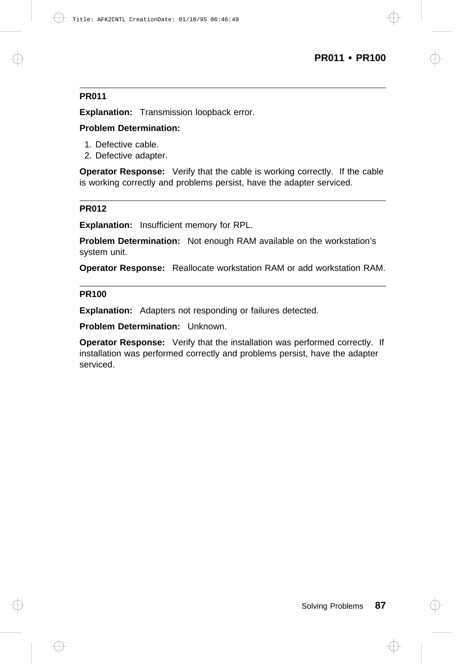**PR011 PR100**

### **PR011**

**Explanation:** Transmission loopback error.

#### **Problem Determination:**

- 1. Defective cable.
- 2. Defective adapter.

**Operator Response:** Verify that the cable is working correctly. If the cable is working correctly and problems persist, have the adapter serviced.

#### **PR012**

**Explanation:** Insufficient memory for RPL.

**Problem Determination:** Not enough RAM available on the workstation's system unit.

**Operator Response:** Reallocate workstation RAM or add workstation RAM.

#### **PR100**

**Explanation:** Adapters not responding or failures detected.

**Problem Determination:** Unknown.

**Operator Response:** Verify that the installation was performed correctly. If installation was performed correctly and problems persist, have the adapter serviced.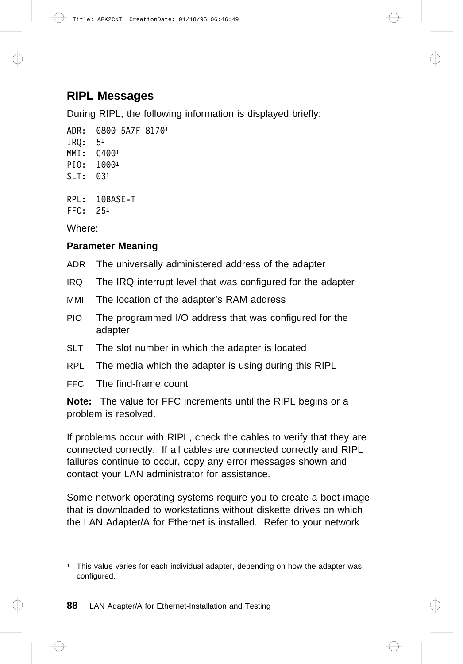# **RIPL Messages**

During RIPL, the following information is displayed briefly:

ADR: ð8ðð 5A7F 817ð<sup>1</sup> IRQ: 5<sup>1</sup> MMI: C4001 PIO: 10001 SLT: ð3<sup>1</sup>

RPL: 1ðBASE-T FFC: 25<sup>1</sup>

Where:

### **Parameter Meaning**

- ADR The universally administered address of the adapter
- IRQ The IRQ interrupt level that was configured for the adapter
- MMI The location of the adapter's RAM address
- PIO The programmed I/O address that was configured for the adapter
- SLT The slot number in which the adapter is located
- RPL The media which the adapter is using during this RIPL
- FFC The find-frame count

**Note:** The value for FFC increments until the RIPL begins or a problem is resolved.

If problems occur with RIPL, check the cables to verify that they are connected correctly. If all cables are connected correctly and RIPL failures continue to occur, copy any error messages shown and contact your LAN administrator for assistance.

Some network operating systems require you to create a boot image that is downloaded to workstations without diskette drives on which the LAN Adapter/A for Ethernet is installed. Refer to your network

**88** LAN Adapter/A for Ethernet-Installation and Testing

<sup>1</sup> This value varies for each individual adapter, depending on how the adapter was configured.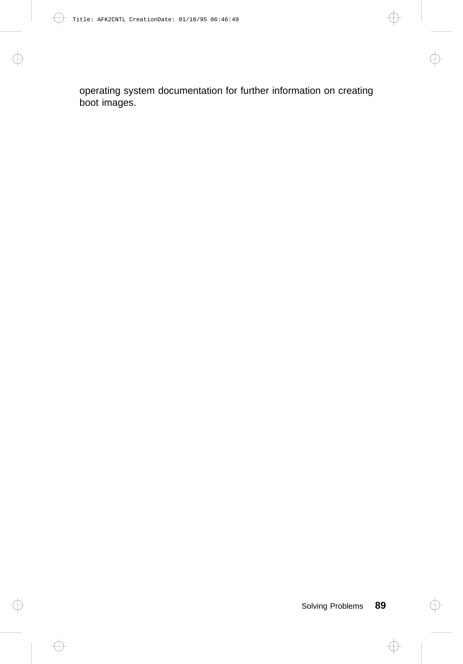$\bigoplus$ 

operating system documentation for further information on creating boot images.

 $\oplus$ 

 $\overline{\bigoplus}$ 

 $\begin{array}{c} \hline \end{array}$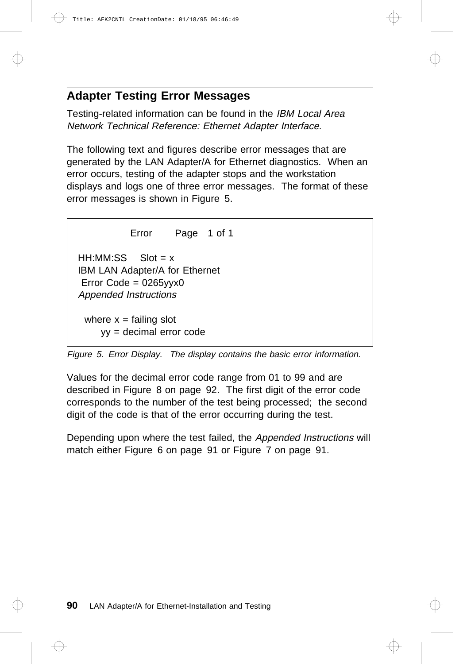# **Adapter Testing Error Messages**

Testing-related information can be found in the IBM Local Area Network Technical Reference: Ethernet Adapter Interface.

The following text and figures describe error messages that are generated by the LAN Adapter/A for Ethernet diagnostics. When an error occurs, testing of the adapter stops and the workstation displays and logs one of three error messages. The format of these error messages is shown in Figure 5.



Figure 5. Error Display. The display contains the basic error information.

Values for the decimal error code range from 01 to 99 and are described in Figure 8 on page 92. The first digit of the error code corresponds to the number of the test being processed; the second digit of the code is that of the error occurring during the test.

Depending upon where the test failed, the Appended Instructions will match either Figure 6 on page 91 or Figure 7 on page 91.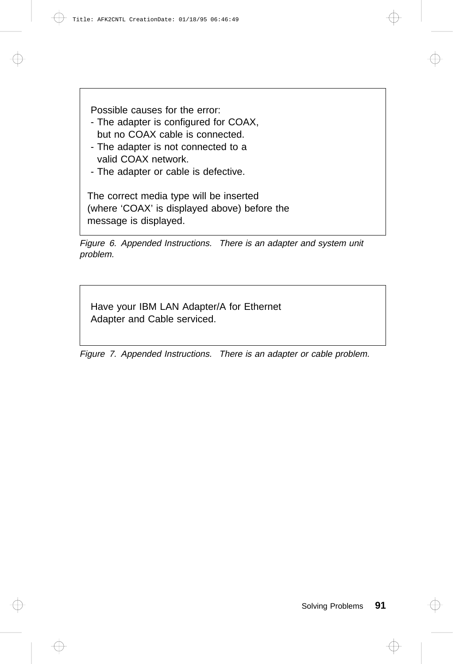Possible causes for the error:

- The adapter is configured for COAX, but no COAX cable is connected.
- The adapter is not connected to a valid COAX network.
- The adapter or cable is defective.

The correct media type will be inserted (where 'COAX' is displayed above) before the message is displayed.

Figure 6. Appended Instructions. There is an adapter and system unit problem.

 Have your IBM LAN Adapter/A for Ethernet Adapter and Cable serviced.

Figure 7. Appended Instructions. There is an adapter or cable problem.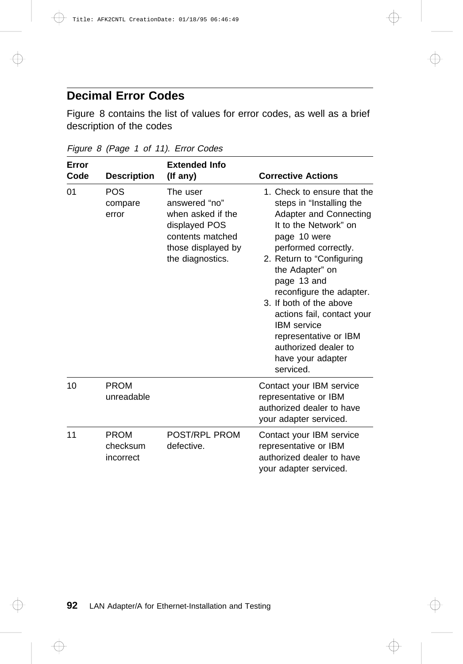# **Decimal Error Codes**

Figure 8 contains the list of values for error codes, as well as a brief description of the codes

| Error<br>Code | <b>Description</b>                   | <b>Extended Info</b><br>(If any)                                                                                              | <b>Corrective Actions</b>                                                                                                                                                                                                                                                                                                                                                                                       |
|---------------|--------------------------------------|-------------------------------------------------------------------------------------------------------------------------------|-----------------------------------------------------------------------------------------------------------------------------------------------------------------------------------------------------------------------------------------------------------------------------------------------------------------------------------------------------------------------------------------------------------------|
| 01            | <b>POS</b><br>compare<br>error       | The user<br>answered "no"<br>when asked if the<br>displayed POS<br>contents matched<br>those displayed by<br>the diagnostics. | 1. Check to ensure that the<br>steps in "Installing the<br>Adapter and Connecting<br>It to the Network" on<br>page 10 were<br>performed correctly.<br>2. Return to "Configuring<br>the Adapter" on<br>page 13 and<br>reconfigure the adapter.<br>3. If both of the above<br>actions fail, contact your<br><b>IBM</b> service<br>representative or IBM<br>authorized dealer to<br>have your adapter<br>serviced. |
| 10            | <b>PROM</b><br>unreadable            |                                                                                                                               | Contact your IBM service<br>representative or IBM<br>authorized dealer to have<br>your adapter serviced.                                                                                                                                                                                                                                                                                                        |
| 11            | <b>PROM</b><br>checksum<br>incorrect | POST/RPL PROM<br>defective.                                                                                                   | Contact your IBM service<br>representative or IBM<br>authorized dealer to have<br>your adapter serviced.                                                                                                                                                                                                                                                                                                        |

Figure 8 (Page 1 of 11). Error Codes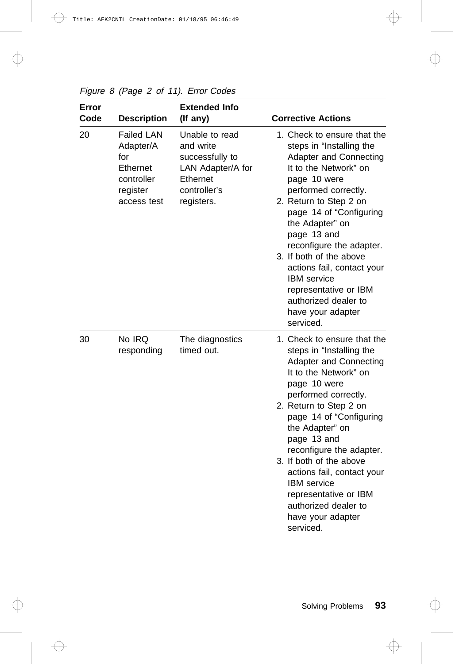$\overline{\bigoplus}$ 

 $\Leftrightarrow$ 

 $\overline{\phantom{a}}$ 

 $\bigoplus$ 

| Error<br>Code | <b>Description</b>                                                                         | <b>Extended Info</b><br>(If any)                                                                              | <b>Corrective Actions</b>                                                                                                                                                                                                                                                                                                                                                                                                               |
|---------------|--------------------------------------------------------------------------------------------|---------------------------------------------------------------------------------------------------------------|-----------------------------------------------------------------------------------------------------------------------------------------------------------------------------------------------------------------------------------------------------------------------------------------------------------------------------------------------------------------------------------------------------------------------------------------|
| 20            | <b>Failed LAN</b><br>Adapter/A<br>for<br>Ethernet<br>controller<br>register<br>access test | Unable to read<br>and write<br>successfully to<br>LAN Adapter/A for<br>Ethernet<br>controller's<br>registers. | 1. Check to ensure that the<br>steps in "Installing the<br>Adapter and Connecting<br>It to the Network" on<br>page 10 were<br>performed correctly.<br>2. Return to Step 2 on<br>page 14 of "Configuring<br>the Adapter" on<br>page 13 and<br>reconfigure the adapter.<br>3. If both of the above<br>actions fail, contact your<br><b>IBM</b> service<br>representative or IBM<br>authorized dealer to<br>have your adapter<br>serviced. |
| 30            | No IRQ<br>responding                                                                       | The diagnostics<br>timed out.                                                                                 | 1. Check to ensure that the<br>steps in "Installing the<br>Adapter and Connecting<br>It to the Network" on<br>page 10 were<br>performed correctly.<br>2. Return to Step 2 on<br>page 14 of "Configuring<br>the Adapter" on<br>page 13 and<br>reconfigure the adapter.<br>3. If both of the above<br>actions fail, contact your<br><b>IBM</b> service<br>representative or IBM<br>authorized dealer to<br>have your adapter<br>serviced. |

Figure 8 (Page 2 of 11). Error Codes

 $\bigoplus$ 

 $\begin{array}{c}\n\Leftrightarrow \\
\hline\n\end{array}$ 

 $\begin{array}{c|c}\n\end{array}$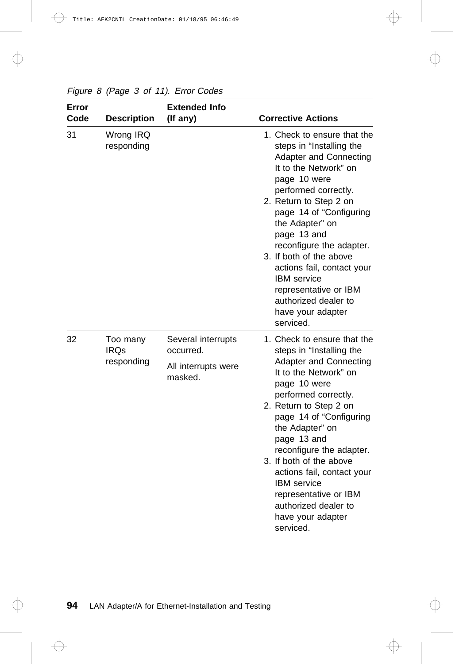| Error |                                       | <b>Extended Info</b>                                              |                                                                                                                                                                                                                                                                                                                                                                                                                                         |
|-------|---------------------------------------|-------------------------------------------------------------------|-----------------------------------------------------------------------------------------------------------------------------------------------------------------------------------------------------------------------------------------------------------------------------------------------------------------------------------------------------------------------------------------------------------------------------------------|
| Code  | <b>Description</b>                    | (If any)                                                          | <b>Corrective Actions</b>                                                                                                                                                                                                                                                                                                                                                                                                               |
| 31    | Wrong IRQ<br>responding               |                                                                   | 1. Check to ensure that the<br>steps in "Installing the<br>Adapter and Connecting<br>It to the Network" on<br>page 10 were<br>performed correctly.<br>2. Return to Step 2 on<br>page 14 of "Configuring<br>the Adapter" on<br>page 13 and<br>reconfigure the adapter.<br>3. If both of the above<br>actions fail, contact your<br><b>IBM</b> service<br>representative or IBM<br>authorized dealer to<br>have your adapter<br>serviced. |
| 32    | Too many<br><b>IRQs</b><br>responding | Several interrupts<br>occurred.<br>All interrupts were<br>masked. | 1. Check to ensure that the<br>steps in "Installing the<br>Adapter and Connecting<br>It to the Network" on<br>page 10 were<br>performed correctly.<br>2. Return to Step 2 on<br>page 14 of "Configuring<br>the Adapter" on<br>page 13 and<br>reconfigure the adapter.<br>3. If both of the above<br>actions fail, contact your<br><b>IBM</b> service<br>representative or IBM<br>authorized dealer to<br>have your adapter<br>serviced. |

 $\begin{array}{c|c} \hline \begin{array}{c} \hline \end{array} & \begin{array}{c} \hline \end{array} & \begin{array}{c} \hline \end{array} & \begin{array}{c} \hline \end{array} & \begin{array}{c} \hline \end{array} & \end{array} \end{array}$ 

 $\begin{matrix} \n\phi \\ \n\end{matrix}$ 

 $\bigoplus$ 

 $\oplus$ 

Figure 8 (Page 3 of 11). Error Codes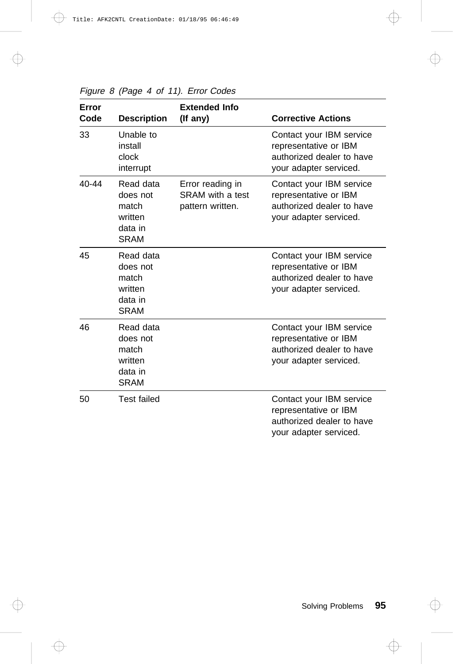| Error<br>Code | <b>Description</b>                                                  | <b>Extended Info</b><br>(If any)                         | <b>Corrective Actions</b>                                                                                |
|---------------|---------------------------------------------------------------------|----------------------------------------------------------|----------------------------------------------------------------------------------------------------------|
| 33            | Unable to<br>install<br>clock<br>interrupt                          |                                                          | Contact your IBM service<br>representative or IBM<br>authorized dealer to have<br>your adapter serviced. |
| 40-44         | Read data<br>does not<br>match<br>written<br>data in<br><b>SRAM</b> | Error reading in<br>SRAM with a test<br>pattern written. | Contact your IBM service<br>representative or IBM<br>authorized dealer to have<br>your adapter serviced. |
| 45            | Read data<br>does not<br>match<br>written<br>data in<br><b>SRAM</b> |                                                          | Contact your IBM service<br>representative or IBM<br>authorized dealer to have<br>your adapter serviced. |
| 46            | Read data<br>does not<br>match<br>written<br>data in<br><b>SRAM</b> |                                                          | Contact your IBM service<br>representative or IBM<br>authorized dealer to have<br>your adapter serviced. |
| 50            | <b>Test failed</b>                                                  |                                                          | Contact your IBM service<br>representative or IBM<br>authorized dealer to have<br>your adapter serviced. |

Figure 8 (Page 4 of 11). Error Codes

 $\downarrow$ 

 $\bigoplus$ 

 $\bigoplus$ 

 $\begin{matrix} \n\phi \\ \n\end{matrix}$ 

 $\begin{array}{c|c}\n\end{array}$ 

 $\oplus$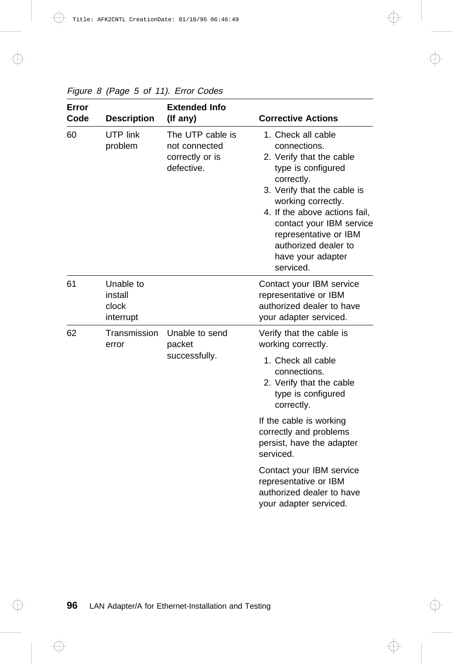| Error<br>Code | <b>Description</b>                         | <b>Extended Info</b><br>(If any)                                   | <b>Corrective Actions</b>                                                                                                                                                                                                                                                                               |
|---------------|--------------------------------------------|--------------------------------------------------------------------|---------------------------------------------------------------------------------------------------------------------------------------------------------------------------------------------------------------------------------------------------------------------------------------------------------|
| 60            | UTP link<br>problem                        | The UTP cable is<br>not connected<br>correctly or is<br>defective. | 1. Check all cable<br>connections.<br>2. Verify that the cable<br>type is configured<br>correctly.<br>3. Verify that the cable is<br>working correctly.<br>4. If the above actions fail.<br>contact your IBM service<br>representative or IBM<br>authorized dealer to<br>have your adapter<br>serviced. |
| 61            | Unable to<br>install<br>clock<br>interrupt |                                                                    | Contact your IBM service<br>representative or IBM<br>authorized dealer to have<br>your adapter serviced.                                                                                                                                                                                                |
| 62            | Transmission<br>error                      | Unable to send<br>packet<br>successfully.                          | Verify that the cable is<br>working correctly.                                                                                                                                                                                                                                                          |
|               |                                            |                                                                    | 1. Check all cable<br>connections.<br>2. Verify that the cable<br>type is configured<br>correctly.                                                                                                                                                                                                      |
|               |                                            |                                                                    | If the cable is working<br>correctly and problems<br>persist, have the adapter<br>serviced.                                                                                                                                                                                                             |
|               |                                            |                                                                    | Contact your IBM service<br>representative or IBM<br>authorized dealer to have<br>your adapter serviced.                                                                                                                                                                                                |

 $\begin{array}{c|c}\n\end{array}$ 

 $\begin{matrix} \n\phi \\ \n\end{matrix}$ 

 $\bigoplus$ 

 $\begin{array}{ccc} \hline \end{array}$ 

 $\oplus$ 

Figure 8 (Page 5 of 11). Error Codes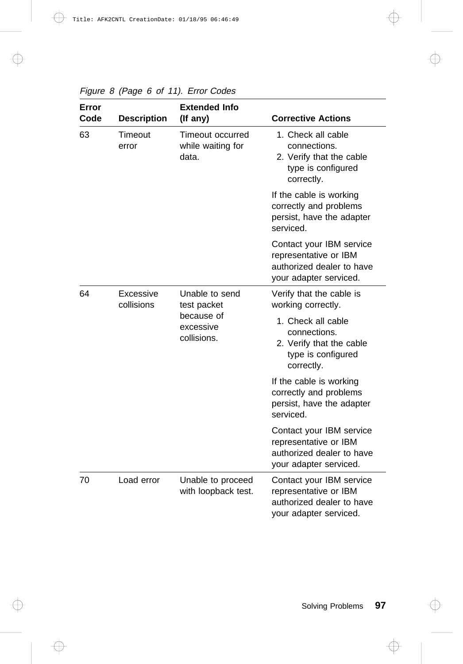$\leftrightarrow$ 

 $\bigoplus$ 

 $\overline{\phantom{a}}$ 

 $\overline{\bigoplus}$ 

| Error<br>Code | <b>Description</b>      | <b>Extended Info</b><br>(If any)                                        | <b>Corrective Actions</b>                                                                                |
|---------------|-------------------------|-------------------------------------------------------------------------|----------------------------------------------------------------------------------------------------------|
| 63            | Timeout<br>error        | Timeout occurred<br>while waiting for<br>data.                          | 1. Check all cable<br>connections.<br>2. Verify that the cable<br>type is configured<br>correctly.       |
|               |                         |                                                                         | If the cable is working<br>correctly and problems<br>persist, have the adapter<br>serviced.              |
|               |                         |                                                                         | Contact your IBM service<br>representative or IBM<br>authorized dealer to have<br>your adapter serviced. |
| 64            | Excessive<br>collisions | Unable to send<br>test packet<br>because of<br>excessive<br>collisions. | Verify that the cable is<br>working correctly.                                                           |
|               |                         |                                                                         | 1. Check all cable<br>connections.<br>2. Verify that the cable<br>type is configured<br>correctly.       |
|               |                         |                                                                         | If the cable is working<br>correctly and problems<br>persist, have the adapter<br>serviced.              |
|               |                         |                                                                         | Contact your IBM service<br>representative or IBM<br>authorized dealer to have<br>your adapter serviced. |
| 70            | Load error              | Unable to proceed<br>with loopback test.                                | Contact your IBM service<br>representative or IBM<br>authorized dealer to have<br>your adapter serviced. |

Figure 8 (Page 6 of 11). Error Codes

 $\bigoplus$ 

 $\begin{array}{c}\n\oplus \\
\hline\n\end{array}$ 

 $\begin{array}{c|c}\n\end{array}$ 

 $\Rightarrow$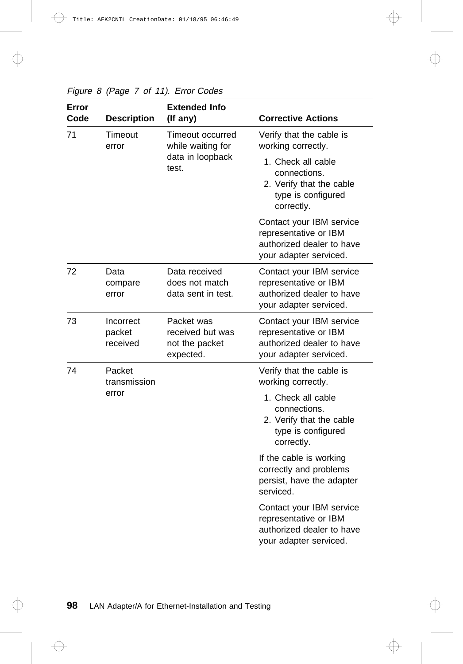| Error<br>Code | <b>Description</b>              | <b>Extended Info</b><br>(If any)                              | <b>Corrective Actions</b>                                                                                |
|---------------|---------------------------------|---------------------------------------------------------------|----------------------------------------------------------------------------------------------------------|
| 71            | Timeout<br>error                | Timeout occurred<br>while waiting for                         | Verify that the cable is<br>working correctly.                                                           |
|               |                                 | data in loopback<br>test.                                     | 1. Check all cable<br>connections.<br>2. Verify that the cable<br>type is configured<br>correctly.       |
|               |                                 |                                                               | Contact your IBM service<br>representative or IBM<br>authorized dealer to have<br>your adapter serviced. |
| 72            | Data<br>compare<br>error        | Data received<br>does not match<br>data sent in test.         | Contact your IBM service<br>representative or IBM<br>authorized dealer to have<br>your adapter serviced. |
| 73            | Incorrect<br>packet<br>received | Packet was<br>received but was<br>not the packet<br>expected. | Contact your IBM service<br>representative or IBM<br>authorized dealer to have<br>your adapter serviced. |
| 74            | Packet<br>transmission          |                                                               | Verify that the cable is<br>working correctly.                                                           |
|               | error                           |                                                               | 1. Check all cable<br>connections.<br>2. Verify that the cable<br>type is configured<br>correctly.       |
|               |                                 |                                                               | If the cable is working<br>correctly and problems<br>persist, have the adapter<br>serviced.              |
|               |                                 |                                                               | Contact your IBM service<br>representative or IBM<br>authorized dealer to have<br>your adapter serviced. |

 $\begin{array}{c|c} \hline \begin{array}{c} \hline \end{array} & \begin{array}{c} \hline \end{array} \\ \hline \end{array}$ 

 $\begin{array}{c}\n\Leftrightarrow \\
\hline\n\end{array}$ 

 $\bigoplus$ 

 $\bigoplus$ 

|  | Figure 8 (Page 7 of 11). Error Codes |  |  |  |  |  |  |
|--|--------------------------------------|--|--|--|--|--|--|
|--|--------------------------------------|--|--|--|--|--|--|

 $\bigoplus$ 

 $\oplus$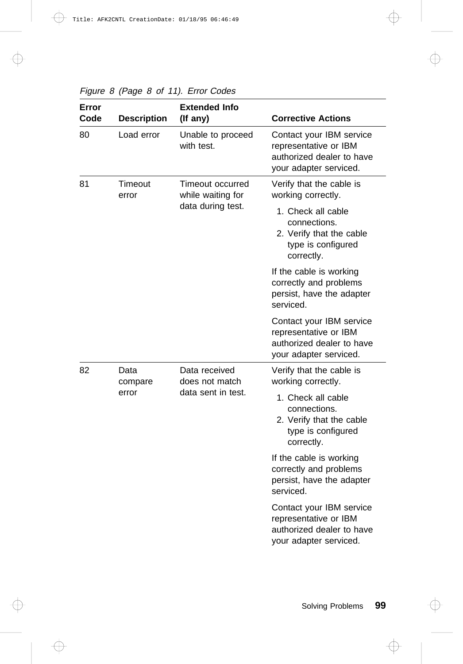| Error<br>Code         | <b>Description</b> | <b>Extended Info</b><br>(If any)      | <b>Corrective Actions</b>                                                                                |
|-----------------------|--------------------|---------------------------------------|----------------------------------------------------------------------------------------------------------|
| 80                    | Load error         | Unable to proceed<br>with test.       | Contact your IBM service<br>representative or IBM<br>authorized dealer to have<br>your adapter serviced. |
| 81                    | Timeout<br>error   | Timeout occurred<br>while waiting for | Verify that the cable is<br>working correctly.                                                           |
|                       |                    | data during test.                     | 1. Check all cable<br>connections.<br>2. Verify that the cable<br>type is configured<br>correctly.       |
|                       |                    |                                       | If the cable is working<br>correctly and problems<br>persist, have the adapter<br>serviced.              |
|                       |                    |                                       | Contact your IBM service<br>representative or IBM<br>authorized dealer to have<br>your adapter serviced. |
| 82<br>Data<br>compare |                    | Data received<br>does not match       | Verify that the cable is<br>working correctly.                                                           |
|                       | error              | data sent in test.                    | 1. Check all cable<br>connections.<br>2. Verify that the cable<br>type is configured<br>correctly.       |
|                       |                    |                                       | If the cable is working<br>correctly and problems<br>persist, have the adapter<br>serviced.              |
|                       |                    |                                       | Contact your IBM service<br>representative or IBM<br>authorized dealer to have<br>your adapter serviced. |

Figure 8 (Page 8 of 11). Error Codes

 $\downarrow$ 

 $\bigoplus$ 

 $\begin{array}{c}\n\Leftrightarrow \\
\hline\n\end{array}$ 

 $\begin{array}{c|c} \begin{array}{c} \end{array} & \begin{array}{c} \end{array} & \begin{array}{c} \end{array} \\ \oplus \end{array} \end{array}$ 

 $\oplus$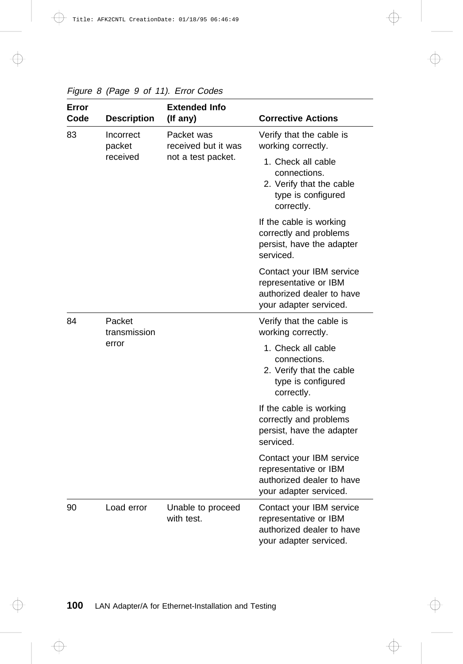| Error<br>Code | <b>Description</b>     | <b>Extended Info</b><br>(If any)  | <b>Corrective Actions</b>                                                                                |
|---------------|------------------------|-----------------------------------|----------------------------------------------------------------------------------------------------------|
| 83            | Incorrect<br>packet    | Packet was<br>received but it was | Verify that the cable is<br>working correctly.                                                           |
|               | received               | not a test packet.                | 1. Check all cable<br>connections.<br>2. Verify that the cable<br>type is configured<br>correctly.       |
|               |                        |                                   | If the cable is working<br>correctly and problems<br>persist, have the adapter<br>serviced.              |
|               |                        |                                   | Contact your IBM service<br>representative or IBM<br>authorized dealer to have<br>your adapter serviced. |
| 84            | Packet<br>transmission |                                   | Verify that the cable is<br>working correctly.                                                           |
|               | error                  |                                   | 1. Check all cable<br>connections.<br>2. Verify that the cable<br>type is configured<br>correctly.       |
|               |                        |                                   | If the cable is working<br>correctly and problems<br>persist, have the adapter<br>serviced.              |
|               |                        |                                   | Contact your IBM service<br>representative or IBM<br>authorized dealer to have<br>your adapter serviced. |
| 90            | Load error             | Unable to proceed<br>with test.   | Contact your IBM service<br>representative or IBM<br>authorized dealer to have<br>your adapter serviced. |

 $\begin{array}{c|c} \uparrow & \downarrow \\ \downarrow & \downarrow \\ \hline \varphi & \downarrow \end{array}$ 

 $\begin{matrix} \n\phi \\ \n\end{matrix}$ 

 $\bigoplus$ 

 $\begin{array}{ccc} \hline \end{array}$ 

 $\oplus$ 

Figure 8 (Page 9 of 11). Error Codes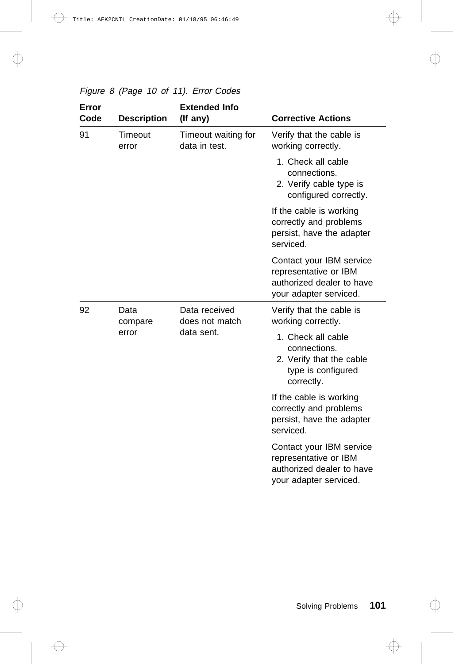| Error<br>Code | <b>Description</b> | <b>Extended Info</b><br>(If any)     | <b>Corrective Actions</b>                                                                                |
|---------------|--------------------|--------------------------------------|----------------------------------------------------------------------------------------------------------|
| 91            | Timeout<br>error   | Timeout waiting for<br>data in test. | Verify that the cable is<br>working correctly.                                                           |
|               |                    |                                      | 1. Check all cable<br>connections.<br>2. Verify cable type is<br>configured correctly.                   |
|               |                    |                                      | If the cable is working<br>correctly and problems<br>persist, have the adapter<br>serviced.              |
|               |                    |                                      | Contact your IBM service<br>representative or IBM<br>authorized dealer to have<br>your adapter serviced. |
| 92            | Data<br>compare    | Data received<br>does not match      | Verify that the cable is<br>working correctly.                                                           |
|               | error              | data sent.                           | 1. Check all cable<br>connections.<br>2. Verify that the cable<br>type is configured<br>correctly.       |
|               |                    |                                      | If the cable is working<br>correctly and problems<br>persist, have the adapter<br>serviced.              |
|               |                    |                                      | Contact your IBM service<br>representative or IBM<br>authorized dealer to have<br>your adapter serviced. |

Figure 8 (Page 10 of 11). Error Codes

 $\bigoplus$ 

 $\overline{\phantom{a}}$ 

 $\overline{\bigoplus}$ 

 $\bigoplus$ 

 $\begin{matrix} \n\phi \\ \n\end{matrix}$ 

 $\begin{array}{c} \hline \end{array}$ 

 $\begin{array}{c|c}\n\end{array}$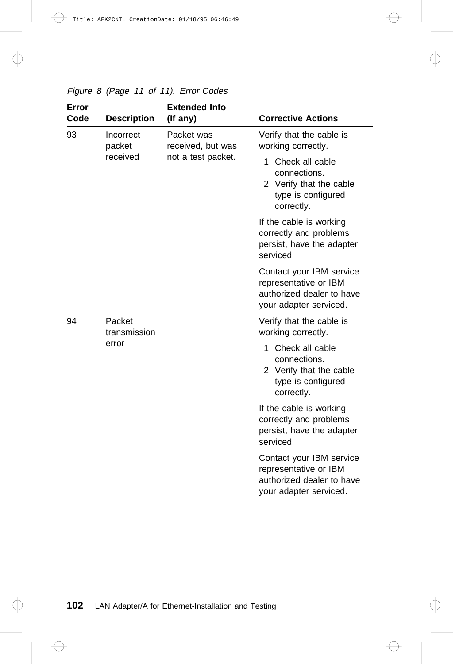| Error<br>Code | <b>Description</b>              | <b>Extended Info</b><br>$($ If any $)$                | <b>Corrective Actions</b>                                                                                |
|---------------|---------------------------------|-------------------------------------------------------|----------------------------------------------------------------------------------------------------------|
| 93            | Incorrect<br>packet<br>received | Packet was<br>received, but was<br>not a test packet. | Verify that the cable is<br>working correctly.                                                           |
|               |                                 |                                                       | 1. Check all cable<br>connections.<br>2. Verify that the cable<br>type is configured<br>correctly.       |
|               |                                 |                                                       | If the cable is working<br>correctly and problems<br>persist, have the adapter<br>serviced.              |
|               |                                 |                                                       | Contact your IBM service<br>representative or IBM<br>authorized dealer to have<br>your adapter serviced. |
| 94            | Packet<br>transmission<br>error |                                                       | Verify that the cable is<br>working correctly.                                                           |
|               |                                 |                                                       | 1. Check all cable<br>connections.<br>2. Verify that the cable<br>type is configured<br>correctly.       |
|               |                                 |                                                       | If the cable is working<br>correctly and problems<br>persist, have the adapter<br>serviced.              |
|               |                                 |                                                       | Contact your IBM service<br>representative or IBM<br>authorized dealer to have<br>your adapter serviced. |

 $\begin{array}{c|c}\n\hline\n\end{array}$ 

 $\begin{matrix} \n\phi \\ \n\end{matrix}$ 

 $\bigoplus$ 

 $\begin{array}{ccc} \hline \end{array}$ 

 $\oplus$ 

Figure 8 (Page 11 of 11). Error Codes

 $\bigoplus$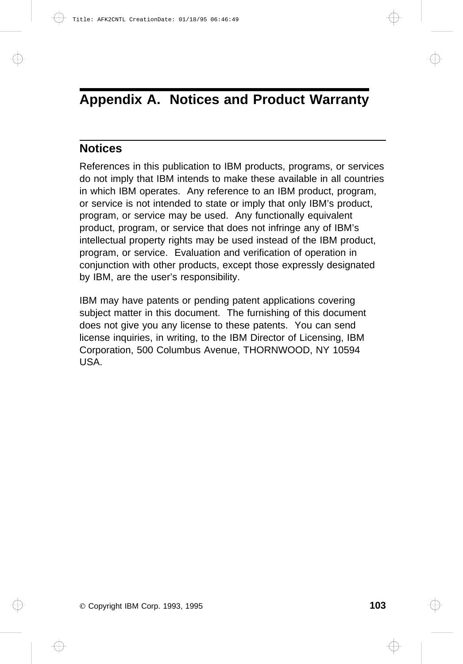## **Appendix A. Notices and Product Warranty**

### **Notices**

References in this publication to IBM products, programs, or services do not imply that IBM intends to make these available in all countries in which IBM operates. Any reference to an IBM product, program, or service is not intended to state or imply that only IBM's product, program, or service may be used. Any functionally equivalent product, program, or service that does not infringe any of IBM's intellectual property rights may be used instead of the IBM product, program, or service. Evaluation and verification of operation in conjunction with other products, except those expressly designated by IBM, are the user's responsibility.

IBM may have patents or pending patent applications covering subject matter in this document. The furnishing of this document does not give you any license to these patents. You can send license inquiries, in writing, to the IBM Director of Licensing, IBM Corporation, 500 Columbus Avenue, THORNWOOD, NY 10594 USA.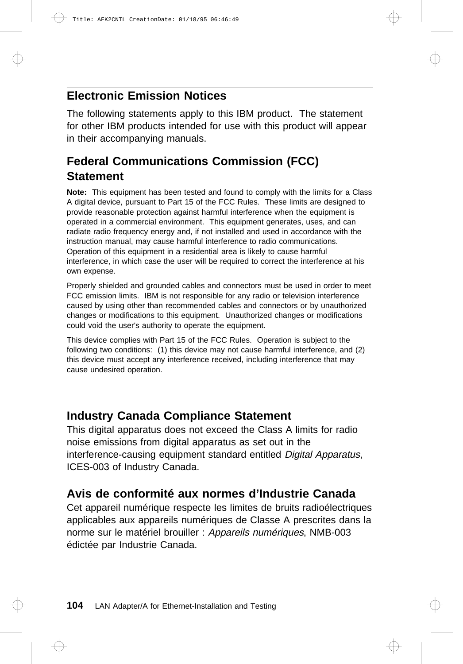### **Electronic Emission Notices**

The following statements apply to this IBM product. The statement for other IBM products intended for use with this product will appear in their accompanying manuals.

### **Federal Communications Commission (FCC) Statement**

**Note:** This equipment has been tested and found to comply with the limits for a Class A digital device, pursuant to Part 15 of the FCC Rules. These limits are designed to provide reasonable protection against harmful interference when the equipment is operated in a commercial environment. This equipment generates, uses, and can radiate radio frequency energy and, if not installed and used in accordance with the instruction manual, may cause harmful interference to radio communications. Operation of this equipment in a residential area is likely to cause harmful interference, in which case the user will be required to correct the interference at his own expense.

Properly shielded and grounded cables and connectors must be used in order to meet FCC emission limits. IBM is not responsible for any radio or television interference caused by using other than recommended cables and connectors or by unauthorized changes or modifications to this equipment. Unauthorized changes or modifications could void the user's authority to operate the equipment.

This device complies with Part 15 of the FCC Rules. Operation is subject to the following two conditions: (1) this device may not cause harmful interference, and (2) this device must accept any interference received, including interference that may cause undesired operation.

### **Industry Canada Compliance Statement**

This digital apparatus does not exceed the Class A limits for radio noise emissions from digital apparatus as set out in the interference-causing equipment standard entitled Digital Apparatus, ICES-003 of Industry Canada.

### **Avis de conformité aux normes d'Industrie Canada**

Cet appareil numérique respecte les limites de bruits radioélectriques applicables aux appareils numériques de Classe A prescrites dans la norme sur le matériel brouiller : Appareils numériques, NMB-003 édictée par Industrie Canada.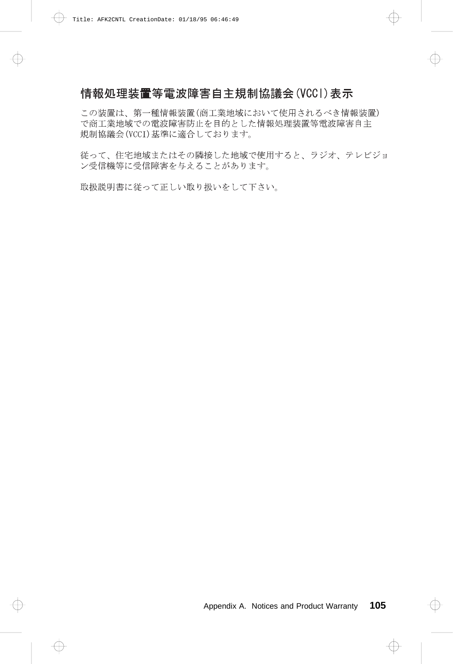### 情報処理装置等電波障害自主規制協議会(VCCI)表示

この装置は、第一種情報装置(商工業地域において使用されるべき情報装置) で商工業地域での電波障害防止を日的とした情報処理装置等電波障害自主 規制協議会(VCCI)基準に適合しております。

従って、住宅地域またはその隣接した地域で使用すると、ラジオ、テレビジョ ン受信機等に受信障害を与えることがあります。

取扱説明書に従って正しい取り扱いをして下さい。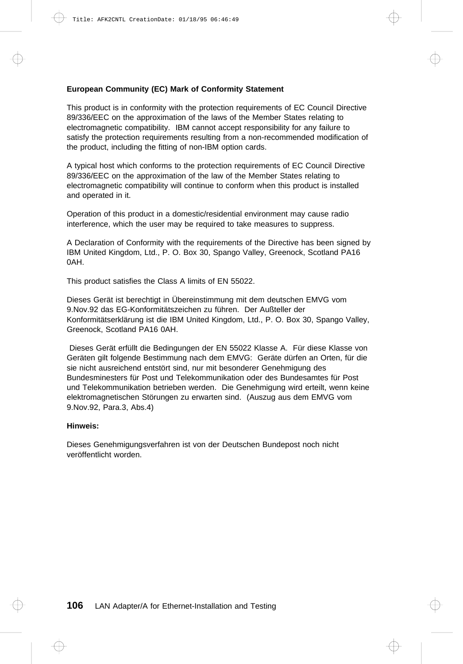#### **European Community (EC) Mark of Conformity Statement**

This product is in conformity with the protection requirements of EC Council Directive 89/336/EEC on the approximation of the laws of the Member States relating to electromagnetic compatibility. IBM cannot accept responsibility for any failure to satisfy the protection requirements resulting from a non-recommended modification of the product, including the fitting of non-IBM option cards.

A typical host which conforms to the protection requirements of EC Council Directive 89/336/EEC on the approximation of the law of the Member States relating to electromagnetic compatibility will continue to conform when this product is installed and operated in it.

Operation of this product in a domestic/residential environment may cause radio interference, which the user may be required to take measures to suppress.

A Declaration of Conformity with the requirements of the Directive has been signed by IBM United Kingdom, Ltd., P. O. Box 30, Spango Valley, Greenock, Scotland PA16 0AH.

This product satisfies the Class A limits of EN 55022.

Dieses Gerät ist berechtigt in Übereinstimmung mit dem deutschen EMVG vom 9.Nov.92 das EG-Konformitätszeichen zu führen. Der Außteller der Konformitätserklärung ist die IBM United Kingdom, Ltd., P. O. Box 30, Spango Valley, Greenock, Scotland PA16 0AH.

 Dieses Gerät erfüllt die Bedingungen der EN 55022 Klasse A. Für diese Klasse von Geräten gilt folgende Bestimmung nach dem EMVG: Geräte dürfen an Orten, für die sie nicht ausreichend entstört sind, nur mit besonderer Genehmigung des Bundesminesters für Post und Telekommunikation oder des Bundesamtes für Post und Telekommunikation betrieben werden. Die Genehmigung wird erteilt, wenn keine elektromagnetischen Störungen zu erwarten sind. (Auszug aus dem EMVG vom 9.Nov.92, Para.3, Abs.4)

#### **Hinweis:**

Dieses Genehmigungsverfahren ist von der Deutschen Bundepost noch nicht veröffentlicht worden.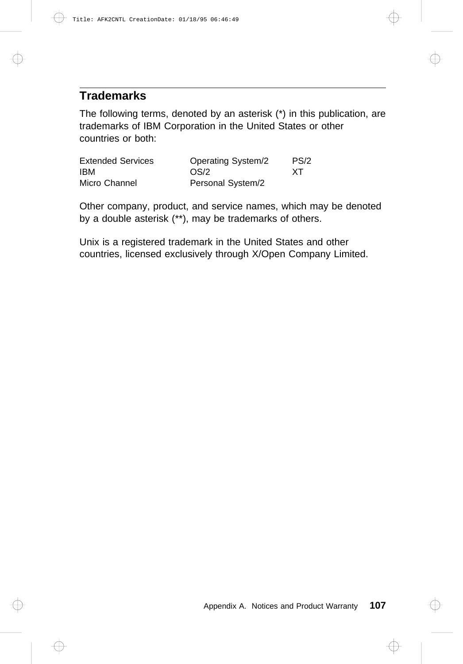### **Trademarks**

The following terms, denoted by an asterisk (\*) in this publication, are trademarks of IBM Corporation in the United States or other countries or both:

| <b>Extended Services</b> | <b>Operating System/2</b> | PS/2 |
|--------------------------|---------------------------|------|
| IBM                      | OS/2                      | XT.  |
| Micro Channel            | Personal System/2         |      |

Other company, product, and service names, which may be denoted by a double asterisk (\*\*), may be trademarks of others.

Unix is a registered trademark in the United States and other countries, licensed exclusively through X/Open Company Limited.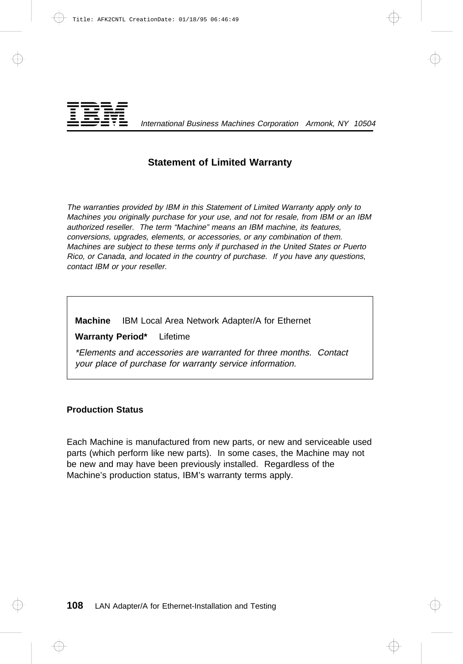

International Business Machines Corporation Armonk, NY 10504

#### **Statement of Limited Warranty**

The warranties provided by IBM in this Statement of Limited Warranty apply only to Machines you originally purchase for your use, and not for resale, from IBM or an IBM authorized reseller. The term "Machine" means an IBM machine, its features, conversions, upgrades, elements, or accessories, or any combination of them. Machines are subject to these terms only if purchased in the United States or Puerto Rico, or Canada, and located in the country of purchase. If you have any questions, contact IBM or your reseller.

**Machine** IBM Local Area Network Adapter/A for Ethernet

**Warranty Period\*** Lifetime

\*Elements and accessories are warranted for three months. Contact your place of purchase for warranty service information.

#### **Production Status**

Each Machine is manufactured from new parts, or new and serviceable used parts (which perform like new parts). In some cases, the Machine may not be new and may have been previously installed. Regardless of the Machine's production status, IBM's warranty terms apply.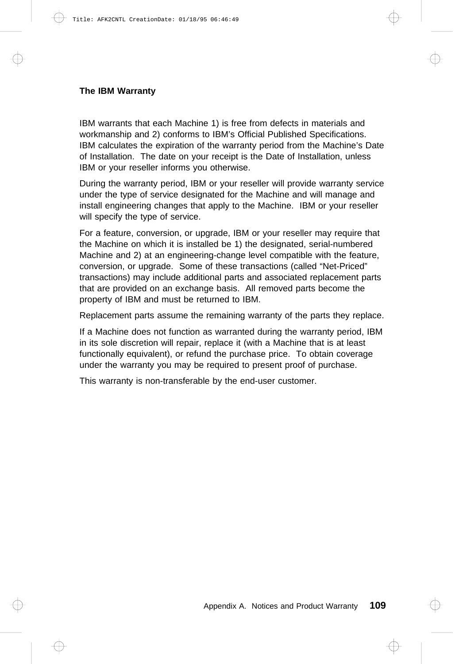#### **The IBM Warranty**

IBM warrants that each Machine 1) is free from defects in materials and workmanship and 2) conforms to IBM's Official Published Specifications. IBM calculates the expiration of the warranty period from the Machine's Date of Installation. The date on your receipt is the Date of Installation, unless IBM or your reseller informs you otherwise.

During the warranty period, IBM or your reseller will provide warranty service under the type of service designated for the Machine and will manage and install engineering changes that apply to the Machine. IBM or your reseller will specify the type of service.

For a feature, conversion, or upgrade, IBM or your reseller may require that the Machine on which it is installed be 1) the designated, serial-numbered Machine and 2) at an engineering-change level compatible with the feature, conversion, or upgrade. Some of these transactions (called "Net-Priced" transactions) may include additional parts and associated replacement parts that are provided on an exchange basis. All removed parts become the property of IBM and must be returned to IBM.

Replacement parts assume the remaining warranty of the parts they replace.

If a Machine does not function as warranted during the warranty period, IBM in its sole discretion will repair, replace it (with a Machine that is at least functionally equivalent), or refund the purchase price. To obtain coverage under the warranty you may be required to present proof of purchase.

This warranty is non-transferable by the end-user customer.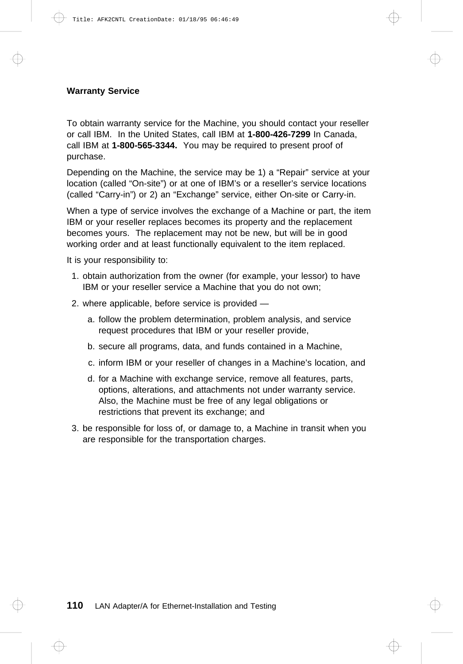#### **Warranty Service**

To obtain warranty service for the Machine, you should contact your reseller or call IBM. In the United States, call IBM at **1-800-426-7299** In Canada, call IBM at **1-800-565-3344.** You may be required to present proof of purchase.

Depending on the Machine, the service may be 1) a "Repair" service at your location (called "On-site") or at one of IBM's or a reseller's service locations (called "Carry-in") or 2) an "Exchange" service, either On-site or Carry-in.

When a type of service involves the exchange of a Machine or part, the item IBM or your reseller replaces becomes its property and the replacement becomes yours. The replacement may not be new, but will be in good working order and at least functionally equivalent to the item replaced.

It is your responsibility to:

- 1. obtain authorization from the owner (for example, your lessor) to have IBM or your reseller service a Machine that you do not own;
- 2. where applicable, before service is provided
	- a. follow the problem determination, problem analysis, and service request procedures that IBM or your reseller provide,
	- b. secure all programs, data, and funds contained in a Machine,
	- c. inform IBM or your reseller of changes in a Machine's location, and
	- d. for a Machine with exchange service, remove all features, parts, options, alterations, and attachments not under warranty service. Also, the Machine must be free of any legal obligations or restrictions that prevent its exchange; and
- 3. be responsible for loss of, or damage to, a Machine in transit when you are responsible for the transportation charges.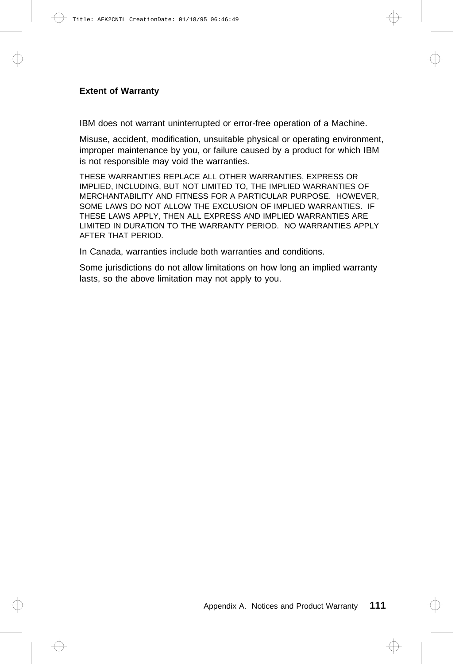#### **Extent of Warranty**

IBM does not warrant uninterrupted or error-free operation of a Machine.

Misuse, accident, modification, unsuitable physical or operating environment, improper maintenance by you, or failure caused by a product for which IBM is not responsible may void the warranties.

THESE WARRANTIES REPLACE ALL OTHER WARRANTIES, EXPRESS OR IMPLIED, INCLUDING, BUT NOT LIMITED TO, THE IMPLIED WARRANTIES OF MERCHANTABILITY AND FITNESS FOR A PARTICULAR PURPOSE. HOWEVER, SOME LAWS DO NOT ALLOW THE EXCLUSION OF IMPLIED WARRANTIES. IF THESE LAWS APPLY, THEN ALL EXPRESS AND IMPLIED WARRANTIES ARE LIMITED IN DURATION TO THE WARRANTY PERIOD. NO WARRANTIES APPLY AFTER THAT PERIOD.

In Canada, warranties include both warranties and conditions.

Some jurisdictions do not allow limitations on how long an implied warranty lasts, so the above limitation may not apply to you.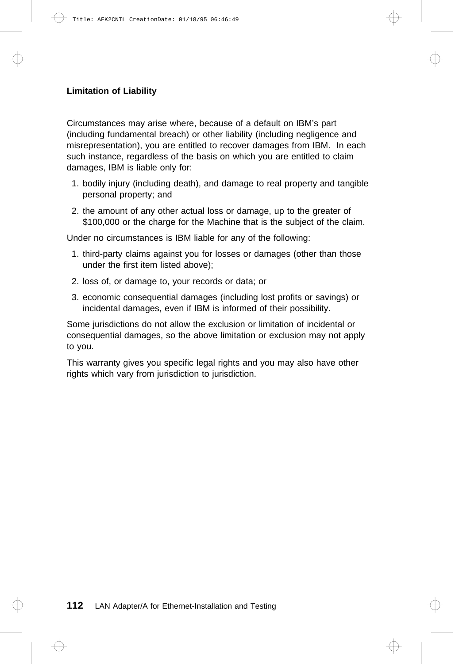#### **Limitation of Liability**

Circumstances may arise where, because of a default on IBM's part (including fundamental breach) or other liability (including negligence and misrepresentation), you are entitled to recover damages from IBM. In each such instance, regardless of the basis on which you are entitled to claim damages, IBM is liable only for:

- 1. bodily injury (including death), and damage to real property and tangible personal property; and
- 2. the amount of any other actual loss or damage, up to the greater of \$100,000 or the charge for the Machine that is the subject of the claim.

Under no circumstances is IBM liable for any of the following:

- 1. third-party claims against you for losses or damages (other than those under the first item listed above);
- 2. loss of, or damage to, your records or data; or
- 3. economic consequential damages (including lost profits or savings) or incidental damages, even if IBM is informed of their possibility.

Some jurisdictions do not allow the exclusion or limitation of incidental or consequential damages, so the above limitation or exclusion may not apply to you.

This warranty gives you specific legal rights and you may also have other rights which vary from jurisdiction to jurisdiction.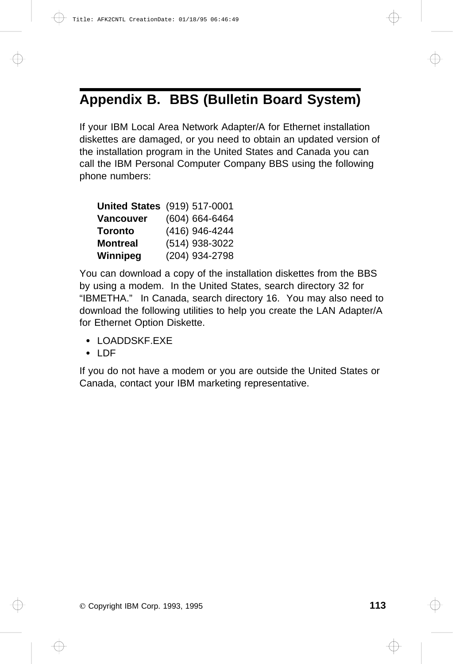# **Appendix B. BBS (Bulletin Board System)**

If your IBM Local Area Network Adapter/A for Ethernet installation diskettes are damaged, or you need to obtain an updated version of the installation program in the United States and Canada you can call the IBM Personal Computer Company BBS using the following phone numbers:

|                 | <b>United States</b> (919) 517-0001 |
|-----------------|-------------------------------------|
| Vancouver       | (604) 664-6464                      |
| <b>Toronto</b>  | (416) 946-4244                      |
| <b>Montreal</b> | (514) 938-3022                      |
| Winnipeg        | (204) 934-2798                      |

You can download a copy of the installation diskettes from the BBS by using a modem. In the United States, search directory 32 for "IBMETHA." In Canada, search directory 16. You may also need to download the following utilities to help you create the LAN Adapter/A for Ethernet Option Diskette.

- LOADDSKF.EXE
- LDF

If you do not have a modem or you are outside the United States or Canada, contact your IBM marketing representative.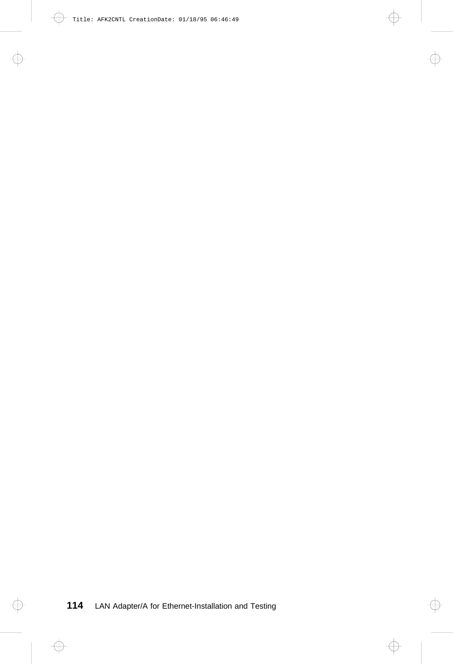$\overline{\oplus}$ 

 $\bigoplus$ 

 $\bigoplus$ 

 $\begin{picture}(120,10) \put(0,0){\line(1,0){155}} \put(15,0){\line(1,0){155}} \put(15,0){\line(1,0){155}} \put(15,0){\line(1,0){155}} \put(15,0){\line(1,0){155}} \put(15,0){\line(1,0){155}} \put(15,0){\line(1,0){155}} \put(15,0){\line(1,0){155}} \put(15,0){\line(1,0){155}} \put(15,0){\line(1,0){155}} \put(15,0){\line(1,0){155}}$  $\qquad \qquad \oplus$ 

 $\begin{array}{c|c} \varphi & \Big\downarrow \\ \hline \\ \varphi & \Big\downarrow \end{array}$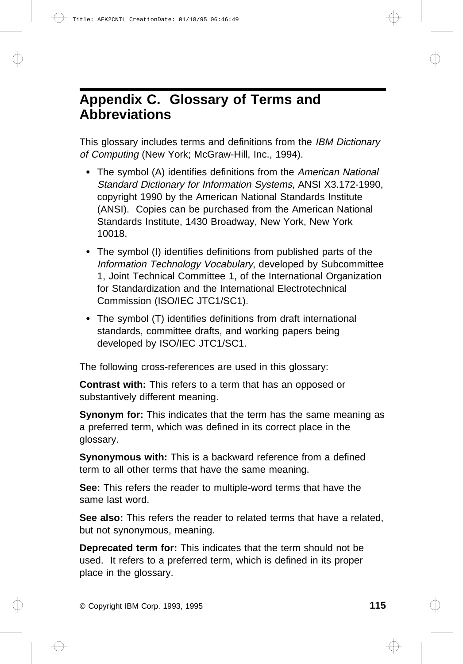## **Appendix C. Glossary of Terms and Abbreviations**

This glossary includes terms and definitions from the IBM Dictionary of Computing (New York; McGraw-Hill, Inc., 1994).

- The symbol (A) identifies definitions from the American National Standard Dictionary for Information Systems, ANSI X3.172-1990, copyright 1990 by the American National Standards Institute (ANSI). Copies can be purchased from the American National Standards Institute, 1430 Broadway, New York, New York 10018.
- The symbol (I) identifies definitions from published parts of the Information Technology Vocabulary, developed by Subcommittee 1, Joint Technical Committee 1, of the International Organization for Standardization and the International Electrotechnical Commission (ISO/IEC JTC1/SC1).
- The symbol (T) identifies definitions from draft international standards, committee drafts, and working papers being developed by ISO/IEC JTC1/SC1.

The following cross-references are used in this glossary:

**Contrast with:** This refers to a term that has an opposed or substantively different meaning.

**Synonym for:** This indicates that the term has the same meaning as a preferred term, which was defined in its correct place in the glossary.

**Synonymous with:** This is a backward reference from a defined term to all other terms that have the same meaning.

**See:** This refers the reader to multiple-word terms that have the same last word.

**See also:** This refers the reader to related terms that have a related, but not synonymous, meaning.

**Deprecated term for:** This indicates that the term should not be used. It refers to a preferred term, which is defined in its proper place in the glossary.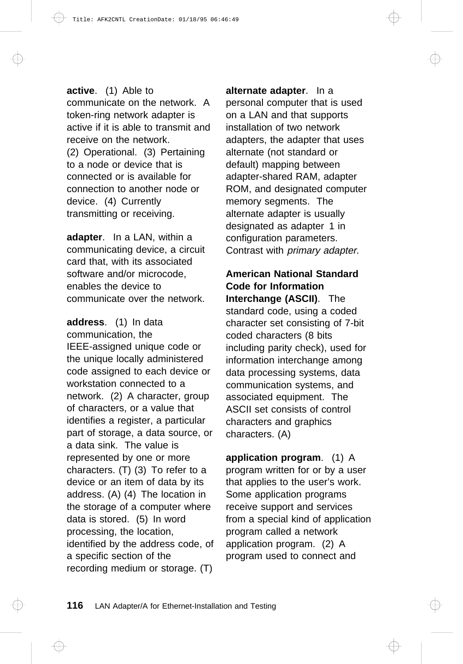Title: AFK2CNTL CreationDate: 01/18/95 06:46:49

**active**. (1) Able to communicate on the network. A token-ring network adapter is active if it is able to transmit and receive on the network. (2) Operational. (3) Pertaining to a node or device that is connected or is available for connection to another node or device. (4) Currently transmitting or receiving.

**adapter**. In a LAN, within a communicating device, a circuit card that, with its associated software and/or microcode, enables the device to communicate over the network.

**address**. (1) In data communication, the IEEE-assigned unique code or the unique locally administered code assigned to each device or workstation connected to a network. (2) A character, group of characters, or a value that identifies a register, a particular part of storage, a data source, or a data sink. The value is represented by one or more characters. (T) (3) To refer to a device or an item of data by its address. (A) (4) The location in the storage of a computer where data is stored. (5) In word processing, the location, identified by the address code, of a specific section of the recording medium or storage. (T)

**alternate adapter**. In a personal computer that is used on a LAN and that supports installation of two network adapters, the adapter that uses alternate (not standard or default) mapping between adapter-shared RAM, adapter ROM, and designated computer memory segments. The alternate adapter is usually designated as adapter 1 in configuration parameters. Contrast with primary adapter.

**American National Standard Code for Information Interchange (ASCII)**. The standard code, using a coded character set consisting of 7-bit coded characters (8 bits including parity check), used for information interchange among data processing systems, data communication systems, and associated equipment. The ASCII set consists of control characters and graphics characters. (A)

**application program**. (1) A program written for or by a user that applies to the user's work. Some application programs receive support and services from a special kind of application program called a network application program. (2) A program used to connect and

**116** LAN Adapter/A for Ethernet-Installation and Testing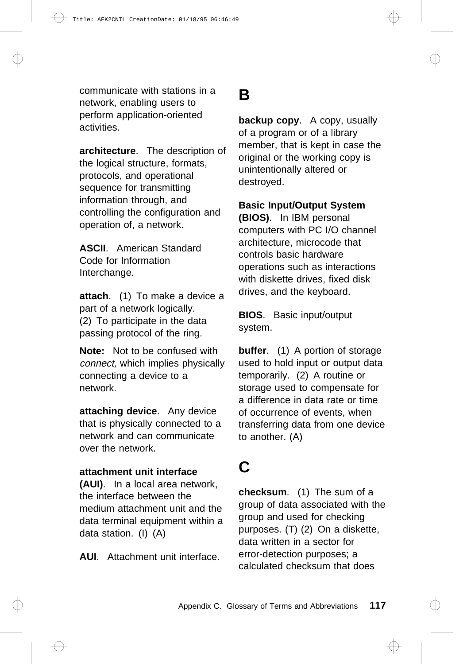communicate with stations in a network, enabling users to perform application-oriented activities.

**architecture**. The description of the logical structure, formats, protocols, and operational sequence for transmitting information through, and controlling the configuration and operation of, a network.

**ASCII**. American Standard Code for Information Interchange.

**attach**. (1) To make a device a part of a network logically. (2) To participate in the data passing protocol of the ring.

**Note:** Not to be confused with connect, which implies physically connecting a device to a network.

**attaching device**. Any device that is physically connected to a network and can communicate over the network.

#### **attachment unit interface**

**(AUI)**. In a local area network, the interface between the medium attachment unit and the data terminal equipment within a data station. (I) (A)

**AUI**. Attachment unit interface.

## **B**

**backup copy**. A copy, usually of a program or of a library member, that is kept in case the original or the working copy is unintentionally altered or destroyed.

**Basic Input/Output System (BIOS)**. In IBM personal computers with PC I/O channel architecture, microcode that controls basic hardware operations such as interactions with diskette drives, fixed disk drives, and the keyboard.

**BIOS**. Basic input/output system.

**buffer**. (1) A portion of storage used to hold input or output data temporarily. (2) A routine or storage used to compensate for a difference in data rate or time of occurrence of events, when transferring data from one device to another. (A)

# **C**

**checksum**. (1) The sum of a group of data associated with the group and used for checking purposes. (T) (2) On a diskette, data written in a sector for error-detection purposes; a calculated checksum that does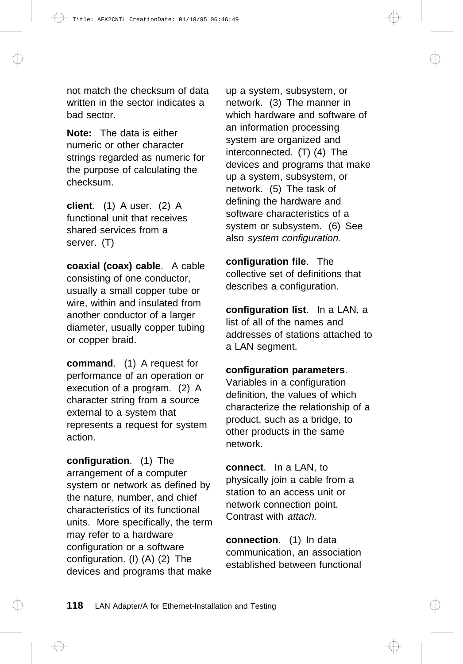not match the checksum of data written in the sector indicates a bad sector.

**Note:** The data is either numeric or other character strings regarded as numeric for the purpose of calculating the checksum.

**client**. (1) A user. (2) A functional unit that receives shared services from a server. (T)

**coaxial (coax) cable**. A cable consisting of one conductor, usually a small copper tube or wire, within and insulated from another conductor of a larger diameter, usually copper tubing or copper braid.

**command**. (1) A request for performance of an operation or execution of a program. (2) A character string from a source external to a system that represents a request for system action.

**configuration**. (1) The arrangement of a computer system or network as defined by the nature, number, and chief characteristics of its functional units. More specifically, the term may refer to a hardware configuration or a software configuration. (I) (A) (2) The devices and programs that make

up a system, subsystem, or network. (3) The manner in which hardware and software of an information processing system are organized and interconnected. (T) (4) The devices and programs that make up a system, subsystem, or network. (5) The task of defining the hardware and software characteristics of a system or subsystem. (6) See also system configuration.

**configuration file**. The collective set of definitions that describes a configuration.

**configuration list**. In a LAN, a list of all of the names and addresses of stations attached to a LAN segment.

#### **configuration parameters**.

Variables in a configuration definition, the values of which characterize the relationship of a product, such as a bridge, to other products in the same network.

**connect**. In a LAN, to physically join a cable from a station to an access unit or network connection point. Contrast with attach.

**connection**. (1) In data communication, an association established between functional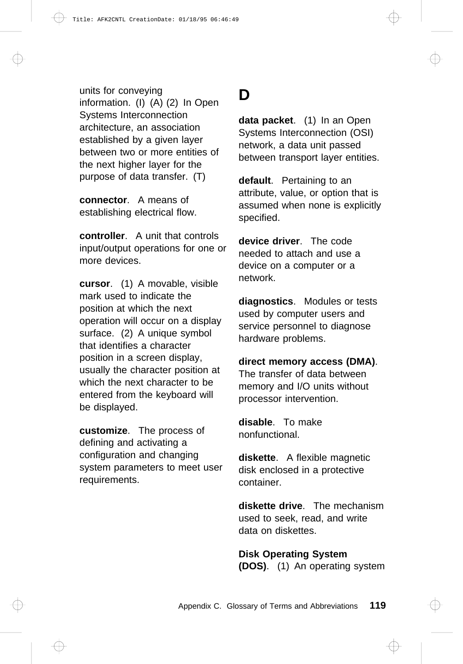Title: AFK2CNTL CreationDate: 01/18/95 06:46:49

units for conveying information. (I) (A) (2) In Open Systems Interconnection architecture, an association established by a given layer between two or more entities of the next higher layer for the purpose of data transfer. (T)

**connector**. A means of establishing electrical flow.

**controller**. A unit that controls input/output operations for one or more devices.

**cursor**. (1) A movable, visible mark used to indicate the position at which the next operation will occur on a display surface. (2) A unique symbol that identifies a character position in a screen display, usually the character position at which the next character to be entered from the keyboard will be displayed.

**customize**. The process of defining and activating a configuration and changing system parameters to meet user requirements.

## **D**

**data packet**. (1) In an Open Systems Interconnection (OSI) network, a data unit passed between transport layer entities.

**default**. Pertaining to an attribute, value, or option that is assumed when none is explicitly specified.

**device driver**. The code needed to attach and use a device on a computer or a network.

**diagnostics**. Modules or tests used by computer users and service personnel to diagnose hardware problems.

#### **direct memory access (DMA)**.

The transfer of data between memory and I/O units without processor intervention.

**disable**. To make nonfunctional.

**diskette**. A flexible magnetic disk enclosed in a protective container.

**diskette drive**. The mechanism used to seek, read, and write data on diskettes.

#### **Disk Operating System**

**(DOS)**. (1) An operating system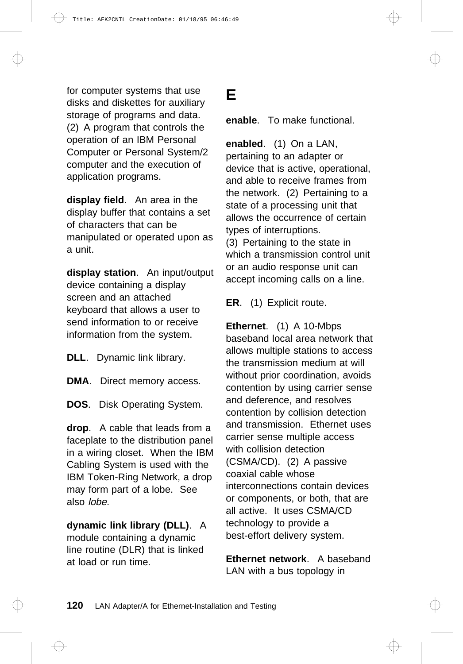for computer systems that use disks and diskettes for auxiliary storage of programs and data. (2) A program that controls the operation of an IBM Personal Computer or Personal System/2 computer and the execution of application programs.

**display field**. An area in the display buffer that contains a set of characters that can be manipulated or operated upon as a unit.

**display station**. An input/output device containing a display screen and an attached keyboard that allows a user to send information to or receive information from the system.

**DLL**. Dynamic link library.

- **DMA**. Direct memory access.
- **DOS**. Disk Operating System.

**drop**. A cable that leads from a faceplate to the distribution panel in a wiring closet. When the IBM Cabling System is used with the IBM Token-Ring Network, a drop may form part of a lobe. See also lobe.

**dynamic link library (DLL)**. A module containing a dynamic line routine (DLR) that is linked at load or run time.

## **E**

**enable**. To make functional.

#### **enabled**. (1) On a LAN,

pertaining to an adapter or device that is active, operational, and able to receive frames from the network. (2) Pertaining to a state of a processing unit that allows the occurrence of certain types of interruptions.

(3) Pertaining to the state in which a transmission control unit or an audio response unit can accept incoming calls on a line.

**ER**. (1) Explicit route.

**Ethernet**. (1) A 10-Mbps baseband local area network that allows multiple stations to access the transmission medium at will without prior coordination, avoids contention by using carrier sense and deference, and resolves contention by collision detection and transmission. Ethernet uses carrier sense multiple access with collision detection (CSMA/CD). (2) A passive coaxial cable whose interconnections contain devices or components, or both, that are all active. It uses CSMA/CD technology to provide a best-effort delivery system.

**Ethernet network**. A baseband LAN with a bus topology in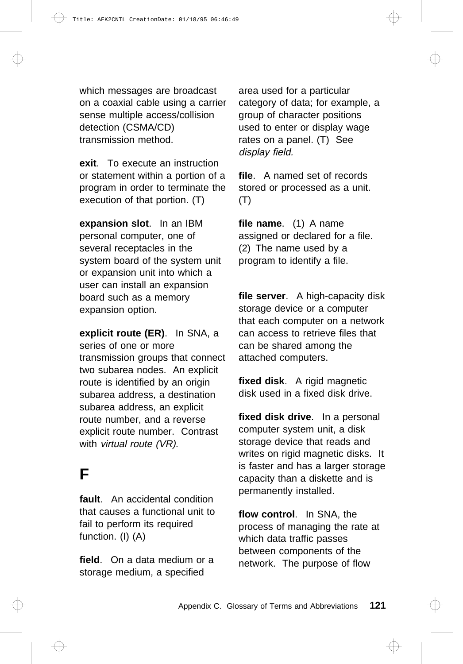which messages are broadcast on a coaxial cable using a carrier sense multiple access/collision detection (CSMA/CD) transmission method.

**exit**. To execute an instruction or statement within a portion of a program in order to terminate the execution of that portion. (T)

**expansion slot**. In an IBM personal computer, one of several receptacles in the system board of the system unit or expansion unit into which a user can install an expansion board such as a memory expansion option.

**explicit route (ER)**. In SNA, a series of one or more transmission groups that connect two subarea nodes. An explicit route is identified by an origin subarea address, a destination subarea address, an explicit route number, and a reverse explicit route number. Contrast with virtual route (VR).

# **F**

**fault**. An accidental condition that causes a functional unit to fail to perform its required function. (I) (A)

**field**. On a data medium or a storage medium, a specified

area used for a particular category of data; for example, a group of character positions used to enter or display wage rates on a panel. (T) See display field.

**file**. A named set of records stored or processed as a unit. (T)

**file name**. (1) A name assigned or declared for a file. (2) The name used by a program to identify a file.

**file server**. A high-capacity disk storage device or a computer that each computer on a network can access to retrieve files that can be shared among the attached computers.

**fixed disk**. A rigid magnetic disk used in a fixed disk drive.

**fixed disk drive**. In a personal computer system unit, a disk storage device that reads and writes on rigid magnetic disks. It is faster and has a larger storage capacity than a diskette and is permanently installed.

**flow control**. In SNA, the process of managing the rate at which data traffic passes between components of the network. The purpose of flow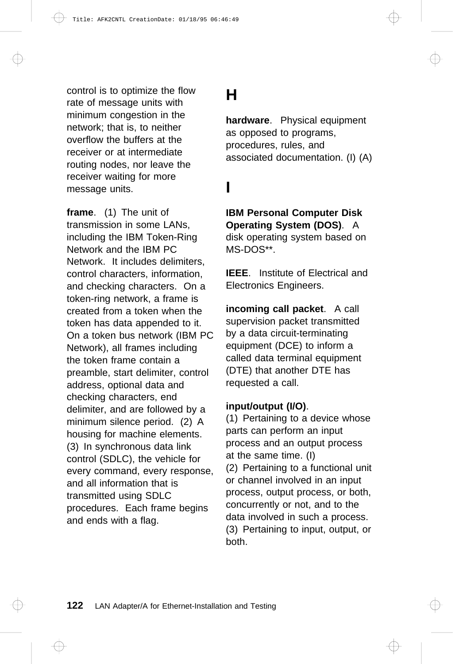control is to optimize the flow rate of message units with minimum congestion in the network; that is, to neither overflow the buffers at the receiver or at intermediate routing nodes, nor leave the receiver waiting for more message units.

**frame**. (1) The unit of transmission in some LANs, including the IBM Token-Ring Network and the IBM PC Network. It includes delimiters, control characters, information, and checking characters. On a token-ring network, a frame is created from a token when the token has data appended to it. On a token bus network (IBM PC Network), all frames including the token frame contain a preamble, start delimiter, control address, optional data and checking characters, end delimiter, and are followed by a minimum silence period. (2) A housing for machine elements. (3) In synchronous data link control (SDLC), the vehicle for every command, every response, and all information that is transmitted using SDLC procedures. Each frame begins and ends with a flag.

## **H**

**hardware**. Physical equipment as opposed to programs, procedures, rules, and associated documentation. (I) (A)

## **I**

**IBM Personal Computer Disk Operating System (DOS)**. A disk operating system based on

MS-DOS\*\*.

**IEEE.** Institute of Electrical and Electronics Engineers.

**incoming call packet**. A call supervision packet transmitted by a data circuit-terminating equipment (DCE) to inform a called data terminal equipment (DTE) that another DTE has requested a call.

#### **input/output (I/O)**.

(1) Pertaining to a device whose parts can perform an input process and an output process at the same time. (I) (2) Pertaining to a functional unit or channel involved in an input process, output process, or both, concurrently or not, and to the data involved in such a process. (3) Pertaining to input, output, or both.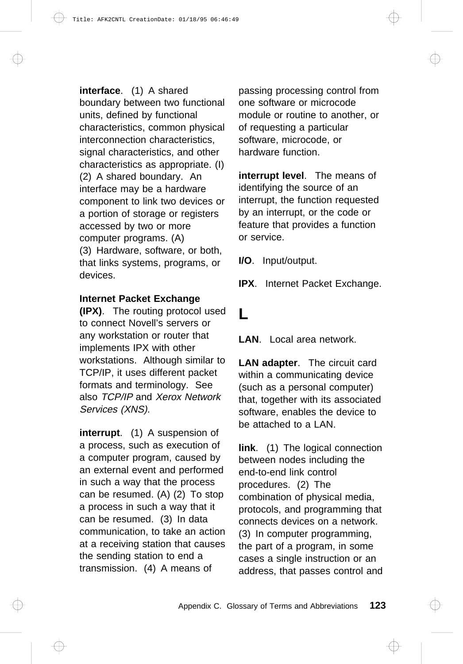Title: AFK2CNTL CreationDate: 01/18/95 06:46:49

**interface**. (1) A shared boundary between two functional units, defined by functional characteristics, common physical interconnection characteristics, signal characteristics, and other characteristics as appropriate. (I) (2) A shared boundary. An interface may be a hardware component to link two devices or a portion of storage or registers accessed by two or more computer programs. (A) (3) Hardware, software, or both, that links systems, programs, or devices.

#### **Internet Packet Exchange**

**(IPX)**. The routing protocol used to connect Novell's servers or any workstation or router that implements IPX with other workstations. Although similar to TCP/IP, it uses different packet formats and terminology. See also TCP/IP and Xerox Network Services (XNS).

**interrupt**. (1) A suspension of a process, such as execution of a computer program, caused by an external event and performed in such a way that the process can be resumed. (A) (2) To stop a process in such a way that it can be resumed. (3) In data communication, to take an action at a receiving station that causes the sending station to end a transmission. (4) A means of

passing processing control from one software or microcode module or routine to another, or of requesting a particular software, microcode, or hardware function.

**interrupt level**. The means of identifying the source of an interrupt, the function requested by an interrupt, or the code or feature that provides a function or service.

**I/O**. Input/output.

**IPX**. Internet Packet Exchange.

## **L**

**LAN**. Local area network.

**LAN adapter**. The circuit card within a communicating device (such as a personal computer) that, together with its associated software, enables the device to be attached to a LAN.

**link**. (1) The logical connection between nodes including the end-to-end link control procedures. (2) The combination of physical media, protocols, and programming that connects devices on a network. (3) In computer programming, the part of a program, in some cases a single instruction or an address, that passes control and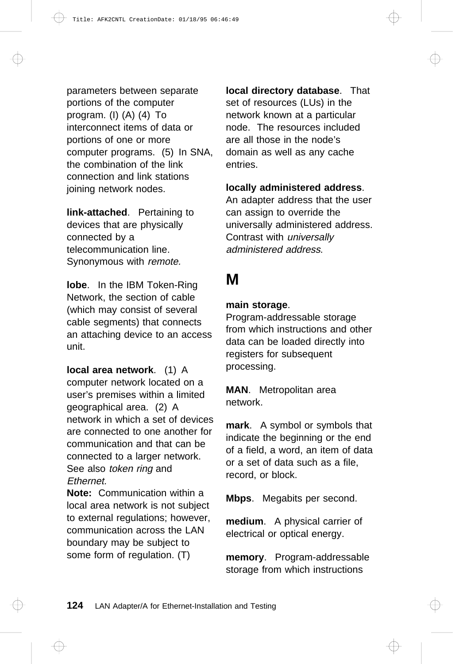parameters between separate portions of the computer program. (I) (A) (4) To interconnect items of data or portions of one or more computer programs. (5) In SNA, the combination of the link connection and link stations joining network nodes.

**link-attached**. Pertaining to devices that are physically connected by a telecommunication line. Synonymous with remote.

**lobe**. In the IBM Token-Ring Network, the section of cable (which may consist of several cable segments) that connects an attaching device to an access unit.

**local area network**. (1) A computer network located on a user's premises within a limited geographical area. (2) A network in which a set of devices are connected to one another for communication and that can be connected to a larger network. See also token ring and Ethernet.

**Note:** Communication within a local area network is not subject to external regulations; however, communication across the LAN boundary may be subject to some form of regulation. (T)

**local directory database**. That set of resources (LUs) in the network known at a particular node. The resources included are all those in the node's domain as well as any cache entries.

#### **locally administered address**.

An adapter address that the user can assign to override the universally administered address. Contrast with universally administered address.

## **M**

#### **main storage**.

Program-addressable storage from which instructions and other data can be loaded directly into registers for subsequent processing.

**MAN**. Metropolitan area network.

**mark**. A symbol or symbols that indicate the beginning or the end of a field, a word, an item of data or a set of data such as a file, record, or block.

**Mbps**. Megabits per second.

**medium**. A physical carrier of electrical or optical energy.

**memory**. Program-addressable storage from which instructions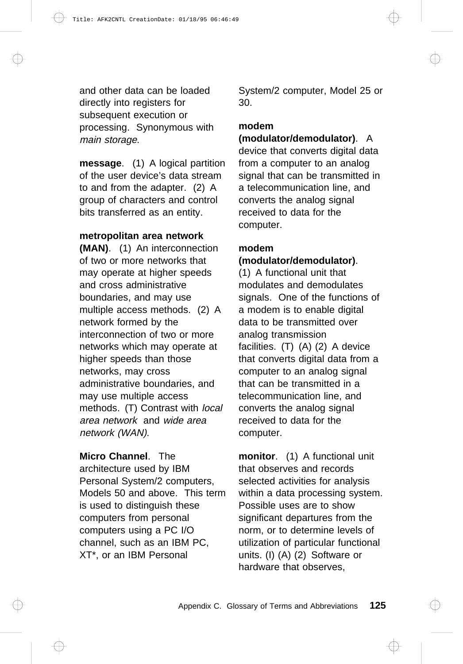and other data can be loaded directly into registers for subsequent execution or processing. Synonymous with main storage.

**message**. (1) A logical partition of the user device's data stream to and from the adapter. (2) A group of characters and control bits transferred as an entity.

#### **metropolitan area network**

**(MAN)**. (1) An interconnection of two or more networks that may operate at higher speeds and cross administrative boundaries, and may use multiple access methods. (2) A network formed by the interconnection of two or more networks which may operate at higher speeds than those networks, may cross administrative boundaries, and may use multiple access methods. (T) Contrast with *local* area network and wide area network (WAN).

**Micro Channel**. The architecture used by IBM Personal System/2 computers, Models 50 and above. This term is used to distinguish these computers from personal computers using a PC I/O channel, such as an IBM PC, XT\*, or an IBM Personal

System/2 computer, Model 25 or 30.

#### **modem**

#### **(modulator/demodulator)**. A

device that converts digital data from a computer to an analog signal that can be transmitted in a telecommunication line, and converts the analog signal received to data for the computer.

#### **modem**

#### **(modulator/demodulator)**.

(1) A functional unit that modulates and demodulates signals. One of the functions of a modem is to enable digital data to be transmitted over analog transmission facilities. (T) (A) (2) A device that converts digital data from a computer to an analog signal that can be transmitted in a telecommunication line, and converts the analog signal received to data for the computer.

**monitor**. (1) A functional unit that observes and records selected activities for analysis within a data processing system. Possible uses are to show significant departures from the norm, or to determine levels of utilization of particular functional units. (I) (A) (2) Software or hardware that observes,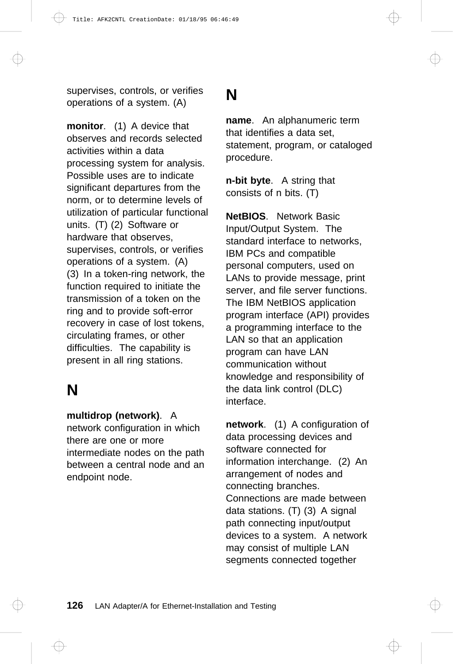Title: AFK2CNTL CreationDate: 01/18/95 06:46:49

supervises, controls, or verifies operations of a system. (A)

**monitor**. (1) A device that observes and records selected activities within a data processing system for analysis. Possible uses are to indicate significant departures from the norm, or to determine levels of utilization of particular functional units. (T) (2) Software or hardware that observes, supervises, controls, or verifies operations of a system. (A) (3) In a token-ring network, the function required to initiate the transmission of a token on the ring and to provide soft-error recovery in case of lost tokens, circulating frames, or other difficulties. The capability is present in all ring stations.

# **N**

#### **multidrop (network)**. A

network configuration in which there are one or more intermediate nodes on the path between a central node and an endpoint node.

## **N**

**name**. An alphanumeric term that identifies a data set, statement, program, or cataloged procedure.

**n-bit byte**. A string that consists of n bits. (T)

**NetBIOS**. Network Basic Input/Output System. The standard interface to networks, IBM PCs and compatible personal computers, used on LANs to provide message, print server, and file server functions. The IBM NetBIOS application program interface (API) provides a programming interface to the LAN so that an application program can have LAN communication without knowledge and responsibility of the data link control (DLC) interface.

**network**. (1) A configuration of data processing devices and software connected for information interchange. (2) An arrangement of nodes and connecting branches. Connections are made between data stations. (T) (3) A signal path connecting input/output devices to a system. A network may consist of multiple LAN segments connected together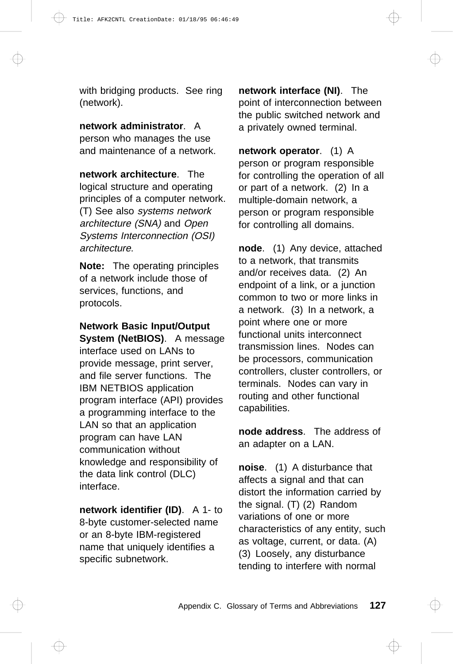with bridging products. See ring (network).

**network administrator**. A person who manages the use and maintenance of a network.

**network architecture**. The logical structure and operating principles of a computer network. (T) See also systems network architecture (SNA) and Open Systems Interconnection (OSI) architecture.

**Note:** The operating principles of a network include those of services, functions, and protocols.

**Network Basic Input/Output System (NetBIOS)**. A message interface used on LANs to provide message, print server, and file server functions. The IBM NETBIOS application program interface (API) provides a programming interface to the LAN so that an application program can have LAN communication without knowledge and responsibility of the data link control (DLC) interface.

**network identifier (ID)**. A 1- to 8-byte customer-selected name or an 8-byte IBM-registered name that uniquely identifies a specific subnetwork.

**network interface (NI)**. The point of interconnection between the public switched network and a privately owned terminal.

**network operator**. (1) A person or program responsible for controlling the operation of all or part of a network. (2) In a multiple-domain network, a person or program responsible for controlling all domains.

**node**. (1) Any device, attached to a network, that transmits and/or receives data. (2) An endpoint of a link, or a junction common to two or more links in a network. (3) In a network, a point where one or more functional units interconnect transmission lines. Nodes can be processors, communication controllers, cluster controllers, or terminals. Nodes can vary in routing and other functional capabilities.

**node address**. The address of an adapter on a LAN.

**noise**. (1) A disturbance that affects a signal and that can distort the information carried by the signal. (T) (2) Random variations of one or more characteristics of any entity, such as voltage, current, or data. (A) (3) Loosely, any disturbance tending to interfere with normal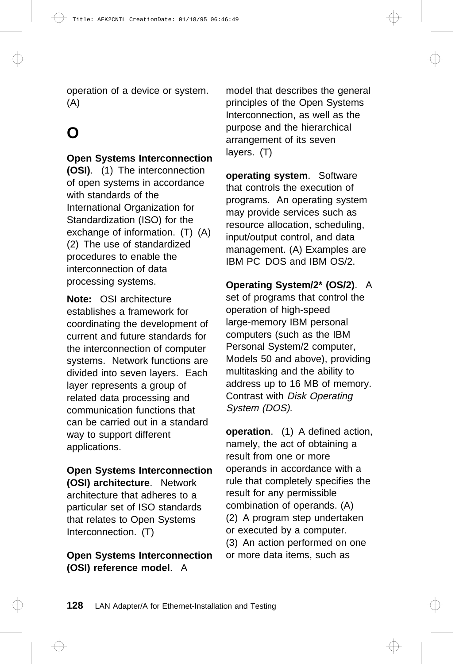operation of a device or system. (A)

# **O**

#### **Open Systems Interconnection**

**(OSI)**. (1) The interconnection of open systems in accordance with standards of the International Organization for Standardization (ISO) for the exchange of information. (T) (A) (2) The use of standardized procedures to enable the interconnection of data processing systems.

**Note:** OSI architecture establishes a framework for coordinating the development of current and future standards for the interconnection of computer systems. Network functions are divided into seven layers. Each layer represents a group of related data processing and communication functions that can be carried out in a standard way to support different applications.

**Open Systems Interconnection (OSI) architecture**. Network architecture that adheres to a particular set of ISO standards that relates to Open Systems Interconnection. (T)

**Open Systems Interconnection (OSI) reference model**. A

model that describes the general principles of the Open Systems Interconnection, as well as the purpose and the hierarchical arrangement of its seven layers. (T)

**operating system**. Software that controls the execution of programs. An operating system may provide services such as resource allocation, scheduling, input/output control, and data management. (A) Examples are IBM PC DOS and IBM OS/2.

**Operating System/2\* (OS/2)**. A set of programs that control the operation of high-speed large-memory IBM personal computers (such as the IBM Personal System/2 computer, Models 50 and above), providing multitasking and the ability to address up to 16 MB of memory. Contrast with Disk Operating System (DOS).

**operation**. (1) A defined action, namely, the act of obtaining a result from one or more operands in accordance with a rule that completely specifies the result for any permissible combination of operands. (A) (2) A program step undertaken or executed by a computer. (3) An action performed on one or more data items, such as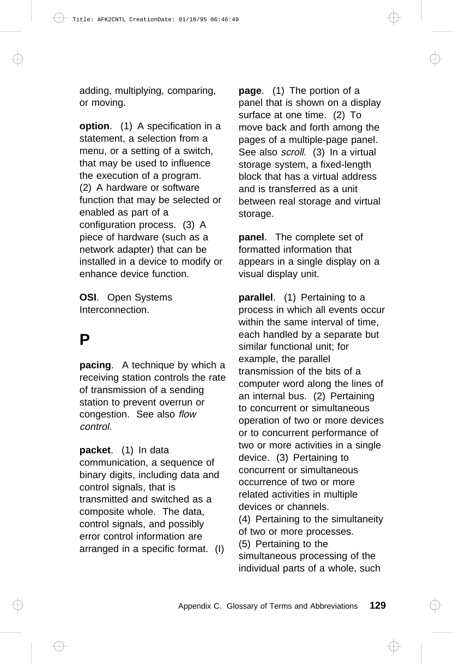Title: AFK2CNTL CreationDate: 01/18/95 06:46:49

adding, multiplying, comparing, or moving.

**option**. (1) A specification in a statement, a selection from a menu, or a setting of a switch, that may be used to influence the execution of a program. (2) A hardware or software function that may be selected or enabled as part of a configuration process. (3) A piece of hardware (such as a network adapter) that can be installed in a device to modify or enhance device function.

**OSI**. Open Systems Interconnection.

## **P**

**pacing**. A technique by which a receiving station controls the rate of transmission of a sending station to prevent overrun or congestion. See also flow control.

**packet**. (1) In data communication, a sequence of binary digits, including data and control signals, that is transmitted and switched as a composite whole. The data, control signals, and possibly error control information are arranged in a specific format. (I) **page**. (1) The portion of a panel that is shown on a display surface at one time. (2) To move back and forth among the pages of a multiple-page panel. See also *scroll.* (3) In a virtual storage system, a fixed-length block that has a virtual address and is transferred as a unit between real storage and virtual storage.

**panel**. The complete set of formatted information that appears in a single display on a visual display unit.

**parallel**. (1) Pertaining to a process in which all events occur within the same interval of time each handled by a separate but similar functional unit; for example, the parallel transmission of the bits of a computer word along the lines of an internal bus. (2) Pertaining to concurrent or simultaneous operation of two or more devices or to concurrent performance of two or more activities in a single device. (3) Pertaining to concurrent or simultaneous occurrence of two or more related activities in multiple devices or channels. (4) Pertaining to the simultaneity of two or more processes.

(5) Pertaining to the simultaneous processing of the individual parts of a whole, such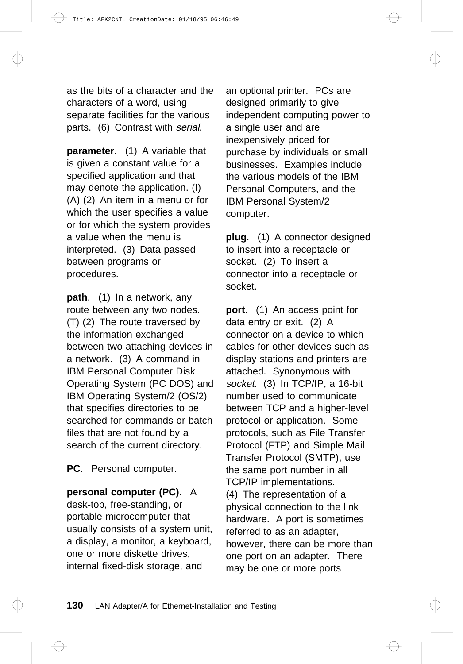as the bits of a character and the characters of a word, using separate facilities for the various parts. (6) Contrast with serial.

**parameter**. (1) A variable that is given a constant value for a specified application and that may denote the application. (I) (A) (2) An item in a menu or for which the user specifies a value or for which the system provides a value when the menu is interpreted. (3) Data passed between programs or procedures.

**path**. (1) In a network, any route between any two nodes. (T) (2) The route traversed by the information exchanged between two attaching devices in a network. (3) A command in IBM Personal Computer Disk Operating System (PC DOS) and IBM Operating System/2 (OS/2) that specifies directories to be searched for commands or batch files that are not found by a search of the current directory.

**PC**. Personal computer.

**personal computer (PC)**. A desk-top, free-standing, or portable microcomputer that usually consists of a system unit, a display, a monitor, a keyboard, one or more diskette drives, internal fixed-disk storage, and

an optional printer. PCs are designed primarily to give independent computing power to a single user and are inexpensively priced for purchase by individuals or small businesses. Examples include the various models of the IBM Personal Computers, and the IBM Personal System/2 computer.

**plug**. (1) A connector designed to insert into a receptacle or socket. (2) To insert a connector into a receptacle or socket.

**port**. (1) An access point for data entry or exit. (2) A connector on a device to which cables for other devices such as display stations and printers are attached. Synonymous with socket. (3) In TCP/IP, a 16-bit number used to communicate between TCP and a higher-level protocol or application. Some protocols, such as File Transfer Protocol (FTP) and Simple Mail Transfer Protocol (SMTP), use the same port number in all TCP/IP implementations. (4) The representation of a physical connection to the link hardware. A port is sometimes referred to as an adapter, however, there can be more than one port on an adapter. There may be one or more ports

**130** LAN Adapter/A for Ethernet-Installation and Testing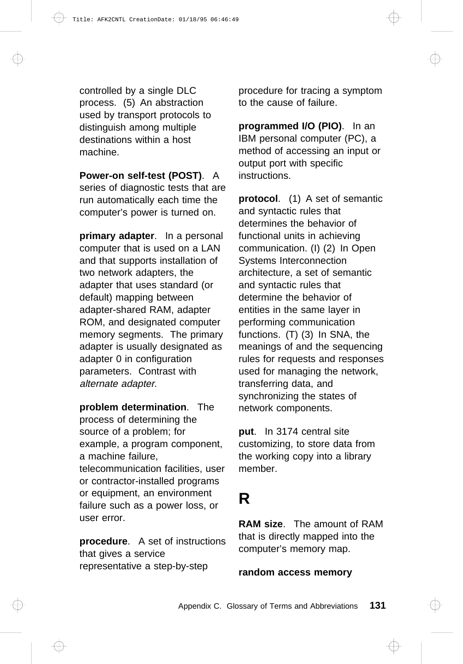controlled by a single DLC process. (5) An abstraction used by transport protocols to distinguish among multiple destinations within a host machine.

**Power-on self-test (POST)**. A series of diagnostic tests that are run automatically each time the computer's power is turned on.

**primary adapter**. In a personal computer that is used on a LAN and that supports installation of two network adapters, the adapter that uses standard (or default) mapping between adapter-shared RAM, adapter ROM, and designated computer memory segments. The primary adapter is usually designated as adapter 0 in configuration parameters. Contrast with alternate adapter.

**problem determination**. The process of determining the source of a problem; for example, a program component, a machine failure, telecommunication facilities, user or contractor-installed programs or equipment, an environment failure such as a power loss, or user error.

**procedure**. A set of instructions that gives a service representative a step-by-step

procedure for tracing a symptom to the cause of failure.

**programmed I/O (PIO)**. In an IBM personal computer (PC), a method of accessing an input or output port with specific instructions.

**protocol**. (1) A set of semantic and syntactic rules that determines the behavior of functional units in achieving communication. (I) (2) In Open Systems Interconnection architecture, a set of semantic and syntactic rules that determine the behavior of entities in the same layer in performing communication functions. (T) (3) In SNA, the meanings of and the sequencing rules for requests and responses used for managing the network, transferring data, and synchronizing the states of network components.

**put**. In 3174 central site customizing, to store data from the working copy into a library member.

# **R**

**RAM size**. The amount of RAM that is directly mapped into the computer's memory map.

**random access memory**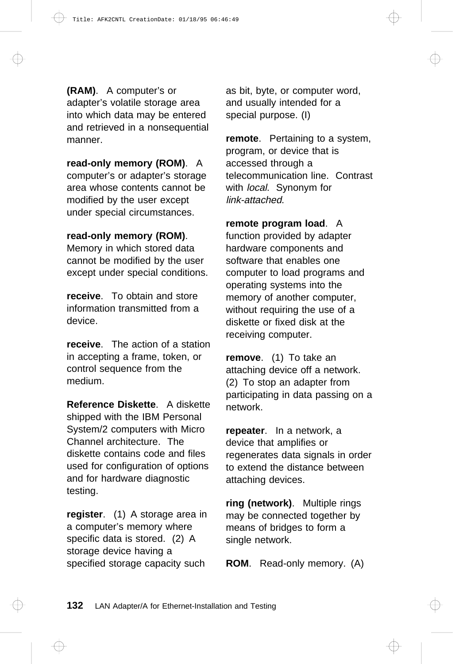**(RAM)**. A computer's or adapter's volatile storage area into which data may be entered and retrieved in a nonsequential manner.

**read-only memory (ROM)**. A computer's or adapter's storage area whose contents cannot be modified by the user except under special circumstances.

**read-only memory (ROM)**.

Memory in which stored data cannot be modified by the user except under special conditions.

**receive**. To obtain and store information transmitted from a device.

**receive**. The action of a station in accepting a frame, token, or control sequence from the medium.

**Reference Diskette**. A diskette shipped with the IBM Personal System/2 computers with Micro Channel architecture. The diskette contains code and files used for configuration of options and for hardware diagnostic testing.

**register**. (1) A storage area in a computer's memory where specific data is stored. (2) A storage device having a specified storage capacity such

as bit, byte, or computer word, and usually intended for a special purpose. (I)

**remote**. Pertaining to a system, program, or device that is accessed through a telecommunication line. Contrast with *local*. Synonym for link-attached.

**remote program load**. A function provided by adapter hardware components and software that enables one computer to load programs and operating systems into the memory of another computer, without requiring the use of a diskette or fixed disk at the receiving computer.

**remove**. (1) To take an attaching device off a network. (2) To stop an adapter from participating in data passing on a network.

**repeater**. In a network, a device that amplifies or regenerates data signals in order to extend the distance between attaching devices.

**ring (network)**. Multiple rings may be connected together by means of bridges to form a single network.

**ROM**. Read-only memory. (A)

**132** LAN Adapter/A for Ethernet-Installation and Testing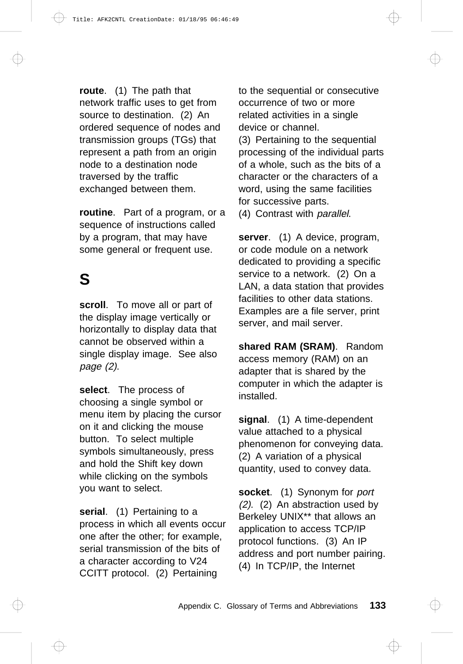**route**. (1) The path that network traffic uses to get from source to destination. (2) An ordered sequence of nodes and transmission groups (TGs) that represent a path from an origin node to a destination node traversed by the traffic exchanged between them.

**routine**. Part of a program, or a sequence of instructions called by a program, that may have some general or frequent use.

# **S**

**scroll**. To move all or part of the display image vertically or horizontally to display data that cannot be observed within a single display image. See also page (2).

**select**. The process of choosing a single symbol or menu item by placing the cursor on it and clicking the mouse button. To select multiple symbols simultaneously, press and hold the Shift key down while clicking on the symbols you want to select.

**serial**. (1) Pertaining to a process in which all events occur one after the other; for example, serial transmission of the bits of a character according to V24 CCITT protocol. (2) Pertaining

to the sequential or consecutive occurrence of two or more related activities in a single device or channel.

(3) Pertaining to the sequential processing of the individual parts of a whole, such as the bits of a character or the characters of a word, using the same facilities for successive parts.

(4) Contrast with parallel.

**server**. (1) A device, program, or code module on a network dedicated to providing a specific service to a network. (2) On a LAN, a data station that provides facilities to other data stations. Examples are a file server, print server, and mail server.

**shared RAM (SRAM)**. Random access memory (RAM) on an adapter that is shared by the computer in which the adapter is installed.

**signal**. (1) A time-dependent value attached to a physical phenomenon for conveying data. (2) A variation of a physical quantity, used to convey data.

**socket**. (1) Synonym for port (2). (2) An abstraction used by Berkeley UNIX\*\* that allows an application to access TCP/IP protocol functions. (3) An IP address and port number pairing. (4) In TCP/IP, the Internet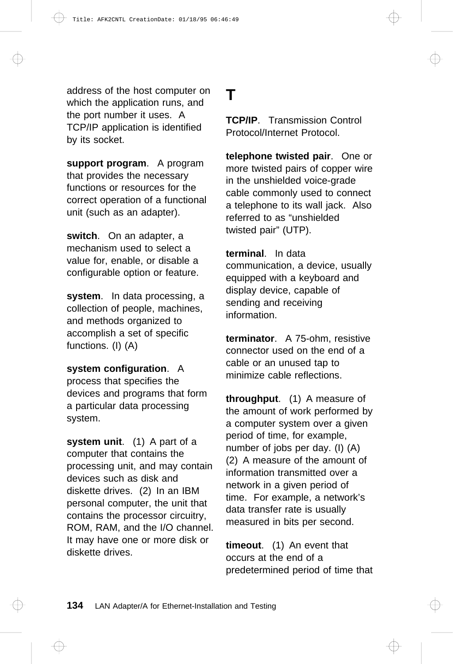address of the host computer on which the application runs, and the port number it uses. A TCP/IP application is identified by its socket.

**support program**. A program that provides the necessary functions or resources for the correct operation of a functional unit (such as an adapter).

**switch**. On an adapter, a mechanism used to select a value for, enable, or disable a configurable option or feature.

**system**. In data processing, a collection of people, machines, and methods organized to accomplish a set of specific functions. (I) (A)

**system configuration**. A process that specifies the devices and programs that form a particular data processing system.

**system unit**. (1) A part of a computer that contains the processing unit, and may contain devices such as disk and diskette drives. (2) In an IBM personal computer, the unit that contains the processor circuitry, ROM, RAM, and the I/O channel. It may have one or more disk or diskette drives.

**T**

**TCP/IP**. Transmission Control Protocol/Internet Protocol.

**telephone twisted pair**. One or more twisted pairs of copper wire in the unshielded voice-grade cable commonly used to connect a telephone to its wall jack. Also referred to as "unshielded twisted pair" (UTP).

**terminal**. In data communication, a device, usually equipped with a keyboard and display device, capable of sending and receiving information.

**terminator**. A 75-ohm, resistive connector used on the end of a cable or an unused tap to minimize cable reflections.

**throughput**. (1) A measure of the amount of work performed by a computer system over a given period of time, for example, number of jobs per day. (I) (A) (2) A measure of the amount of information transmitted over a network in a given period of time. For example, a network's data transfer rate is usually measured in bits per second.

**timeout**. (1) An event that occurs at the end of a predetermined period of time that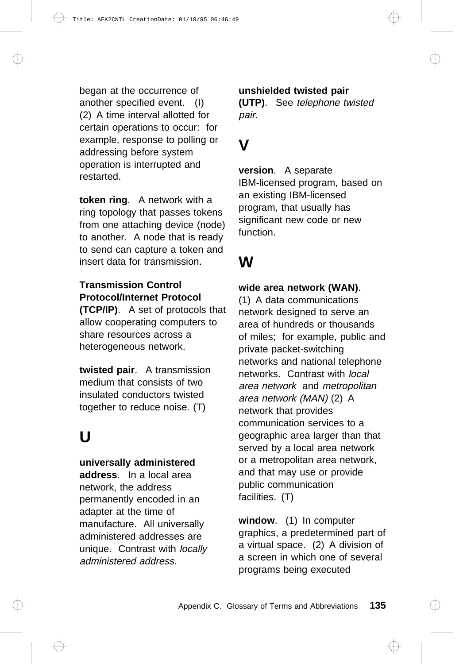began at the occurrence of another specified event. (I) (2) A time interval allotted for certain operations to occur: for example, response to polling or addressing before system operation is interrupted and restarted.

**token ring**. A network with a ring topology that passes tokens from one attaching device (node) to another. A node that is ready to send can capture a token and insert data for transmission.

### **Transmission Control Protocol/Internet Protocol**

**(TCP/IP)**. A set of protocols that allow cooperating computers to share resources across a heterogeneous network.

**twisted pair**. A transmission medium that consists of two insulated conductors twisted together to reduce noise. (T)

# **U**

#### **universally administered**

**address**. In a local area network, the address permanently encoded in an adapter at the time of manufacture. All universally administered addresses are unique. Contrast with locally administered address.

**unshielded twisted pair**

**(UTP)**. See telephone twisted pair.

## **V**

**version**. A separate IBM-licensed program, based on an existing IBM-licensed program, that usually has significant new code or new function.

## **W**

#### **wide area network (WAN)**.

(1) A data communications network designed to serve an area of hundreds or thousands of miles; for example, public and private packet-switching networks and national telephone networks. Contrast with *local* area network and metropolitan area network (MAN) (2) A network that provides communication services to a geographic area larger than that served by a local area network or a metropolitan area network, and that may use or provide public communication facilities. (T)

**window**. (1) In computer graphics, a predetermined part of a virtual space. (2) A division of a screen in which one of several programs being executed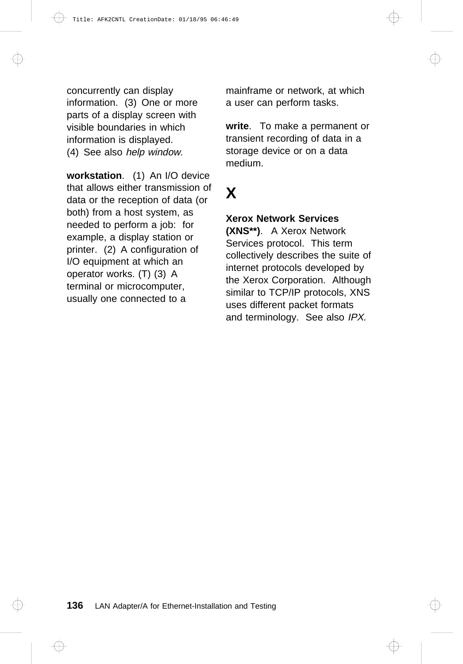Title: AFK2CNTL CreationDate: 01/18/95 06:46:49

concurrently can display information. (3) One or more parts of a display screen with visible boundaries in which information is displayed. (4) See also help window.

**workstation**. (1) An I/O device that allows either transmission of data or the reception of data (or both) from a host system, as needed to perform a job: for example, a display station or printer. (2) A configuration of I/O equipment at which an operator works. (T) (3) A terminal or microcomputer, usually one connected to a

mainframe or network, at which a user can perform tasks.

**write**. To make a permanent or transient recording of data in a storage device or on a data medium.

# **X**

### **Xerox Network Services**

**(XNS\*\*)**. A Xerox Network Services protocol. This term collectively describes the suite of internet protocols developed by the Xerox Corporation. Although similar to TCP/IP protocols, XNS uses different packet formats and terminology. See also IPX.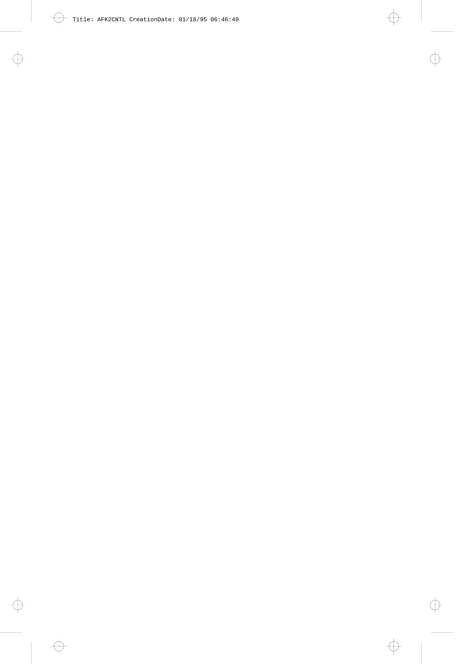$\begin{array}{c} \begin{array}{c} \begin{array}{c} \begin{array}{c} \end{array}\\ \end{array} \end{array} \end{array} \end{array}$ 

 $\bigoplus$ 

 $\Rightarrow$ 

 $\Rightarrow$